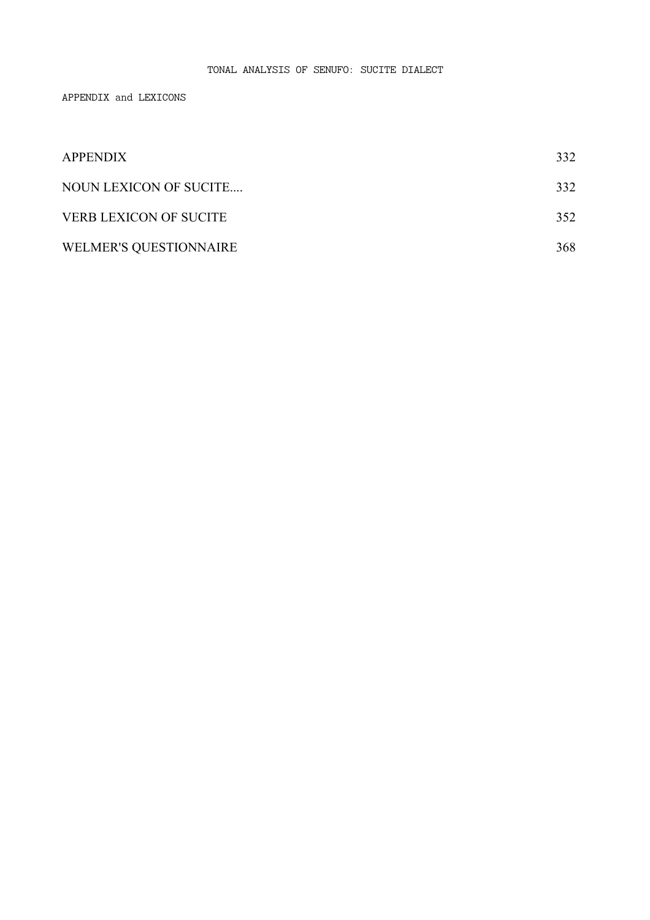## TONAL ANALYSIS OF SENUFO: SUCITE DIALECT

APPENDIX and LEXICONS

| <b>APPENDIX</b>               | 332 |
|-------------------------------|-----|
| NOUN LEXICON OF SUCITE        | 332 |
| <b>VERB LEXICON OF SUCITE</b> | 352 |
| <b>WELMER'S QUESTIONNAIRE</b> | 368 |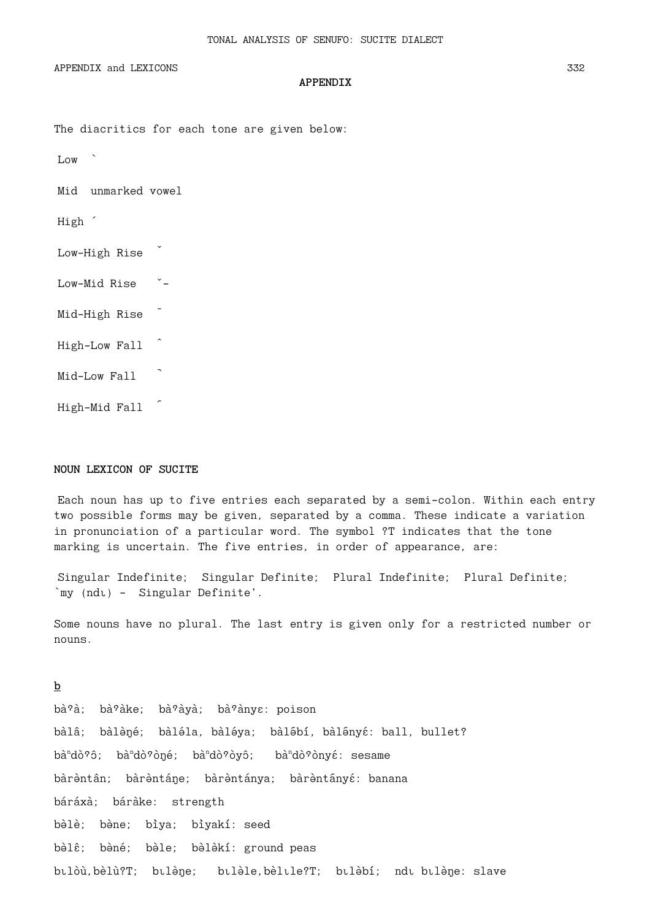APPENDIX and LEXICONS

#### **APPENDIX**

The diacritics for each tone are given below:

Low

Mid unmarked vowel

High '

Low-High Rise

Low-Mid Rise \*-

Mid-High Rise -

High-Low Fall

Mid-Low Fall

High-Mid Fall

#### NOUN LEXICON OF SUCITE

Each noun has up to five entries each separated by a semi-colon. Within each entry two possible forms may be given, separated by a comma. These indicate a variation in pronunciation of a particular word. The symbol ?T indicates that the tone marking is uncertain. The five entries, in order of appearance, are:

Singular Indefinite; Singular Definite; Plural Indefinite; Plural Definite; `my (ndı) - Singular Definite'.

Some nouns have no plural. The last entry is given only for a restricted number or nouns.

## $\mathbf b$

bà?à; bà?àke; bà?àyà; bà?ànyɛ: poison bàlâ; bàlèné; bàléla, bàléya; bàlébí, bàlényé: ball, bullet? bà<sup>n</sup>dò?ô; bà<sup>n</sup>dò?òné; bà<sup>n</sup>dò?òyô; bà<sup>n</sup>dò?ònyé: sesame bàrèntân; bàrèntáne; bàrèntánya; bàrèntányé: banana báráxà; báràke: strength bèlè; bène; bìya; bìyakí: seed bèlê; bèné; bèle; bèlèkí: ground peas bilòù, bèlù?T; bilène; bilèle, bèlile?T; bilèbí; ndi bilène: slave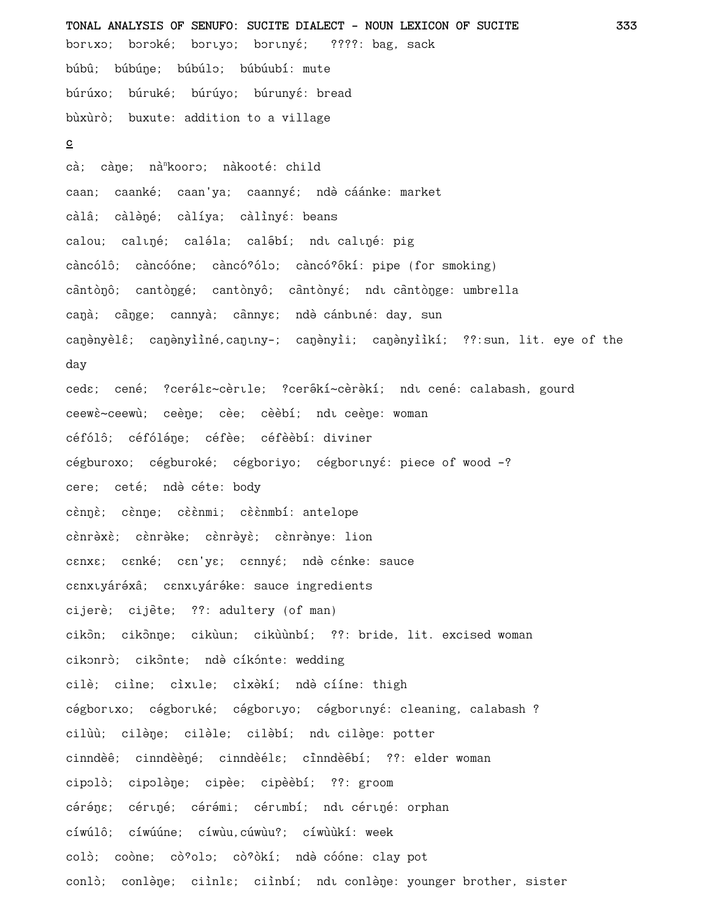TONAL ANALYSIS OF SENUFO: SUCITE DIALECT - NOUN LEXICON OF SUCITE 333 bortxo; boroké; bortyo; bortnyé; ????: bag, sack búbû; búbúne; búbúlo; búbúubí: mute búrúxo; búruké; búrúyo; búrunyé: bread bùxùrò; buxute: addition to a village  $\mathbf{C}$ cà; càne; nà<sup>n</sup>kooro; nàkooté: child caan; caanké; caan'ya; caannyé; ndè cáánke: market càlâ; càlèné; càlíya; càlìnyé: beans calou; caluné; caléla; calébí; ndu caluné: pig càncólô; càncóóne; càncó?ólo; càncó?ókí: pipe (for smoking) cântònô; cantòngé; cantònyô; cântònyé; ndu cântònge: umbrella canà; cànge; cannyà; cànnye; ndè cánbuné: day, sun canonyèlê; canonyiiné, canuny-; canonyii; canonyiikí; ??: sun, lit. eye of the day ceda; cené; ?ceréla~cèrtle; ?cerékí~cèrèkí; ndt cené: calabash, gourd ceewè~ceewù; ceène; cèe; cèèbí; ndi ceène: woman céfólô; céfóléne; céfèe; céfèèbí: diviner cégburoxo; cégburoké; cégboriyo; cégborunyé: piece of wood -? cere; ceté; ndè céte: body cènnè; cènne; cèènmi; cèènmbí: antelope cènrèxè; cènrèke; cènrèyè; cènrènye: lion canxa; canké; can'ya; cannyá; ndè cánke: sauce canxuyáréxâ; canxuyáréke: sauce ingredients cijerè; cijète; ??: adultery (of man) cikon; cikonne; cikùun; cikùùnbí; ??: bride, lit. excised woman cikonrò; cikonte; ndè cíkónte: wedding cilè; ciìne; cìxule; cìxèkí; ndè cííne: thigh cégbortxo; cégbortké; cégbortyo; cégbortnyé: cleaning, calabash ? cilùù; cilène; cilèle; cilèbí; ndu cilène: potter cinndèê; cinndèèné; cinndèéla; cinndèébí; ??: elder woman cipolò; cipolène; cipèe; cipèèbí; ??: groom céréne; cériné; cérémi; cérimbí; ndi cériné: orphan cíwúlô; cíwúúne; cíwùu, cúwùu?; cíwùùkí: week colò; coòne; cò?olo; cò?òkí; ndè cóóne: clay pot conlò; conlène; ciìnla; ciìnbí; ndu conlène: younger brother, sister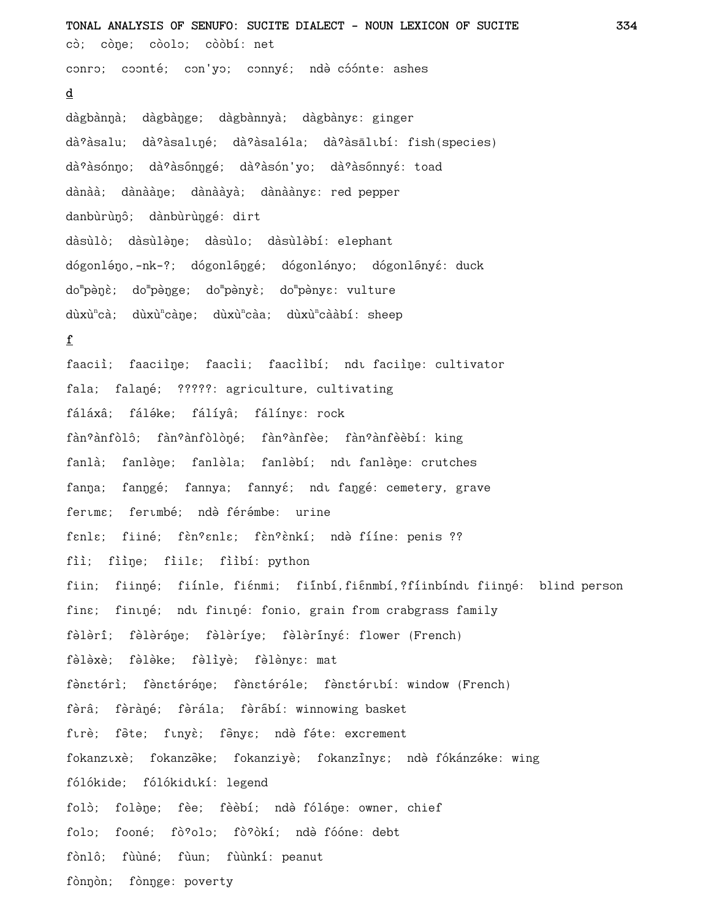**TONAL ANALYSIS OF SENUFO: SUCITE DIALECT - NOUN LEXICON OF SUCITE 334** cò; còne; còolo; còòbí: net conro; coonté; con'yo; connyé; ndè cóónte: ashes **d** dàgbànŋà; dàgbàŋge; dàgbànnyà; dàgbànyɛ: ginger dà<sup>?</sup>àsalu; dà<sup>?</sup>àsalıné; dà<sup>?</sup>àsaléla; dà<sup>?</sup>àsālıbí: fish(species) dà<sup>?</sup>àsónno; dà<sup>?</sup>àsónngé; dà°àsón'yo; dà°àsónnyé: toad dànàà; dànààŋe; dànààyà; dànàànyɛ: red pepper danbùrùnô; dànbùrùngé: dirt dàsùlò; dàsùlène; dàsùlo; dàsùlèbí: elephant dógonléno,-nk-?; dógonléngé; dógonlényo; dógonlényé: duck do<sup>m</sup>pèŋɛ̀; do<sup>m</sup>pènyè; do<sup>m</sup>pènyɛː vulture dùxù<sup>n</sup>cà; dùxù<sup>n</sup>càne; dùxù<sup>n</sup>càa; dùxù<sup>n</sup>cààbí: sheep **f** faaciì; faaciìne; faacii; faaciìbí; ndı faciìne: cultivator fala; falané; ?????: agriculture, cultivating fáláxâ; fáléke; fálíyâ; fálínya: rock fàn°ànfòlô; fàn°ànfòlòné; fàn°ànfèe; fàn°ànfèèbí: king fanlà; fanlène; fanlèla; fanlèbí; ndu fanlène: crutches fanna; fanngé; fannya; fannyé; ndi fangé: cemetery, grave fertme; fertmbé; ndè férémbe: urine fenle; fiiné; fèn?enle; fèn?ènkí; ndè fííne: penis ?? fiì; fiìne; fiile; fiìbí: python fiin; fiinŋé; fiínle, fiɛnmi; fiínbí,fiɛnmbí,?fíinbíndı fiinŋé: blind person fine; fininé; ndi fininé: fonio, grain from crabgrass family fèlèrî; fèlèréne; fèlèríye; fèlèrínyé: flower (French) fèlèxè; fèlèke; fèlìyè; fèlènye: mat fènstérì; fènstéréne; fènstéréle; fènstéribí: window (French) fèrâ; fèràné; fèrála; fèrabí: winnowing basket fırè; fête; fınyè; fênye; ndè féte: excrement fokanzıxè; fokanzēke; fokanziyè; fokanzīnye; ndè fókánzéke: wing fólókide; fólókidukí: legend folò; folène; fèe; fèèbí; ndè fóléne: owner, chief folo; fooné; fò°olo; fò°òkí; ndè fóóne: debt fònlô; fùùné; fùun; fùùnkí: peanut fònnòn; fònnge: poverty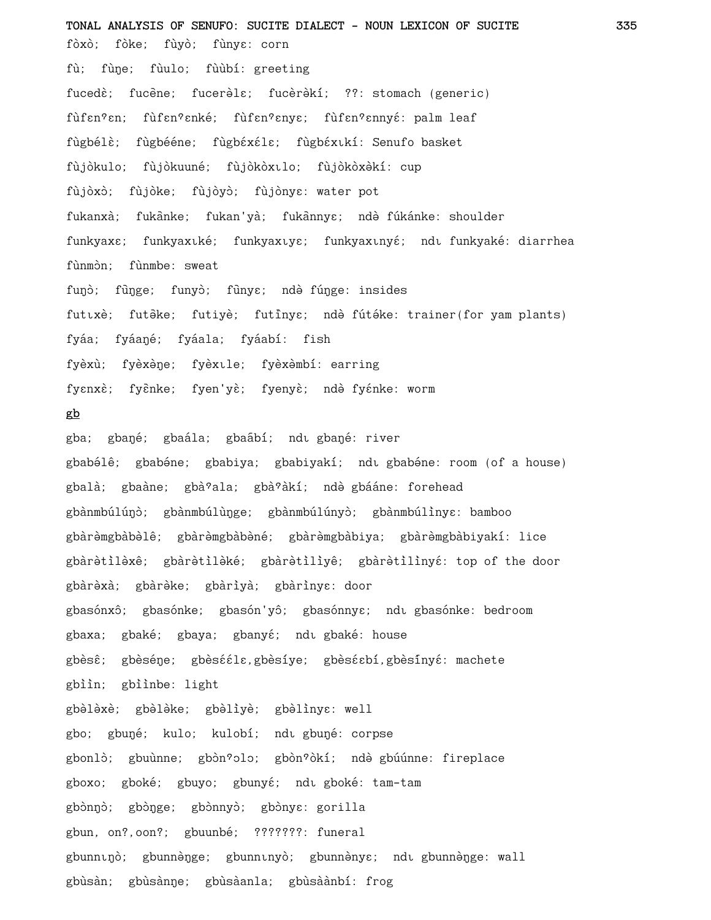**TONAL ANALYSIS OF SENUFO: SUCITE DIALECT - NOUN LEXICON OF SUCITE 335** fòxò; fòke; fùyò; fùnyɛ: corn fù; fùne; fùulo; fùùbí: greeting fucedè; fucène; fucerèle; fucèrèkí; ??: stomach (generic) fùfen?en; fùfen?enké; fùfen?enye; fùfen?ennyé: palm leaf fùgbélè; fùgbééne; fùgbéxéle; fùgbéxikí: Senufo basket fùjòkulo; fùjòkuuné; fùjòkòxılo; fùjòkòxèkí: cup fùjòxò; fùjòke; fùjòyò; fùjònya: water pot fukanxà; fukanke; fukan'yà; fukannya; ndè fúkánke: shoulder funkyax $\varepsilon$ ; funkyax $\varepsilon$ ké; funkyax $\varepsilon$ y $\varepsilon$ ; funkyax $\varepsilon$ ndu funkyaké: diarrhea fùnmòn; fùnmbe: sweat funò; fùnge; funyò; fùnye; ndè fúnge: insides futixè; futèke; futiyè; futinye; ndè fútéke: trainer(for yam plants) fyáa; fyáaŋé; fyáala; fyáabí: fish fyèxù; fyèxène; fyèxule; fyèxèmbí: earring fyɛnxɛ̀; fyɛ̄nke; fyen'yɛ̀; fyenyɛ̀; ndə̀ fyɛ́nke: worm **gb** gba; gbaŋé; gbaála; gbaábí; ndı gbaŋé: river gbabélê; gbabéne; gbabiya; gbabiyakí; ndı gbabéne: room (of a house) gbalà; gbaàne; gbà<sup>9</sup>ala; gbà<sup>9</sup>àkí; ndè gbááne: forehead gbànmbúlúŋò; gbànmbúlùŋge; gbànmbúlúnyò; gbànmbúlìnyɛ: bamboo gbàrèmgbàbèlê; gbàrèmgbàbèné; gbàrèmgbàbiya; gbàrèmgbàbiyakí: lice gbàrètilèxê; gbàrètilèké; gbàrètilìyê; gbàrètilìnyé: top of the door gbàrèxà; gbàrèke; gbàrìyà; gbàrìnyɛ: door gbasónxô; gbasónke; gbasón'yô; gbasónnyɛ; ndī gbasónke: bedroom gbaxa; gbaké; gbaya; gbanyé; ndi gbaké: house gbèsê; gbèséne; gbèsééle,gbèsíye; gbèséebí,gbèsínyé: machete gbiìn; gbiìnbe: light gbèlèxè; gbèlèke; gbèlìyè; gbèlìnye: well gbo; gbuné; kulo; kulobí; ndi gbuné: corpse gbonlò; gbuùnne; gbòn°olo; gbòn°òkí; ndè gbúúnne: fireplace gboxo; gboké; gbuyo; gbunyé; ndi gboké: tam-tam gbònnò; gbònge; gbònnyò; gbònye: gorilla gbun, on?,oon?; gbuunbé; ???????: funeral gbunninò; gbunnènge; gbunninyò; gbunnènyɛ; ndi gbunnènge: wall gbùsàn; gbùsànne; gbùsàanla; gbùsàànbí: frog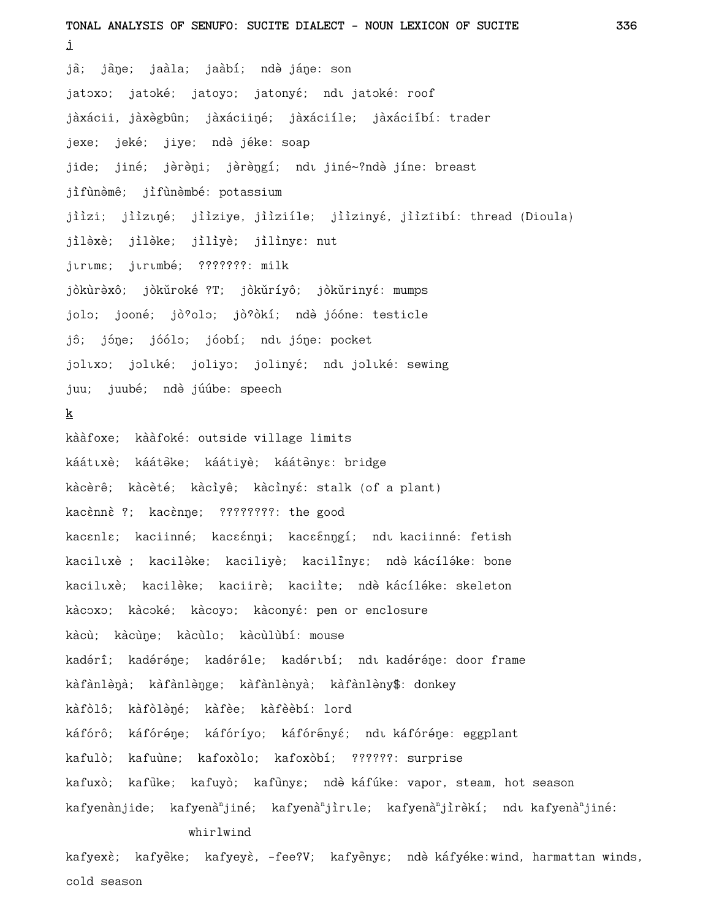**TONAL ANALYSIS OF SENUFO: SUCITE DIALECT - NOUN LEXICON OF SUCITE 336 j** jà; jàne; jaàla; jaàbí; ndè jáne: son jatoxo; jatoké; jatoyo; jatonyé; ndu jatoké: roof jàxácii, jàxègbûn; jàxáciiŋé; jàxáciíle; jàxáciíbí: trader jexe; jeké; jiye; ndè jéke: soap jide; jiné; jèrèni; jèrèngí; ndi jiné~?ndè jíne: breast jìfùnèmê; jìfùnèmbé: potassium jiìzi; jiìzuņé; jiìziye, jiìziíle; jiìzinyé, jiìzīibí: thread (Dioula) jilèxè; jilèke; jiliyè; jilinye: nut jurums; jurumbé; ???????: milk jòkùrèxô; jòkǔroké ?T; jòkǔríyô; jòkǔrinyé: mumps jolo; jooné; jò<sup>9</sup>olo; jò<sup>9</sup>òkí; ndè jóóne: testicle jô; jóne; jóólo; jóobí; ndu jóne: pocket joltxo; joltké; joliyo; jolinyé; ndt joltké: sewing juu; juubé; ndè júúbe: speech **k** kààfoxe; kààfoké: outside village limits káátıxè; káátèke; káátiyè; káátènye: bridge kàcèrê; kàcèté; kàcìyê; kàcìnyé: stalk (of a plant) kacènnè ?; kacènne; ????????: the good kacɛnlɛ; kaciinné; kacɛɛ́nŋi; kacɛɛ̃nŋgí; ndı kaciinné: fetish kacilīxè ; kacilèke; kaciliyè; kacilinye; ndè kácíléke: bone kacilıxè; kacilèke; kaciirè; kaciìte; ndè-kácíléke; skeleton kàcoxo; kàcoké; kàcoyo; kàconyé: pen or enclosure kàcù; kàcùne; kàcùlo; kàcùlùbí: mouse kadérî; kadéréne; kadéréle; kadértbí; ndt kadéréne: door frame kàfànlènà; kàfànlènge; kàfànlènyà; kàfànlèny\$: donkey kàfòlô; kàfòlèné; kàfèe; kàfèèbí: lord káfórô; káfóréne; káfóríyo; káfórényé; ndu káfóréne: eggplant kafulò; kafuùne; kafoxòlo; kafoxòbí; ??????: surprise kafuxò; kafūke; kafuyò; kafūnyɛ; ndè káfúke: vapor, steam, hot season kafyenànjide; kafyenà<sup>n</sup>jiné; kafyenà<sup>n</sup>jìrıle; kafyenà<sup>n</sup>jìrèkí; ndı-kafyenà<sup>n</sup>jiné: whirlwind

kafyexè; kafyèke; kafyeyè, -fee?V; kafyènye; ndè káfyéke:wind, harmattan winds, cold season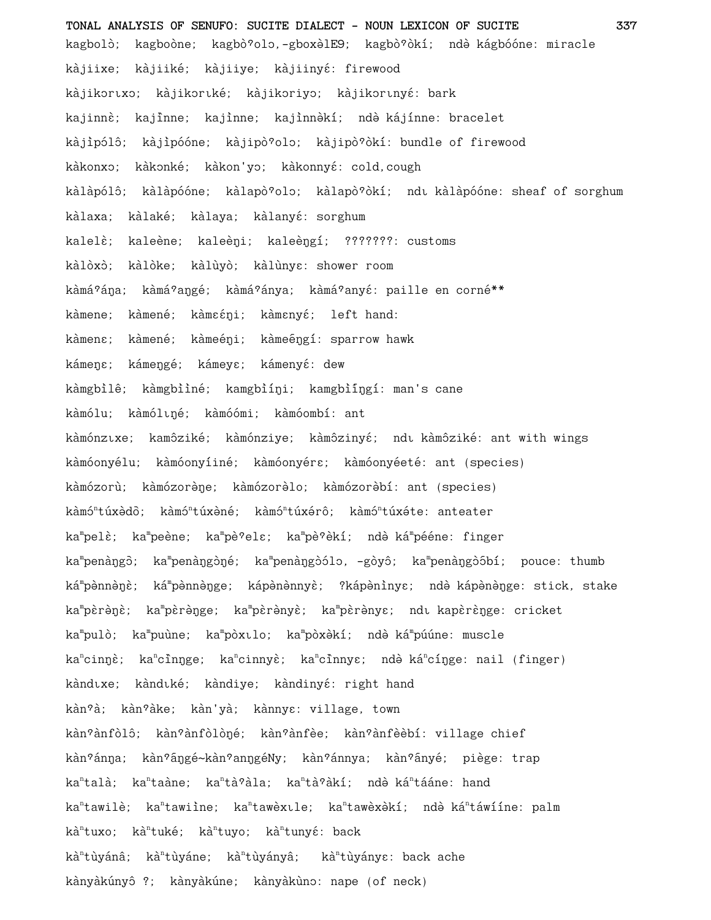**TONAL ANALYSIS OF SENUFO: SUCITE DIALECT - NOUN LEXICON OF SUCITE 337** kagbolò; kagboòne; kagbò?olo,-gboxèlE9; kagbò?òkí; ndè kágbóóne: miracle kàjiixe; kàjiiké; kàjiiye; kàjiinyé: firewood kàjikortxo; kàjikortké; kàjikoriyo; kàjikortnyé: bark kajinnè; kajinne; kajinne; kajinnèkí; ndè kájínne: bracelet kàjipólô; kàjipóóne; kàjipò<sup>9</sup>olo; kàjipò<sup>9</sup>òkí: bundle of firewood kàkonxo; kàkonké; kàkon'yo; kàkonnyé: cold,cough kàlàpólô; kàlàpóóne; kàlapò?olo; kàlapò?òkí; ndu kàlàpóóne: sheaf of sorghum kàlaxa; kàlaké; kàlaya; kàlanyé: sorghum kalelè; kaleène; kaleèni; kaleèngí; ???????: customs kàlòxò; kàlòke; kàlùyò; kàlùnya: shower room kàmá?ána; kàmá?angé; kàmá?ánya; kàmá?anyé: paille en corné\*\* kàmene; kàmené; kàmɛɛ́ni; kàmɛnyɛ́; left hand: kàmen $\varepsilon$ ; kàmené; kàmeéni; kàmeéngí: sparrow hawk kámene; kámengé; kámeye; kámenyé: dew kàmgbìlê; kàmgbììné; kamgbìíni; kamgbìíngí: man's cane kàmólu; kàmóluné; kàmóómi; kàmóombí: ant kàmónzıxe; kamôziké; kàmónziye; kàmôzinyé; ndı kàmôziké: ant with wings kàmóonyélu; kàmóonyíiné; kàmóonyérɛ; kàmóonyéeté: ant (species) kàmózorù; kàmózorène; kàmózorèlo; kàmózorèbí: ant (species) kàmó<sup>n</sup>túxèdō; kàmó<sup>n</sup>túxèné; kàmó<sup>n</sup>túxérô; kàmó<sup>n</sup>túxéte: anteater ka<sup>m</sup>pelè; ka<sup>m</sup>pèène; ka<sup>m</sup>pè°ele; ka<sup>m</sup>pè°èkí; ndè-ká<sup>m</sup>pééne: finger ka<sup>m</sup>penàŋgò; ka<sup>m</sup>penàŋgòŋé; ka<sup>m</sup>penàŋgòólo, -gòyô; ka<sup>m</sup>penàŋgòóbí; pouce: thumb ká<sup>m</sup>pènnèŋè; ká<sup>m</sup>pènnèŋge; kápènènnyè; ?kápènìnyɛ; ndè-kápènèŋge:-stick,-stake ka<sup>m</sup>pèrèŋè; ka<sup>m</sup>pèrèŋge; ka<sup>m</sup>pèrènyè; ka<sup>m</sup>pèrènye; ndı-kapèrèŋge: cricket ka<sup>m</sup>pulò; ka<sup>m</sup>puùne; ka<sup>m</sup>pòxılo; ka<sup>m</sup>pòxèkí; ndè-ká<sup>m</sup>púúne: muscle ka<sup>n</sup>cinŋè; ka<sup>n</sup>cînŋge; ka<sup>n</sup>cinnyè; ka<sup>n</sup>cînnyɛ; ndè-ká<sup>n</sup>cíŋge: nail (finger) kàndıxe; kàndıké; kàndiye; kàndinyé: right hand kàn<sup>o</sup>à; kàn<sup>o</sup>àke; kàn'yà; kànnyɛ: village, town kàn?ànfòlô; kàn?ànfòlòné; kàn?ànfèe; kàn?ànfèèbí: village chief kàn<sup>9</sup>ánna; kàn<sup>9</sup>ángé~kàn<sup>9</sup>anngéNy; kàn<sup>9</sup>ánnya; kàn<sup>9</sup>ányé; piège: trap ka<sup>n</sup>talà; ka<sup>n</sup>taàne; ka<sup>n</sup>tà?àla; ka<sup>n</sup>tà?àkí; ndè-ká<sup>n</sup>tááne: hand ka<sup>n</sup>tawilè; ka<sup>n</sup>tawiìne; ka<sup>n</sup>tawèxıle; ka<sup>n</sup>tawèxèkí; ndè-ká<sup>n</sup>táwííne: palm kà<sup>n</sup>tuxo; kà<sup>n</sup>tuyo; kà<sup>n</sup>tunyé: back kà<sup>n</sup>tùyánâ; kà<sup>n</sup>tùyányâ; kà<sup>n</sup>tùyányɛ: back ache kànyàkúnyô ?; kànyàkúne; kànyàkùno: nape (of neck)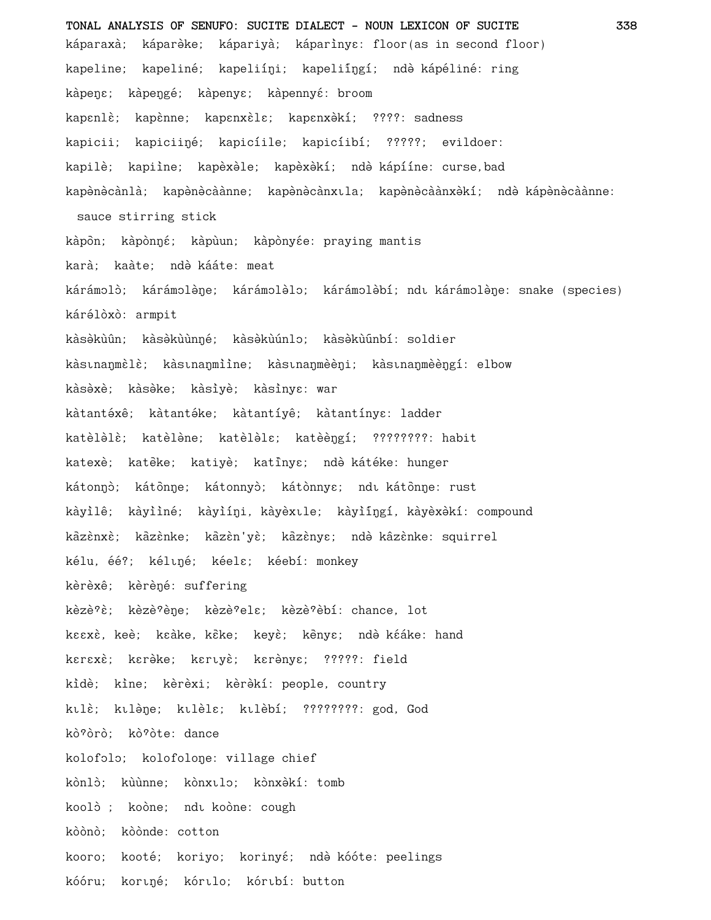**TONAL ANALYSIS OF SENUFO: SUCITE DIALECT - NOUN LEXICON OF SUCITE 338** káparaxà; káparèke; kápariyà; káparìnyɛ: floor(as in second floor) kapeline; kapeliné; kapeliíŋi; kapeliíŋgí; ndè kápéliné: ring kàpene; kàpengé; kàpenye; kàpennyé: broom kapenlè; kapènne; kapenxèle; kapenxèkí; ????: sadness kapicii; kapiciiné; kapicíile; kapicíibí; ?????; evildoer: kapilè; kapiìne; kapèxèle; kapèxèkí; ndè kápííne: curse,bad kapènècànlà; kapènècàànne; kapènècànxıla; kapènècàànxèkí; ndè kápènècàànne: sauce stirring stick kàpòn; kàpònŋé; kàpùun; kàpònyée: praying mantis karà; kaàte: ndè kááte: meat kárámolò; kárámolène; kárámolèlo; kárámolèbí; ndı kárámolène: snake (species) kárélòxò: armpit kàsèkùûn; kàsèkùùnné; kàsèkùúnlo; kàsèkùúnbí: soldier kàstnanmèlè; kàstnanmiìne; kàstnanmèèni; kàstnanmèèngí: elbow kàsèxè; kàsèke; kàsìyè; kàsìnyɛ: war kàtantéxê; kàtantéke; kàtantíyê; kàtantínye: ladder katèlèlè; katèlène; katèlèle; katèèngí; ????????: habit katexè; katèke; katiyè; katînye; ndè kátéke: hunger kátonnó; kátònne; kátonnyò; kátònnye; ndi kátònne: rust kàyìlê; kàyììné; kàyìíni, kàyèxıle; kàyìíngí, kàyèxèkí: compound kazènxè; kazènke; kazèn'yè; kazènye; ndè kazènke: squirrel kélu, éé?; kéliné; kéela; kéebí: monkey kèrèxê; kèrèné: suffering kèzè?è; kèzè?ène; kèzè?elɛ; kèzè?èbí: chance, lot keexè, keè; keàke, keke; keyè; kenye; ndè kéáke: hand kerexè; kerèke; keruyè; kerènye; ?????: field kidè; kine; kèrèxi; kèrèkí: people, country ktlè; ktlène; ktlèle; ktlèbí; ????????: god, God kò?òrò: kò?òte: dance kolofolo; kolofolone: village chief kònlò; kùùnne; kònxilo; kònxèkí: tomb koolò ; koòne; ndı koòne: cough kòònò: kòònde: cotton kooro; kooté; koriyo; korinyé; ndè kóóte: peelings kóóru; kortné; kórtlo; kórtbí: button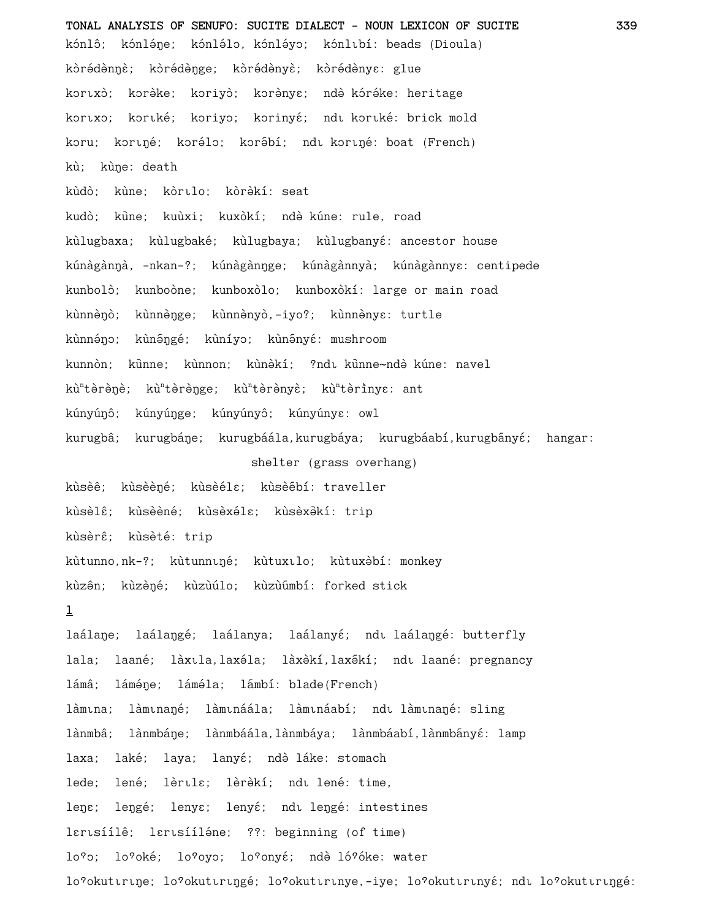**TONAL ANALYSIS OF SENUFO: SUCITE DIALECT - NOUN LEXICON OF SUCITE 339** kónlô; kónléne; kónlélo, kónléyo; kónlubí: beads (Dioula) kòrédènnè; kòrédènge; kòrédènyè; kòrédènye: glue kortxò; korèke; koriyò; korènya; ndè kóréke: heritage kortxo; kortké; koriyo; korinyé; ndt kortké: brick mold koru; koriné; korélo; korébí; ndi koriné: boat (French) kù; kùne: death kùdò; kùne; kòrılo; kòrèkí: seat kudò; kūne; kuùxi; kuxòkí; ndè kúne: rule, road kùlugbaxa; kùlugbaké; kùlugbaya; kùlugbanyé: ancestor house kúnàgànŋà, -nkan-?; kúnàgànŋge; kúnàgànnyà; kúnàgànnyɛ: centipede kunbolò; kunboòne; kunboxòlo; kunboxòkí: large or main road kùnnènò; kùnnènge; kùnnènyò,-iyo?; kùnnènye: turtle kùnnéno; kùnéngé; kùníyo; kùnényé: mushroom kunnòn; kūnne; kùnnon; kùnèkí; ?ndı kūnne~ndè kúne: navel kù<sup>n</sup>tèrèŋè; kù<sup>n</sup>tèrèŋge; kù<sup>n</sup>tèrènyè; kù<sup>n</sup>tèrìnyɛ: ant kúnyúnô; kúnyúnge; kúnyúnyô; kúnyúnyɛ: owl kurugbâ; kurugbáŋe; kurugbáála,kurugbáya; kurugbáabí,kurugbányé; hangar: shelter (grass overhang) kùsèê; kùsèèné; kùsèélɛ; kùsèébí: traveller kùsèlê; kùsèèné; kùsèxéla; kùsèxèkí: trip kùsèrê; kùsèté: trip kùtunno,nk-?; kùtunniné; kùtuxilo; kùtuxèbí: monkey kùzên; kùzèné; kùzùúlo; kùzùumbí: forked stick **l** laálane; laálangé; laálanya; laálanyé; ndu laálangé: butterfly lala; laané; làxīla,laxéla; làxèkí,laxêki; ndī laané: pregnancy lámâ; láméne; láméla; lámbí: blade(French) làmina; làminaŋé; làmináála; làmináabí; ndi làminaŋé: sling lànmbâ; lànmbáŋe; lànmbáála,lànmbáya; lànmbáabí,lànmbányé: lamp laxa; laké; laya; lanyé; ndè láke: stomach lede; lené; lèrula; lèrèkí; ndu lené: time, lene; lengé; lenye; lenyé; ndu lengé: intestines lerisíílê; lerisííléne; ??: beginning (of time) lo<sup>9</sup>o; lo<sup>9</sup>oké; lo<sup>9</sup>oyo; lo<sup>9</sup>onyé; ndè ló<sup>9</sup>óke: water lo?okuttrtne; lo?okuttrtngé; lo?okuttrtnye,-iye; lo?okuttrtnyé; ndt lo?okuttrtngé: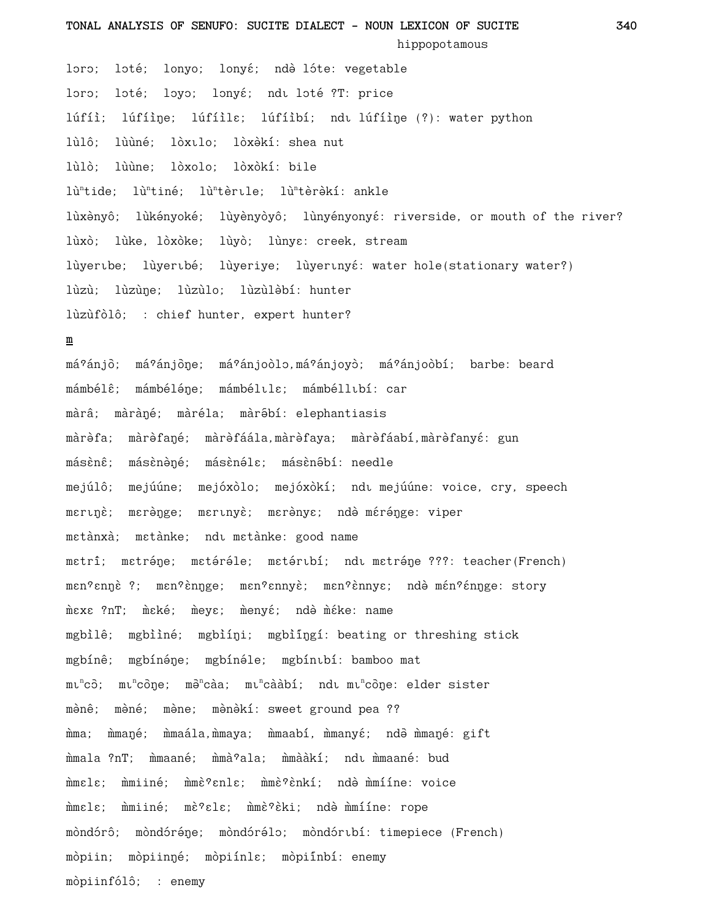**TONAL ANALYSIS OF SENUFO: SUCITE DIALECT - NOUN LEXICON OF SUCITE 340**

hippopotamous

loro; loté; lonyo; lonyé; ndè lóte: vegetable loro; loté; loyo; lonyé; ndu loté ?T: price lúfíì; lúfíi̇̀ne; lúfíilɛ; lúfíibí; ndī lúfíine (?): water python lùlô: lùùné: lòxilo: lòxèkí: shea nut lùlò; lùùne; lòxolo; lòxòkí: bile lù<sup>n</sup>tide; lù<sup>n</sup>tiné; lù<sup>n</sup>tèrule; lù<sup>n</sup>tèrèkí: ankle lùxènyô; lùkényoké; lùyènyòyô; lùnyényonyé: riverside, or mouth of the river? lùxò; lùke, lòxòke; lùyò; lùnya: creek, stream lùyertbe; lùyertbé; lùyeriye; lùyertnyé: water hole(stationary water?) lùzù; lùzùŋe; lùzùlo; lùzùlèbí: hunter lùzùfòlô; : chief hunter, expert hunter? **m** má?ánjō; má?ánjōŋe; má?ánjoòlɔ,má?ánjoyò; má?ánjoòbí; barbe: beard mámbélê; mámbéléne; mámbéluls; mámbéllubí: car màrâ; màràné; màréla; màrébí: elephantiasis màrèfa; màrèfané; màrèfáála,màrèfaya; màrèfáabí,màrèfanyé: gun másènê; másènèné; másènéle; másènébí: needle mejúlô; mejúúne; mejóxòlo; mejóxòkí; ndi mejúúne: voice, cry, speech merinè; merènge; merinyè; merènye; ndè mérénge: viper metànxà; metànke; ndi metànke: good name

metrî; metréne; metéréle; metéribí; ndi metréne ???: teacher(French) men?ennè ?; men?ènnge; men?ennyè; men?ènnye; ndè mén?énnge: story mčx ?nT; mčké; měys; měnyé; ndě mčke: name mgbìlê; mgbììné; mgbìíni; mgbìíngí: beating or threshing stick mgbínê; mgbínéne; mgbínéle; mgbíntbí: bamboo mat mı<sup>n</sup>cò; mı<sup>n</sup>còŋe; mə<sup>n</sup>càa; mı<sup>n</sup>cààbí; ndı…mıncòŋe: elder sister mènê; mèné; mène; mènèkí: sweet ground pea ?? mma; mmané; mmaála,mmaya; mmaabí, mmanyé; ndè mmané: gift mumala ?nT; mumaané; mumà°ala; mumààkí; ndi mumaané; bud mmele: mmiiné: mmè?enle: mmè?ènkí: ndè mmííne: voice mmele; mmiiné; mè?ele; mmè?èki; ndè mmííne: rope mòndórô; mòndóréne; mòndórélo; mòndórtbí: timepiece (French) mòpiin; mòpiinné; mòpiínla; mòpiínbí: enemy mòpiinfólô; : enemy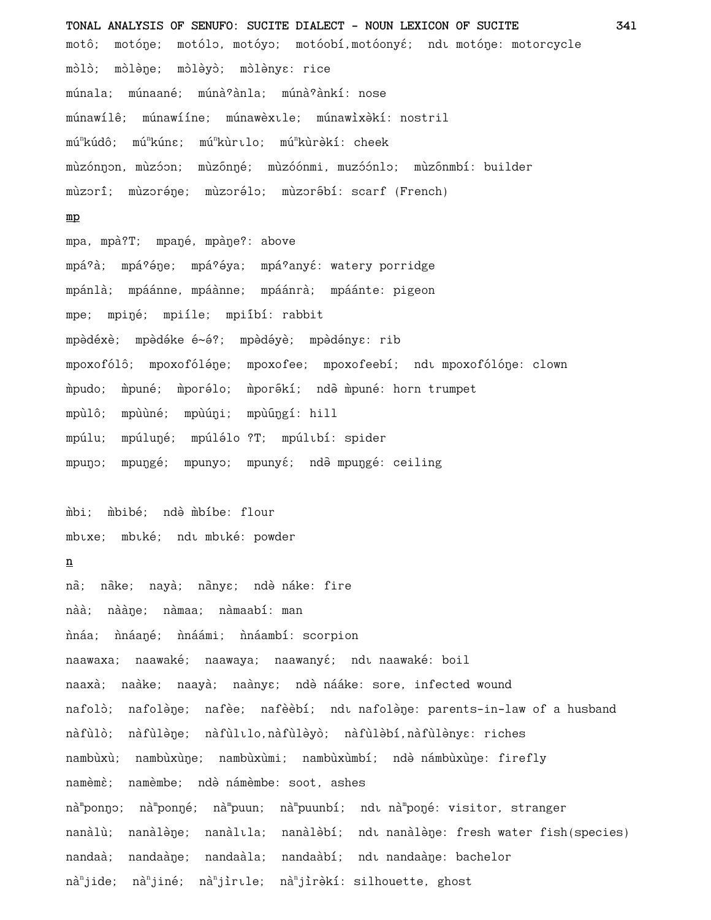**TONAL ANALYSIS OF SENUFO: SUCITE DIALECT - NOUN LEXICON OF SUCITE 341** motô; motóne; motólo, motóyo; motóobí,motóonyé; ndu motóne: motorcycle mòlò; mòlène; mòlèyò; mòlènya: rice múnala; múnaané; múnà<sup>o</sup>ànla; múnà<sup>o</sup>ànkí: nose múnawílê; múnawííne; múnawèxtle; múnawìxèkí: nostril mú<sup>n</sup>kúdô; mú<sup>n</sup>kúna; mú<sup>n</sup>kùrılo; mú<sup>n</sup>kùrèkí: cheek mùzónnon, mùzóon; mùzónné; mùzóónmi, muzóónlo; mùzónmbí: builder mùzorî; mùzoréne; mùzorélo; mùzorébí: scarf (French) **mp** mpa, mpà?T; mpané, mpàne?: above mpá?à; mpá?éne; mpá?éya; mpá?anyé: watery porridge mpánlà; mpáánne, mpáànne; mpáánrà; mpáánte: pigeon mpe; mpiné; mpiíle; mpiíbí: rabbit mpèdéxè; mpèdéke é~é?; mpèdéyè; mpèdénye: rib mpoxofólô; mpoxofóléne; mpoxofee; mpoxofeebí; ndı mpoxofólóne: clown mpudo; mpuné; mporélo; mporékí; ndè mpuné: horn trumpet mpùlô; mpùùné; mpùúni; mpùúngí: hill mpúlu; mpúluņé; mpúlélo ?T; mpúltbí: spider mpuŋɔ; mpuŋgé; mpunyɔ; mpunyɛ́; ndə̂ mpuŋgé: ceiling mbi; mbibé; ndè mbíbe: flour mbixe; mbiké; ndi mbiké: powder **n** na; nake; nayà; nanyɛ; ndə̀ náke: fire nàà; nààne; nàmaa; nàmaabí: man nháa; nháané; nháámi; nháambí: scorpion naawaxa; naawaké; naawaya; naawanyé; ndi naawaké: boil naaxà; naàke; naayà; naànyɛ; ndè nááke: sore, infected wound nafolò; nafolène; nafèe; nafèèbí; ndu nafolène: parents-in-law of a husband nàfùlò; nàfùlèŋe; nàfùlılo,nàfùlèyò; nàfùlèbí,nàfùlènyɛ: riches nambùxù; nambùxùŋe; nambùxùmi; nambùxùmbí; ndè námbùxùŋe: firefly namèmè; namèmbe; ndè námèmbe: soot, ashes nà<sup>m</sup>ponŋɔ; nà<sup>m</sup>ponŋé; nà<sup>m</sup>puun; nà<sup>m</sup>puunbí; ndı nà<sup>m</sup>poŋé: visitor, stranger nanàlù; nanàlène; nanàlīla; nanàlèbí; ndī nanàlène: fresh water fish(species) nandaà; nandaàne; nandaàla; nandaàbí; ndu nandaàne: bachelor

nà<sup>n</sup>jide; nà<sup>n</sup>jiné; nà<sup>n</sup>jìrıle; nà<sup>n</sup>jìrèkí: silhouette, ghost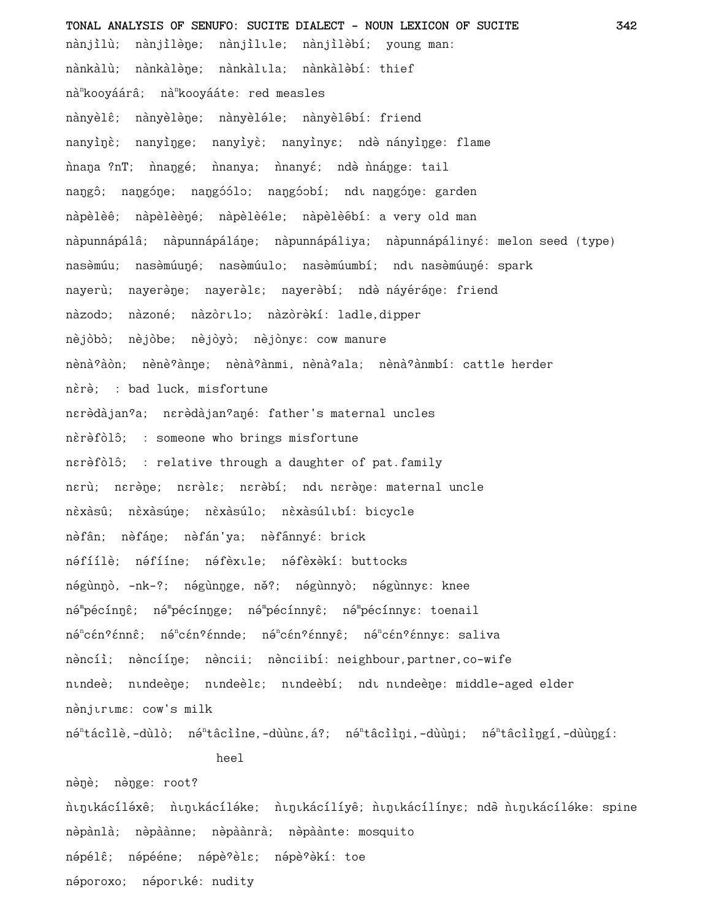**TONAL ANALYSIS OF SENUFO: SUCITE DIALECT - NOUN LEXICON OF SUCITE 342** nànjìlù; nànjìlène; nànjìlule; nànjìlèbí; young man: nànkàlù; nànkàlène; nànkàlıla; nànkàlèbí: thief nà<sup>n</sup>kooyáárâ; nà<sup>n</sup>kooyááte: red measles nànyèlê; nànyèlène; nànyèléle; nànyèlébí: friend nanyi`ne; nanyinge; nanyiye; nanyinye; nde nanyinge: flame nana ?nT; nanggé; nanya; nanyé; ndè nangge: tail naŋgô; naŋgóŋe; naŋgóólo; naŋgóobí; ndı naŋgóŋe: garden nàpèlèê; nàpèlèèné; nàpèlèéle; nàpèlèébí: a very old man nàpunnápálâ; nàpunnápáláne; nàpunnápáliya; nàpunnápálinyé: melon seed (type) nasèmúu; nasèmúuŋé; nasèmúulo; nasèmúumbí; ndı nasèmúuŋé: spark nayerù; nayerène; nayerèlɛ; nayerèbí; ndè náyéréne: friend nàzodo; nàzoné; nàzòrilo; nàzòrèkí: ladle,dipper nèjòbò; nèjòbe; nèjòyò; nèjònyɛ: cow manure nènà°àòn; nènè°ànne; nènà°ànmi, nènà°ala; nènà°ànmbí: cattle herder nèrè; : bad luck, misfortune nerèdàjan<sup>9</sup>a; nerèdàjan<sup>9</sup>ané: father's maternal uncles nèrèfòlô; : someone who brings misfortune nerèfòlô; : relative through a daughter of pat.family nerù; nerène; nerèle; nerèbí; ndi nerène: maternal uncle nèxàsû; nèxàsúŋe; nèxàsúlo; nèxàsúlıbí: bicycle nèfân; nèfáne; nèfán'ya; nèfannyé: brick néfíílè; néfííne; néfèxile; néfèxèkí: buttocks négùnŋò, -nk-?; négùnŋge, ně?; négùnnyò; négùnnyɛ: knee né™pécínŋê; né™pécínŋge; né™pécínnyê; né™pécínnyɛ: toenail né<sup>n</sup>cén?énnê; né<sup>n</sup>cén?énnde; né<sup>n</sup>cén?énnyê; né<sup>n</sup>cén?énnye: saliva nèncíì; nèncííne; nèncii; nènciibí: neighbour, partner, co-wife nindeè; nindeèŋe; nindeèlɛ; nindeèbí; ndi nindeèŋe: middle-aged elder nènjuruma: cow's milk né<sup>n</sup>tácìlè,-dùlò; né<sup>n</sup>tâcììne,-dùùnɛ,á?; né<sup>n</sup>tâcììŋi,-dùùŋi; né<sup>n</sup>tâcììŋgí,-dùùŋgí:

heel

nènè; nènge: root? nıgıkácíléxê; nıgıkácíléke; nıgıkácílíyê; nıgıkácílínye; ndè nıgıkácíléke: spine nèpànlà; nèpàànne; nèpàànrà; nèpàànte: mosquito népélê; népééne; népè?èlɛ; népè?èkí: toe néporoxo; néportké: nudity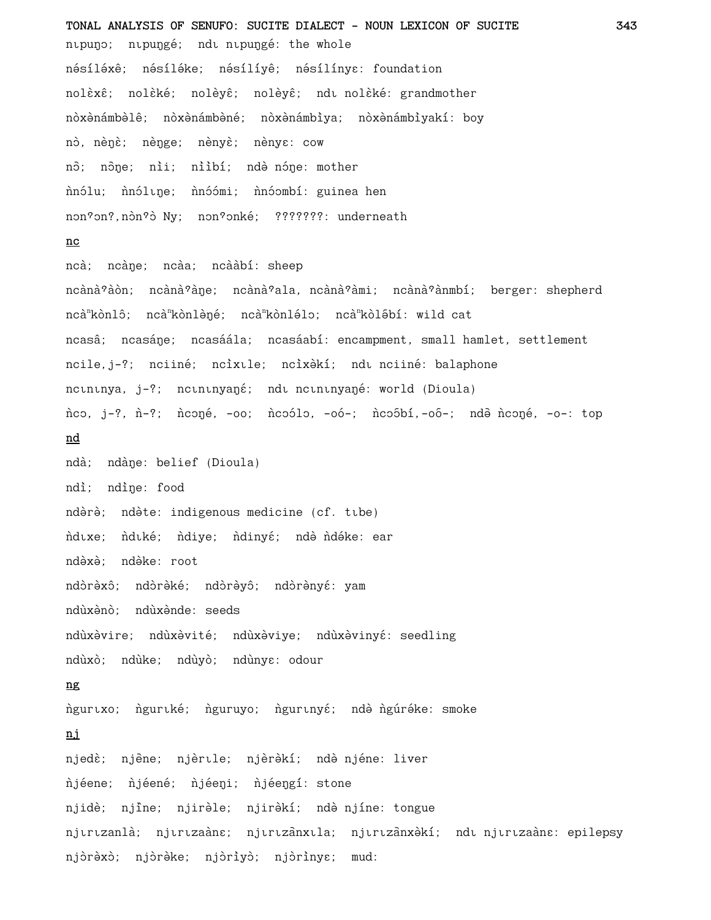TONAL ANALYSIS OF SENUFO: SUCITE DIALECT - NOUN LEXICON OF SUCITE 343 nipuno; nipungé; ndi nipungé: the whole nésíléxê; nésíléke; nésílíyê; nésílíny $\varepsilon$ : foundation nolèxê; nolèké; nolèyê; nolèyê; ndı nolèké: grandmother nòxènámbèlê; nòxènámbèné; nòxènámbìya; nòxènámbìyakí: boy nò, nènè; nènge; nènyè; nènye: cow nô; nône; nii; niìbí; ndè nóne: mother nnólu; nnólune; nnóómi; nnóombí: guinea hen non?on?, nòn?ò Ny; non?onké; ???????: underneath  $nc$ ncà; ncàne; ncàa; ncààbí: sheep ncànà?àòn; ncànà?àne; ncànà?ala, ncànà?àmi; ncànà?ànmbí; berger: shepherd ncà<sup>n</sup>kònlô; ncà<sup>n</sup>kònlèné; ncà<sup>n</sup>kònlélo; ncà<sup>n</sup>kòlébí: wild cat ncasâ; ncasáne; ncasáála; ncasáabí: encampment, small hamlet, settlement ncile, j-?; nciiné; ncìxule; ncìxèkí; ndu nciiné: balaphone ncininya, j-?; ncininyané; ndi ncininyané: world (Dioula) nco, j-?, n-?; nconé, -oo; ncoólo, -oó-; ncoóbí,-oó-; ndè nconé, -o-: top nd ndà; ndàne: belief (Dioula) ndì; ndìne: food ndèrè; ndète: indigenous medicine (cf. tibe) ndıxe; ndıké; ndiye; ndinyé; nde ndéke: ear ndèxè: ndèke: root ndòrèxô; ndòrèké; ndòrèyô; ndòrènyé: yam ndùxènò: ndùxènde: seeds ndùxèvire; ndùxèvité; ndùxèviye; ndùxèvinyé: seedling ndùxò; ndùke; ndùyò; ndùnyɛ: odour ng ngurtxo; ngurtké; nguruyo; ngurtnyé; ndè ngúréke: smoke ni njedè; njène; njèrtle; njèrèkí; ndè njéne: liver njéene; njéené; njéeni; njéengí: stone njidè; njine; njirèle; njirèkí; ndè njíne: tongue njırızanlà; njırızaàne; njırızanxıla; njırızanxakí; ndı njırızaàne: epilepsy njóréxò; njóréke; njóríyò; njórínya; mud: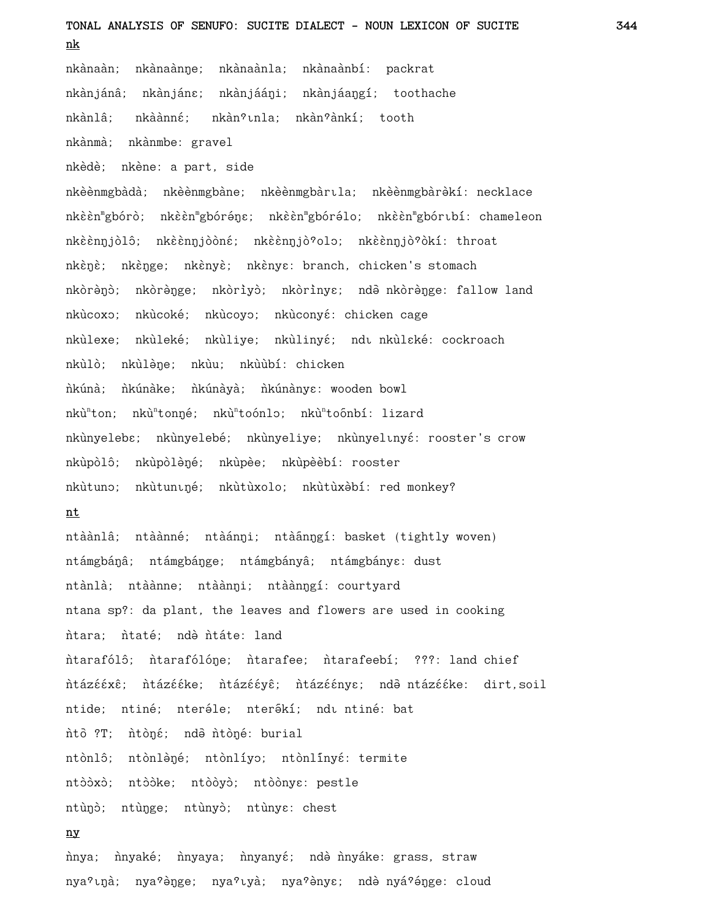# **TONAL ANALYSIS OF SENUFO: SUCITE DIALECT - NOUN LEXICON OF SUCITE 344 nk**

nkànaàn; nkànaànŋe; nkànaànla; nkànaànbí: packrat nkànjánâ; nkànjánɛ; nkànjááŋi; nkànjáaŋgí; toothache nkànlâ; nkàànné; nkàn°tnla; nkàn°ànkí; tooth nkànmà; nkànmbe: gravel

nkèdè; nkène: a part, side

nkèènmgbàdà; nkèènmgbàne; nkèènmgbàrıla; nkèènmgbàrèkí: necklace nkèèn™gbórò; nkèèn™gbóréŋɛ; nkèèn™gbórélo; nkèèn™gbórıbí: chameleon nkèènŋjòlô; nkèènŋjòòné; nkèènŋjò?olo; nkèènŋjò?òkí: throat nkènè; nkènge; nkènyè; nkènye: branch, chicken's stomach nkòrènò; nkòrènge; nkòrìyò; nkòrìnyɛ; ndē nkòrènge: fallow land nkùcoxo; nkùcoké; nkùcoyo; nkùconyé: chicken cage nkùlexe; nkùleké; nkùliye; nkùlinyé; ndı nkùlaké: cockroach nkùlò; nkùlène; nkùu; nkùùbí: chicken nkúnà; nkúnake; nkúnaya; nkúnanye: wooden bowl nkù<sup>n</sup>ton; nkù<sup>n</sup>tonné; nkù<sup>n</sup>toónlo; nkù<sup>n</sup>toónbí: lizard nkùnyeleb $\varepsilon$ ; nkùnyelebé; nkùnyeliye; nkùnyelinyé: rooster's crow nkùpòlô; nkùpòlèné; nkùpèe; nkùpèèbí: rooster nkùtuno; nkùtuniné; nkùtùxolo; nkùtùxèbí: red monkey?

## **nt**

ntàànlâ; ntàànné; ntàánŋi; ntàánŋgí: basket (tightly woven) ntámgbáná; ntámgbánge; ntámgbányâ; ntámgbánya: dust ntànlà; ntàànne; ntàànŋi; ntàànŋgí: courtyard ntana sp?: da plant, the leaves and flowers are used in cooking ntara; ntaté; ndà ntáte: land ntarafólô; ntarafólóne; ntarafee; ntarafeebí; ???: land chief ntázééxê; ntázééke; ntázééyê; ntázéénye; ndē ntázééke: dirt,soil ntide; ntiné; nteréle; nterékí; ndu ntiné; bat nto ?T; ntoné; ndo ntoné: burial ntònlô; ntònlèné; ntònlíyo; ntònlínyé: termite ntòòxò; ntòòke; ntòòyò; ntòònyɛ: pestle ntùno; ntùnge; ntùnyo; ntùnye: chest **ny**

nnya; n`nyaké; n`nyaya; n`nyanyé; ndè n`nyake: grass, straw nya?ına; nya?ənge; nya?ıya; nya?ənye; ndə nyá?ənge: cloud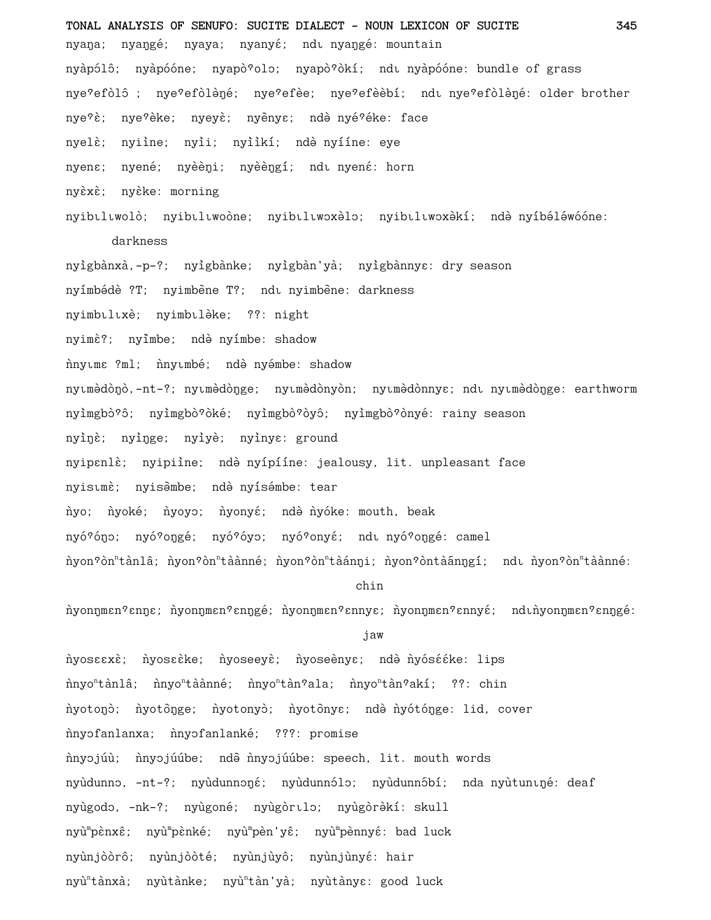**TONAL ANALYSIS OF SENUFO: SUCITE DIALECT - NOUN LEXICON OF SUCITE 345** nyaŋa; nyaŋgé; nyaya; nyanyé; ndī nyaŋgé: mountain nyàpólô; nyàpóóne; nyapò?olo; nyapò?òkí; ndı nyàpóóne: bundle of grass nye?efòlô ; nye?efòlèné; nye?efèe; nye?efèèbí; ndı nye?efòlèné: older brother nye?è; nye?èke; nyeyè; nyènye; ndè nyé?éke: face nyelè; nyiìne; nyìi; nyììkí; ndè nyííne: eye nyena; nyené; nyèèni; nyèèngí; ndu nyená: horn nyèxè; nyèke: morning nyibtltwolò; nyibtltwoòne; nyibtltwoxèlo; nyibtltwoxèkí; ndè nyíbéléwóóne: darkness nyìgbànxà,-p-?; nyìgbànke; nyìgbàn'yà; nyìgbànnyɛ: dry season nyímbédè ?T; nyimbène T?; ndı nyimbène: darkness nyimbuluxè; nyimbulèke; ??: night nyimè?; nyimbe; ndè nyímbe: shadow nnytme ?ml; nnytmbé; ndè nyémbe: shadow nyımèdònò,-nt-?; nyımèdònge; nyımèdònyòn; nyımèdònnys; ndı nyımèdònge: earthworm nyimgbò?ô; nyimgbò?òké; nyimgbò?òyô; nyimgbò?ònyé: rainy season nyinè; nyinge; nyiyè; nyinye: ground nyipɛnlɛ̀; nyipiine; ndə̀ nyípííne: jealousy, lit. unpleasant face nyistmè; nyisəmbe; ndə nyísémbe: tear nyo; nyoké; nyoyo; nyonyé; ndè nyóke: mouth, beak nyó?óno; nyó?ongé; nyó?óyo; nyó?onyé; ndi nyó?ongé: camel n`yon?òn"tànlâ; n`yon?òn"tàànné; n`yon?òn"tàánŋi; n`yon?òntàánŋgí; ndı n`yon?òn"tàànné: chin nyonnmen?enne; nyonnmen?enngé; nyonnmen?ennye; nyonnmen?ennyé; ndinyonnmen?enngé: jaw

nyosɛɛxɛ̀; nþosɛɛ̀ke; ǹyoseeyɛ̀; ǹyoseènyɛ; ndə̀ ǹyósɛ́ɛ́ke: lips n`nyo"tànlâ; n`nyo"tàànné; n`nyo"tàn°ala; n`nyo"tàn°akí; ??: chin nyotono; nyotonge; nyotonyo; nyotonye; nde nyótónge: lid, cover nnyofanlanxa; n`nyofanlanké; ???: promise nnyojúù; nnyojúúbe; ndè nnyojúúbe: speech, lit. mouth words nyùdunno, -nt-?; nyùdunnoŋé; nyùdunnólo; nyùdunnóbí; nda nyùtunıŋé: deaf nyùgodo, -nk-?; nyùgoné; nyùgòrılo; nyùgòrèkí: skull nyù<sup>m</sup>pènxê; nyù<sup>m</sup>pèn'yê; nyù<sup>m</sup>pènnyé: bad luck nyùnjòòrô; nyùnjòòté; nyùnjùyô; nyùnjùnyé: hair nyù<sup>n</sup>tànxà; nyùtànke; nyù<sup>n</sup>tàn'yà; nyùtànyɛ: good luck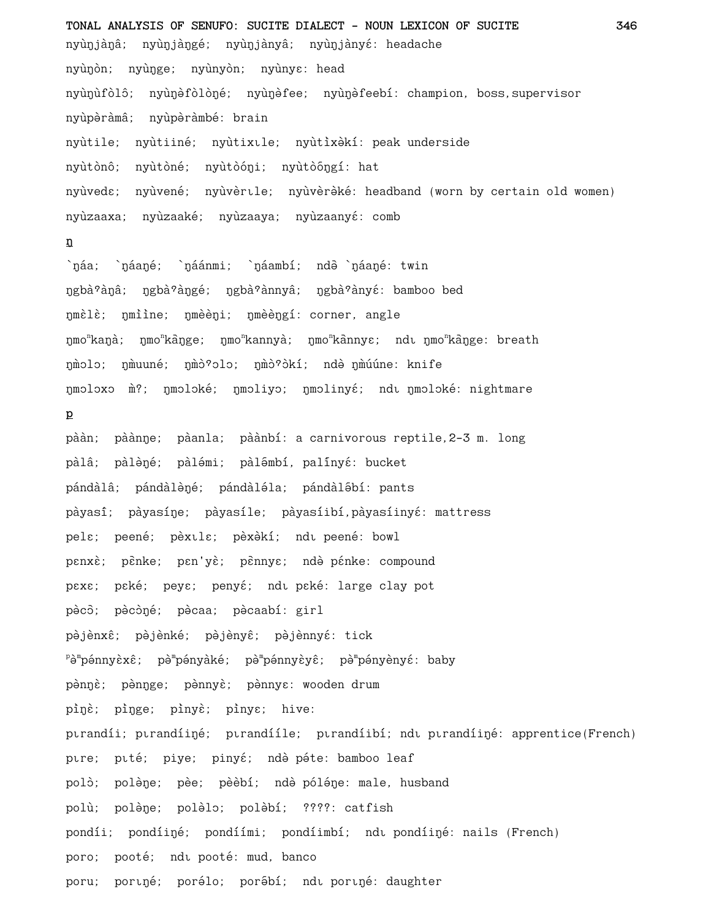**TONAL ANALYSIS OF SENUFO: SUCITE DIALECT - NOUN LEXICON OF SUCITE 346** nyùŋjàŋâ; nyùŋjàŋgé; nyùŋjànyâ; nyùŋjànyé: headache nyùŋòn; nyùŋge; nyùnyòn; nyùnyɛ: head nyùŋùfòlô; nyùŋèfòlòŋé; nyùŋèfee; nyùŋèfeebí: champion, boss, supervisor nyùpèràmâ; nyùpèràmbé: brain nyùtile; nyùtiiné; nyùtixile; nyùtixèkí: peak underside nyùtònô; nyùtòné; nyùtòóni; nyùtòóngí: hat nyùveda; nyùvené; nyùvèrlle; nyùvèrèké: headband (worn by certain old women) nyùzaaxa; nyùzaaké; nyùzaaya; nyùzaanyé: comb **ƒ** `náa; `náané; `náánmi; `náambí; ndð `náané: twin ngbà<sup>o</sup>ànâ; ngbà<sup>o</sup>àngé; ngbà<sup>o</sup>ànnyâ; ngbà<sup>o</sup>ànyé: bamboo bed nmèlè; nmììne; nmèèni; nmèèngí: corner, angle ŋmo<sup>n</sup>kaŋà; ŋmo<sup>n</sup>kāŋge; ŋmo<sup>n</sup>kannyà; ŋmo<sup>n</sup>kānnyɛ; ndı ŋmo<sup>n</sup>kāŋge: breath ŋmolo; ŋmuuné; ŋmò?olo; ŋmò?òkí; ndè ŋmúúne: knife ŋmoloxo m?; ŋmoloké; ŋmoliyo; ŋmolinyé; ndu ŋmoloké: nightmare **p** pààn; pàànne; pàanla; pàànbí: a carnivorous reptile, 2-3 m. long pàlâ; pàlèné; pàlémi; pàlémbí, palínyé: bucket pándàlâ; pándàlèné; pándàléla; pándàlébí: pants pàyasî; pàyasíne; pàyasíle; pàyasíibí,pàyasíinyé: mattress pels; peené; pèxuls; pèxèkí; ndu peené: bowl pɛnxè; pɛ̄nke; pɛn'yè; pɛ̄nnyɛ; ndè pɛ́nke: compound pexe; peké; peye; penyé; ndi peké: large clay pot pècō; pècòné; pècaa; pècaabí: girl pèjènxê; pèjènké; pèjènyê; pèjènnyé: tick <sup>p</sup>è™pénnyèxê; pè™pényàké; pè™pénnyèyê; pè™pényènyé: baby pènnè; pènnge; pènnyè; pènnye: wooden drum pinè; pinge; pinyè; pinye; hive: ptrandíi; ptrandíiŋé; ptrandííle; ptrandíibí; ndt ptrandíiŋé: apprentice(French) pire; pité; piye; pinyé; ndè péte: bamboo leaf polò; polène; pèe; pèèbí; ndè póléne: male, husband polù; polène; polèlo; polèbí; ????: catfish pondíi; pondíiné; pondíími; pondíimbí; ndu pondíiné: nails (French) poro; pooté; ndi pooté: mud, banco poru; portné; porélo; porébí; ndt portné: daughter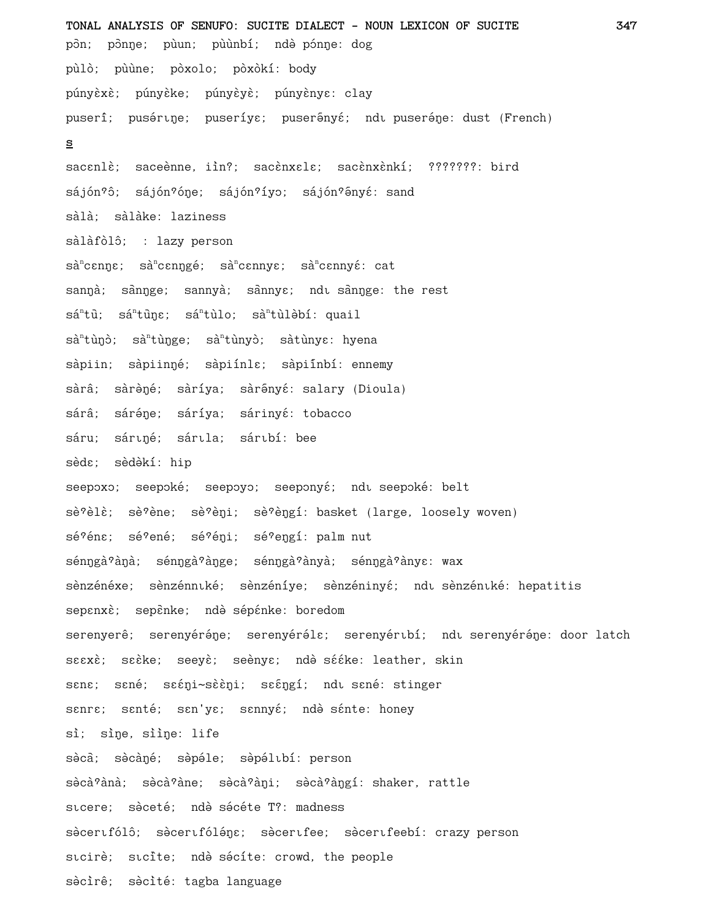TONAL ANALYSIS OF SENUFO: SUCITE DIALECT - NOUN LEXICON OF SUCITE 347 pôn; pônne; pùun; pùùnbí; ndè pónne: dog pùlò; pùùne; pòxolo; pòxòkí: body púnyèxè; púnyèke; púnyèyè; púnyènye: clay puserî; pusértne; puseríya; puserênyá; ndt puseréne: dust (French) s sacenlè; saceènne, iìn?; sacènxele; sacènxènkí; ???????: bird sájón?ô; sájón?óne; sájón?íyo; sájón?ényé: sand sàlà; sàlàke: laziness sàlàfòlô; : lazy person  $s\grave{a}^ncen\eta\epsilon$ ;  $s\grave{a}^ncen\eta g\acute{e}$ ;  $s\grave{a}^ncenny\epsilon$ ;  $s\grave{a}^ncenny\acute{e}$ : cat sannà; sànnge; sannyà; sànnye; ndu sànnge: the rest  $s\acute{a}^n t\ddot{u};$   $s\acute{a}^n t\ddot{u}n\epsilon$ ;  $s\acute{a}^n t\dot{u}l\dot{u}l\dot{b}l\dot{b}l$ : quail sà<sup>n</sup>tùnò; sà<sup>n</sup>tùnge; sà<sup>n</sup>tùnyò; sàtùnyɛ: hyena sàpiin; sàpiinné; sàpiínla; sàpiínbí: ennemy sàrâ; sàrèné; sàríya; sàrênyé: salary (Dioula) sárâ; sáréne; sáríya; sárinyé: tobacco sáru; sártné; sártla; sártbí: bee sèdɛ; sèdə̀kí: hip seepoxo; seepoké; seepoyo; seeponyé; ndi seepoké: belt sè?èlè; sè?ène; sè?èni; sè?èngí: basket (large, loosely woven) sé?éna; sé?ené; sé?éni; sé?engí: palm nut sénngà?àna; sénngà?ànge; sénngà?ànyà; sénngà?ànyɛ: wax sènzénéxe; sènzénnıké; sènzéníye; sènzéninyé; ndı sènzénıké: hepatitis sepanxè; sepènke; ndè sépénke: boredom serenyerê; serenyéréne; serenyéréla; serenyéribí; ndi serenyéréne: door latch szexè; seèke; seeyè; seènye; ndè sééke: leather, skin sana; sané; saáni~sààni; saángí; ndu sané: stinger sanre; santé; san'ye; sannyé; ndè sánte: honey sì; sìne, sììne: life sècà; sècàné; sèpéle; sèpélubí: person sòcà?ànà; sòcà?àne; sòcà?àni; sòcà?àngí: shaker, rattle sicere: sèceté: ndè sécéte T?: madness sècertfólô; sècertfóléne; sècertfee; sècertfeebí: crazy person sıcirè; sıcite; ndè sécíte: crowd, the people sècirê; sècité: tagba language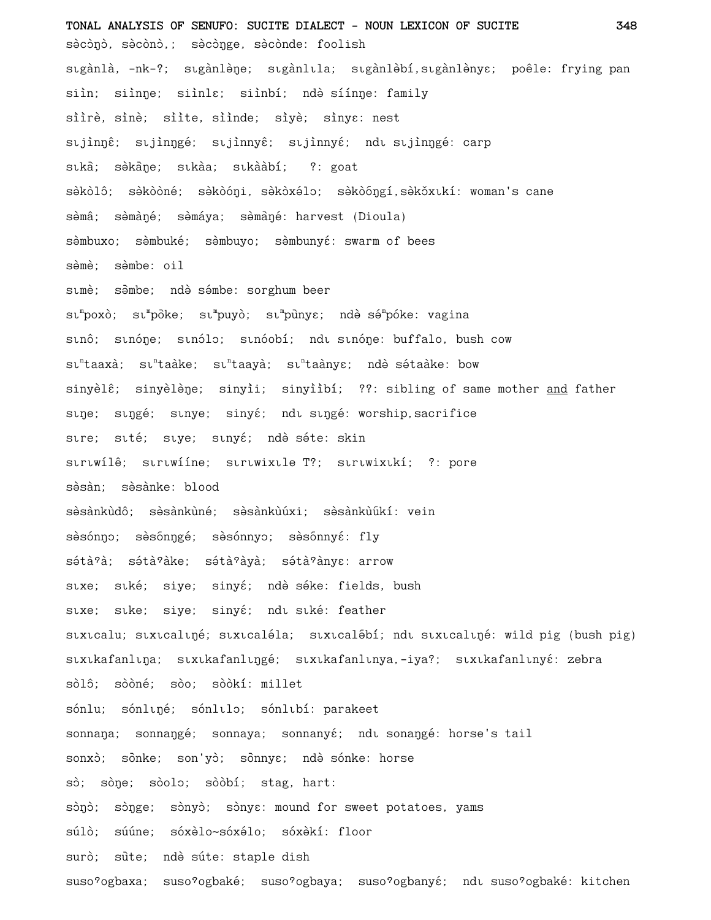**TONAL ANALYSIS OF SENUFO: SUCITE DIALECT - NOUN LEXICON OF SUCITE 348** sècònò, sècònò,; sècònge, sècònde: foolish sıgànlà, -nk-?; sigànlène; sigànlila; sigànlèbí,sigànlènyɛ; poêle: frying pan siìn; siìnne; siìnla; siìnbí; ndè síínne: family siìrè, sinè; siìte, siìnde; siyè; sinye: nest stjinné; stjinngé; stjinnyê; stjinnyé; ndi stjinngé: carp sīka; səkane; sīkaa; sīkaàbi; ?: goat sèkòlô; sèkòòné; sèkòóŋi, sèkòxélo; sèkòōŋgí,sèkŏxıkí: woman's cane sèmâ; sèmàné; sèmáya; sèmàné: harvest (Dioula) sèmbuxo; sèmbuké; sèmbuyo; sèmbunyé: swarm of bees sèmè; sèmbe: oil simè; səmbe; ndə səmbe: sorghum beer sı<sup>m</sup>poxò; sı<sup>m</sup>pōke; sı<sup>m</sup>puyò; sı<sup>m</sup>pūnyɛ; ndə̀ sə́<sup>m</sup>póke: vagina stnô; stnóne; stnólo; stnóobí; ndt stnóne: buffalo, bush cow sı<sup>n</sup>taaxà; sı<sup>n</sup>taàke; sı<sup>n</sup>taànym; ndè-sétaàke: bow sinyèlê; sinyèlène; sinyìi; sinyììbí; ??: sibling of same mother and father stne; stngé; stnye; sinyé; ndt stngé: worship,sacrifice stre; stté; stye; stnyé; ndè séte: skin strtwilê; strtwiíne; strtwixtle T?; strtwixtki; ?: pore sèsàn; sèsànke: blood sèsànkùdô; sèsànkùné; sèsànkùúxi; sèsànkùúkí: vein sèsónno; sèsónngé; sèsónnyo; sèsónnyé: fly sétà?à; sétà?àke; sétà?àyà; sétà?ànyɛ: arrow stxe; stké; siye; sinyé; ndè séke: fields, bush stxe; stke; siye; sinyé; ndt stké: feather stxtcalu; stxtcaltné; stxtcaléla; stxtcalébí; ndt stxtcaltné: wild pig (bush pig) stxtkafanltna; stxtkafanltngé; stxtkafanltnya,-iya?; stxtkafanltnyé: zebra sòlô; sòòné; sòo; sòòkí: millet sónlu; sónlugé; sónlulo; sónlubí: parakeet sonnaŋa; sonnaŋgé; sonnaya; sonnanyé; ndi sonaŋgé: horse's tail sonxò; sònke; son'yò; sònnye; ndè sónke: horse sò; sòne; sòolo; sòòbí; stag, hart: sònò; sònge; sònyò; sònye: mound for sweet potatoes, yams súlò; súúne; sóxèlo~sóxélo; sóxèkí: floor surò; sute; ndè súte: staple dish suso?ogbaxa; suso?ogbaké; suso?ogbaya; suso?ogbanyé; ndt suso?ogbaké: kitchen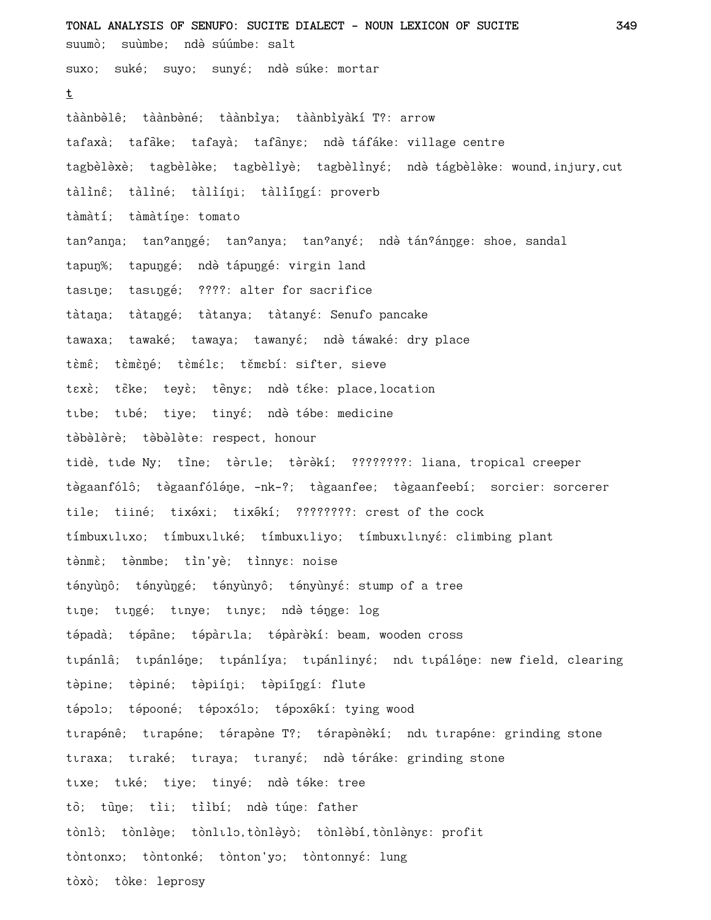**TONAL ANALYSIS OF SENUFO: SUCITE DIALECT - NOUN LEXICON OF SUCITE 349** suumò; suùmbe; ndè súúmbe: salt suxo; suké; suyo; sunyé; ndè súke: mortar **t** tàànbèlê; tàànbèné; tàànbìya; tàànbìyàkí T?: arrow tafaxà; tafāke; tafayà; tafānyɛ; ndè táfáke: village centre tagbèlèxè; tagbèlèke; tagbèlìyè; tagbèlìnyé; ndè tágbèlèke: wound,injury,cut tàlìnê; tàlìné; tàlìíni; tàlìíngí: proverb tàmàtí; tàmàtíne: tomato tan<sup>9</sup>anna; tan<sup>9</sup>anngé; tan°anya; tan°anyé; ndè tán°ánnge: shoe, sandal tapun%; tapungé; ndè tápungé: virgin land tasine; tasingé; ????: alter for sacrifice tàtana; tàtangé; tàtanya; tàtanyé: Senufo pancake tawaxa; tawaké; tawaya; tawanyé; ndè táwaké: dry place tèmê; tèmèné; tèméle; těmebí: sifter, sieve texè; tèke; teyè; tènye; ndè téke: place,location tibe; tibé; tiye; tinyé; ndè tébe: medicine tèbèlèrè; tèbèlète: respect, honour tidè, tīde Ny; tine; tèrīle; tèrèkí; ????????: liana, tropical creeper tègaanfólô; tègaanfóléne, -nk-?; tàgaanfee; tègaanfeebí; sorcier: sorcerer tile; tiiné; tixéxi; tixékí; ????????: crest of the cock tímbuxtltxo; tímbuxtltké; tímbuxtliyo; tímbuxtltnyé: climbing plant tènmè; tènmbe; tìn'yè; tìnnye: noise tényùnô; tényùngé; tényùnyô; tényùnyé: stump of a tree tine; tingé; tinye; tinye; ndè ténge: log tépadà; tépàne; tépàrıla; tépàrèkí: beam, wooden cross tıpánlâ; tıpánléne; tıpánlíya; tıpánlinyé; ndı tıpáléne: new field, clearing tèpine; tèpiné; tèpiíni; tèpiíngí: flute tépolo; tépooné; tépoxólo; tépoxékí: tying wood tırapénê; tırapéne; térapène T?; térapènèkí; ndı tırapéne: grinding stone tıraxa; tıraké; tıraya; tıranyé; ndè téráke: grinding stone tıxe; tiké; tiye; tinyé; ndè téke: tree tò; tùne; tìi; tììbí; ndè túne: father tònlò; tònlène; tònlılo,tònlèyò; tònlèbí,tònlènye: profit tòntonxo; tòntonké; tònton'yo; tòntonnyé: lung tòxò; tòke: leprosy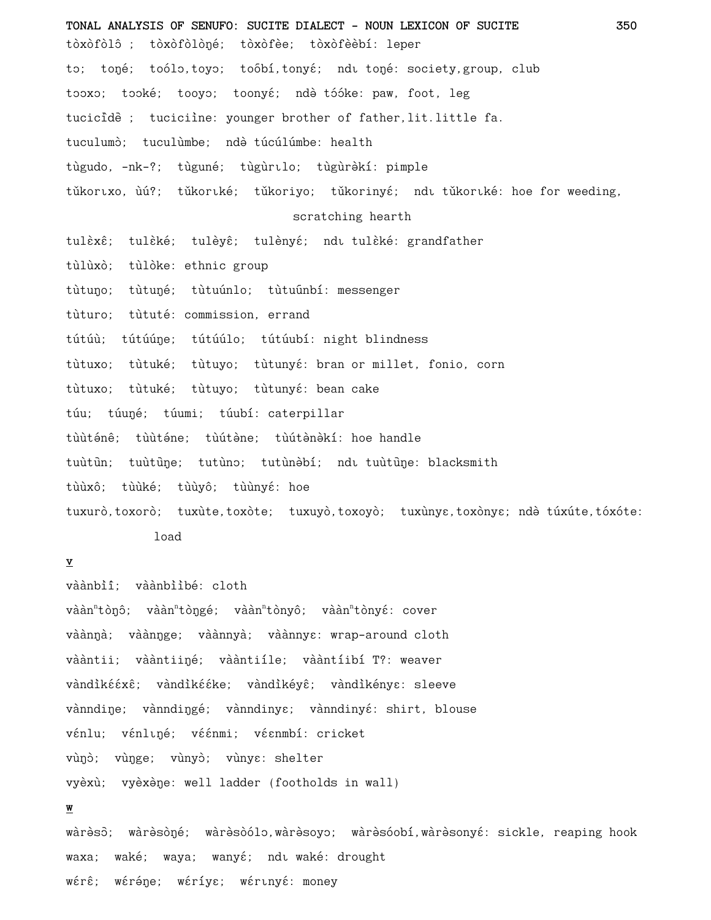**TONAL ANALYSIS OF SENUFO: SUCITE DIALECT - NOUN LEXICON OF SUCITE 350** tòxòfòlô ; tòxòfòlòné; tòxòfèe; tòxòfèèbí: leper to; toŋé; toólo,toyo; toõbí,tonyé; ndu toŋé: society,group, club tooxo; tooké; tooyo; toonyé; ndè tóóke: paw, foot, leg tucicide ; tuciciine: younger brother of father, lit.little fa. tuculumò; tuculùmbe; ndò túcúlúmbe: health tùgudo, -nk-?; tùguné; tùgùrīlo; tùgùrèkí: pimple tǔkortxo, ùú?; tǔkortké; tǔkoriyo; tǔkorinyé; ndt tǔkortké: hoe for weeding, scratching hearth tulèxê; tulèké; tulèyê; tulènyé; ndi tulèké: grandfather tùlùxò; tùlòke: ethnic group tùtuno; tùtuné; tùtuúnlo; tùtuúnbí: messenger tùturo; tùtuté: commission, errand tútúù; tútúúne; tútúúlo; tútúubí: night blindness tùtuxo; tùtuké; tùtuyo; tùtunyé: bran or millet, fonio, corn tùtuxo; tùtuké; tùtuyo; tùtunyé: bean cake túu; túuné; túumi; túubí: caterpillar tùùténê: tùùténe: tùútène: tùútènèkí: hoe handle tuùtūn; tuùtūne; tutùno; tutùnèbí; ndi tuùtūne: blacksmith tùùxô; tùùké; tùùyô; tùùnyé: hoe tuxurò,toxorò; tuxùte,toxòte; tuxuyò,toxoyò; tuxùnye,toxònye; ndè túxúte,tóxóte: load

### **v**

vàànbìî: vàànbììbé: cloth vààn<sup>n</sup>tòŋô; vààn<sup>n</sup>tòŋgé; vààn<sup>n</sup>tònyô; vààn<sup>n</sup>tònyé: cover vàànnà; vàànnge; vàànnyà; vàànnya: wrap-around cloth vààntii; vààntiiné; vààntiíle; vààntíibí T?: weaver vàndìkééxê; vàndìkééke; vàndìkéyê; vàndìkénye: sleeve vànndine; vànndingé; vànndinye; vànndinyé: shirt, blouse vénlu; vénlugé; véénmi; véenmbí: cricket vùno; vùnge; vùnyo; vùnye: shelter vyèxù; vyèxène: well ladder (footholds in wall)

## **w**

wàrèsò; wàrèsòŋé; wàrèsòólo,wàrèsoyo; wàrèsóobí,wàrèsonyé: sickle, reaping hook waxa; waké; waya; wanyé; ndi waké: drought wérê; wéréne; wéríye; wérinyé: money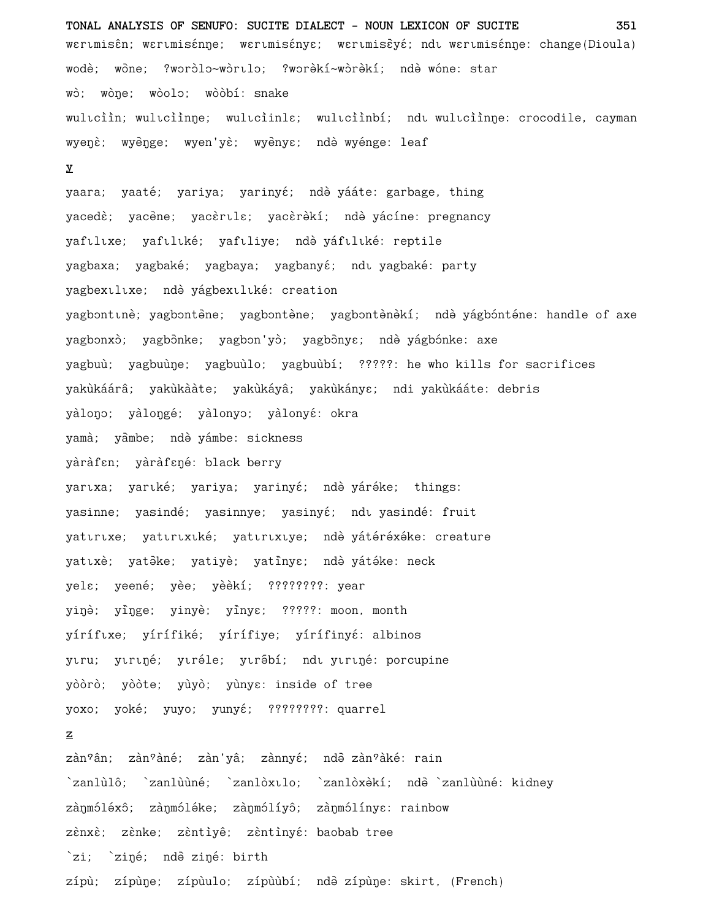**TONAL ANALYSIS OF SENUFO: SUCITE DIALECT - NOUN LEXICON OF SUCITE 351** wertmisên; wertmisénge; wertmisénye; wertmisèyé; ndt wertmisénge: change(Dioula) wodè; wòne; ?woròlo~wòrılo; ?worèkí~wòrèkí; ndè wóne: star wò; wòne; wòolo; wòòbí: snake wuliciin; wuliciinne; wuliciinla; wuliciinbí; ndi wuliciinne: crocodile, cayman wyenè; wyènge; wyen'yè; wyènye; ndè wyénge: leaf

#### **y**

yaara; yaaté; yariya; yarinyé; ndè yááte: garbage, thing yacedè; yacène; yacèrılɛ; yacèrèkí; ndè yácíne: pregnancy yaftlixe; yaftliké; yaftliye; ndè yáftliké: reptile yagbaxa; yagbaké; yagbaya; yagbanyé; ndi yagbaké: party yagbextltxe; ndè yágbextliké: creation yagbontinè; yagbontène; yagbontène; yagbontènèkí; ndè yágbónténe: handle of axe yagbonxò; yagbônke; yagbon'yò; yagbônyɛ; ndè yágbónke: axe yagbuù; yagbuùne; yagbuùlo; yagbuùbí; ?????: he who kills for sacrifices yakùkáárâ; yakùkààte; yakùkáyâ; yakùkányɛ; ndi yakùkááte: debris yàlono; yàlongé; yàlonyo; yàlonyé: okra yamà; yàmbe; ndè yámbe: sickness yàràfɛn; yàràfɛné: black berry yartxa; yartké; yariya; yarinyé; ndè yáréke; things: yasinne; yasindé; yasinnye; yasinyé; ndı yasindé: fruit yattrixe; yattrixiké; yattrixiye; ndè yátéréxéke: creature yatıxè; yatêke; yatiyè; yatînye; ndè yátéke: neck yela; yeené; yèe; yèèkí; ????????: year yiŋè; yîŋge; yinyè; yînyɛ; ?????: moon, month yíríftxe; yírífiké; yírífiye; yírífinyé: albinos ytru; ytrtné; ytréle; ytrébí; ndt ytrtné: porcupine yòòrò; yòòte; yùyò; yùnya: inside of tree yoxo; yoké; yuyo; yunyé; ????????: quarrel **z** zàn°ân; zàn°àné; zàn'yâ; zànnyé; ndò zàn°àké: rain

`zanlùlô; `zanlùùné; `zanlòxılo; `zanlòxèkí; ndē `zanlùùné: kidney zànmóléxô; zànmóléke; zànmólíyô; zànmólínya: rainbow zènxè; zènke; zèntìyê; zèntìnyé: baobab tree `zi; `ziņé; ndē ziņé: birth zípù; zípùņe; zípùulo; zípùùbí; ndà zípùņe: skirt, (French)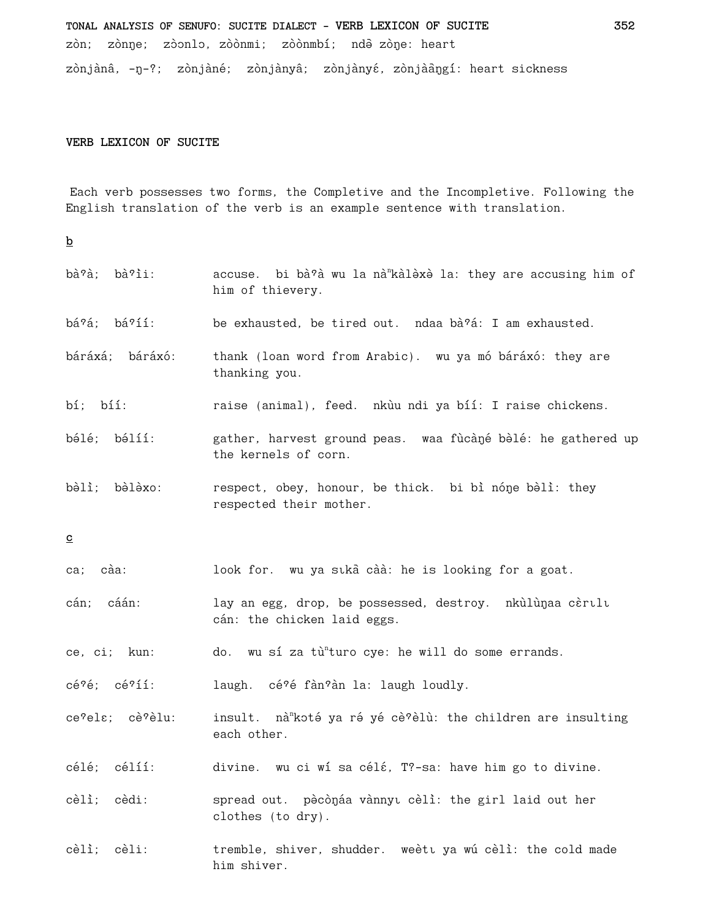TONAL ANALYSIS OF SENUFO: SUCITE DIALECT - VERB LEXICON OF SUCITE zòn; zònne; zòonlo, zòònmi; zòònmbí; ndà zòne: heart zònjànâ, -ŋ-?; zònjàné; zònjànyâ; zònjànyé, zònjàāŋgí: heart sickness 352

## VERB LEXICON OF SUCITE

Each verb possesses two forms, the Completive and the Incompletive. Following the English translation of the verb is an example sentence with translation.

 $\underline{\mathbf{b}}$ 

| bà?à; bà?ìi:                                   | accuse. bi bà?à wu la nà kàlèxè la: they are accusing him of<br>him of thievery.        |
|------------------------------------------------|-----------------------------------------------------------------------------------------|
| bá?á; bá?íí:                                   | be exhausted, be tired out. ndaa bà?á: I am exhausted.                                  |
| báráxá; báráxó:                                | thank (loan word from Arabic). wu ya mó báráxó: they are<br>thanking you.               |
| $b_i$ ; $b_i$ :                                | raise (animal), feed. nkùu ndi ya bíí: I raise chickens.                                |
| bélé; bélíí:                                   | gather, harvest ground peas. waa fùcàné bèlé: he gathered up<br>the kernels of corn.    |
| bèlì; bèlèxo:                                  | respect, obey, honour, be thick. bi bì nóne bèlì: they<br>respected their mother.       |
| $\overline{c}$                                 |                                                                                         |
| càa:<br>ca;                                    | look for. wu ya sıka caa: he is looking for a goat.                                     |
| cán; cáán:                                     | lay an egg, drop, be possessed, destroy. nkùlùnaa cèrulu<br>cán: the chicken laid eggs. |
| ce, ci; kun:                                   | do. wu sí za tù <sup>n</sup> turo cye: he will do some errands.                         |
| $c\acute{e}$ ? $\acute{e}$ ; $c\acute{e}$ ?íí: | laugh. cé ?é fàn ?àn la: laugh loudly.                                                  |
| ce?els; cè?èlu:                                | insult. nà koté ya ré yé cè?èlù: the children are insulting<br>each other.              |
| célé; célíí:                                   | divine. wu ci wí sa célé, T?-sa: have him go to divine.                                 |
| cèlì;<br>cèdi:                                 | spread out. pècònáa vànnyu cèlì: the girl laid out her<br>clothes (to dry).             |
| cèlì;<br>cèli:                                 | tremble, shiver, shudder. weèti ya wú cèlì: the cold made<br>him shiver.                |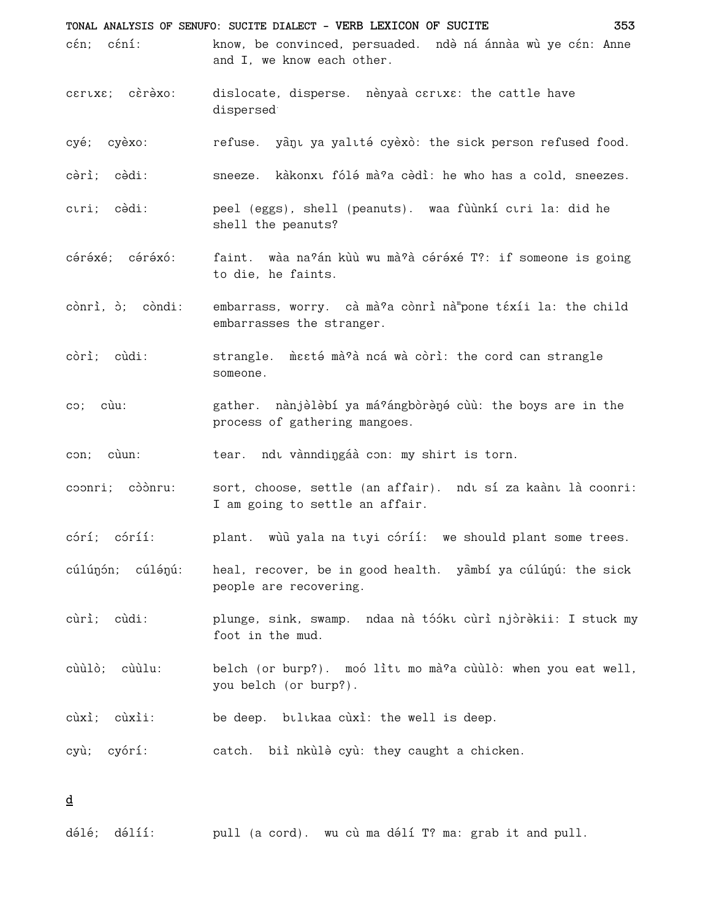TONAL ANALYSIS OF SENUFO: SUCITE DIALECT - VERB LEXICON OF SUCITE 353 cén: céní: know, be convinced, persuaded. ndè ná ánnàa wù ye cén: Anne and I, we know each other. cartxa; carexo: dislocate, disperse. nènyaà caruxa: the cattle have dispersed cyé; cyèxo: refuse. yànı ya yalıté cyèxò: the sick person refused food. cèrì: cèdi: sneeze. kàkonxu fólé mà?a cèdì: he who has a cold. sneezes. cıri: cèdi: peel (eggs), shell (peanuts). waa fùùnkí ciri la: did he shell the peanuts? céréxé: céréxó: faint. wàa na?án kùù wu mà?à céréxé T?: if someone is going to die, he faints. cònrì, ò; còndi: embarrass, worry. cà mà ?a cònrì nà pone téxíi la: the child embarrasses the stranger. còrì: cùdi: strangle. mesté mà ?à ncá wà còri: the cord can strangle someone. gather. nànjèlèbí ya má?ángbòrèné cùù: the boys are in the  $\cos$ ;  $\sin$ : process of gathering mangoes. tear. ndu vànndingáà con: my shirt is torn. con; cùun: coonri: còònru: sort, choose, settle (an affair). ndu sí za kaànu là coonri: I am going to settle an affair. córí; córíí: plant. wùù yala na tıyi córíí: we should plant some trees. cúlúnón; cúlénú: heal, recover, be in good health. yambí ya cúlúnú: the sick people are recovering. cùrì; cùdi: plunge, sink, swamp. ndaa nà tóókı cùrì njòrèkii: I stuck my foot in the mud. cùùlò: cùùlu: belch (or burp?). moó litt mo mà?a cùùlò: when you eat well, you belch (or burp?). be deep. bulukaa cùxì: the well is deep. cùxì; cùxìi: cyù; cyórí: catch. biì nkùlè cyù: they caught a chicken.

d

délé; délíí: pull (a cord). wu cù ma délí T? ma: grab it and pull.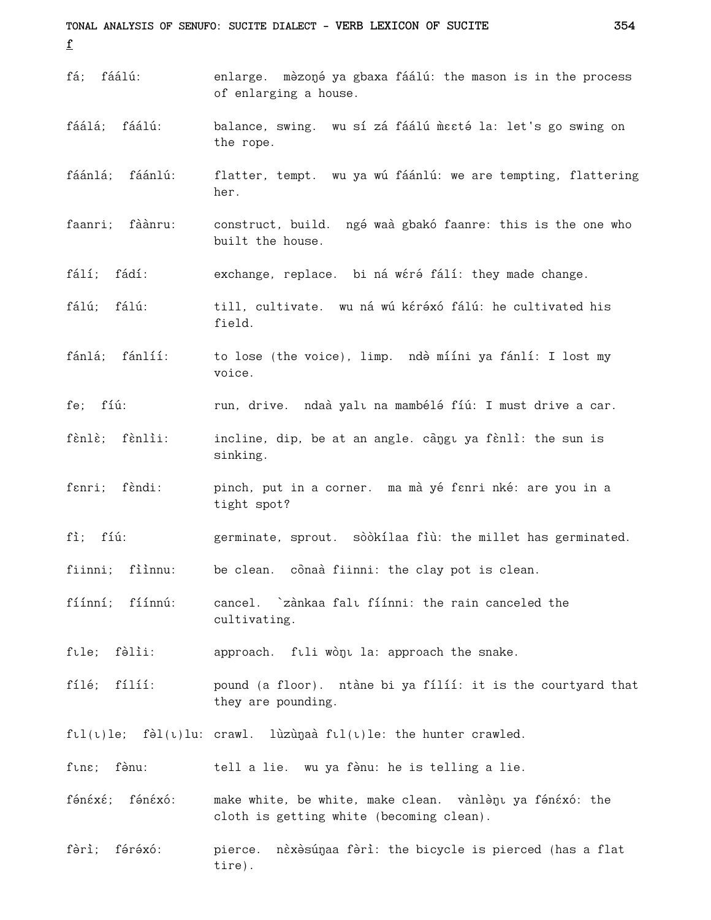TONAL ANALYSIS OF SENUFO: SUCITE DIALECT - VERB LEXICON OF SUCITE 354  $\mathbf{f}$ fá; fáálú: enlarge. mèzoné ya gbaxa fáálú: the mason is in the process of enlarging a house. fáálá: fáálú: balance, swing. wu sí zá fáálú mesté la: let's go swing on the rope. flatter, tempt. wu ya wú fáánlú: we are tempting, flattering fáánlá: fáánlú: her. faanri; fàànru: construct, build. ngé waà gbakó faanre: this is the one who built the house. fálí; fádí: exchange, replace. bi ná wéré fálí: they made change. fálú: fálú: till, cultivate. wu ná wú kéréxó fálú: he cultivated his field. fánlá: fánlíí: to lose (the voice), limp. ndè mííni ya fánlí: I lost my voice. fe: fíú: run, drive. ndaà yalı na mambélé fíú: I must drive a car. fènlè; fènlìi: incline, dip, be at an angle. càngu ya fènlì: the sun is sinking. fenri: fèndi: pinch, put in a corner. ma mà yé fanri nké: are you in a tight spot? fì: fíú: germinate, sprout. sòòkílaa fìù: the millet has germinated. fiinni; fììnnu: be clean. cônaà fiinni: the clay pot is clean. cancel. `zànkaa falu fíínni: the rain canceled the fíínní: fíínnú: cultivating. fule; fèlii: approach. fuli wònu la: approach the snake. fílé; fílíí: pound (a floor). ntàne bi ya fílíí: it is the courtyard that they are pounding.  $f \cup (t)$ le; fèl $(t)$ lu: crawl. lùzùnaà f $t (t)$ le: the hunter crawled. fune; fènu: tell a lie. wu ya fènu: he is telling a lie. fénéxé: fénéxó: make white, be white, make clean. vànlènt ya fénéxó: the cloth is getting white (becoming clean). fèrì; féréxó: pierce. nèxèsúnaa fèrì: the bicycle is pierced (has a flat tire).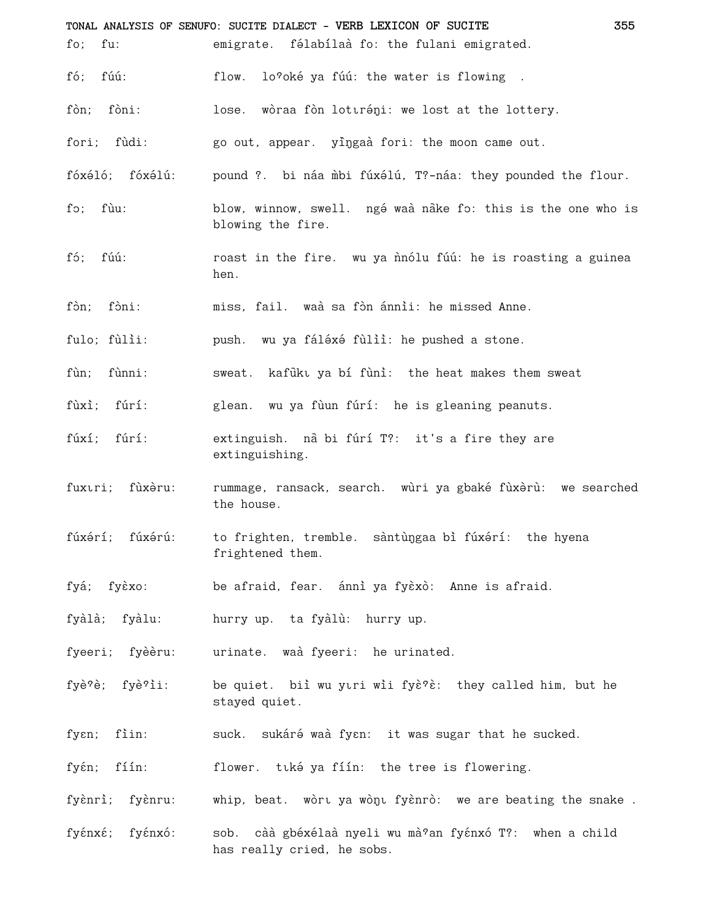|                    | TONAL ANALYSIS OF SENUFO: SUCITE DIALECT - VERB LEXICON OF SUCITE<br>355                 |
|--------------------|------------------------------------------------------------------------------------------|
| fo;<br>fu:         | emigrate. félabílaà fo: the fulani emigrated.                                            |
| fúú:<br>fó;        | flow.<br>lo?oké ya fúú: the water is flowing.                                            |
| fòn; fòni:         | lose. wòraa fòn lotiráni: we lost at the lottery.                                        |
| fori; fùdi:        | go out, appear. yingaà fori: the moon came out.                                          |
| fóxéló; fóxélú:    | pound ?. bi náa mbi fúxélú, T?-náa: they pounded the flour.                              |
| fùu:<br>fo;        | blow, winnow, swell. ngé waà nake fo: this is the one who is<br>blowing the fire.        |
| fó;<br>fúú:        | roast in the fire. wu ya nnólu fúú: he is roasting a guinea<br>hen.                      |
| fòn; fòni:         | miss, fail. waà sa fòn ánnii: he missed Anne.                                            |
| fulo; fùlìi:       | push. wu ya fáléxé fùlìì: he pushed a stone.                                             |
| fùnni:<br>fùn;     | sweat. kafukt ya bí funi: the heat makes them sweat                                      |
| fùxì; fúrí:        | glean. wu ya fùun fúrí: he is gleaning peanuts.                                          |
| fúxí; fúrí:        | extinguish. nà bi fúrí T?: it's a fire they are<br>extinguishing.                        |
| fuxuri; fùxèru:    | rummage, ransack, search. wùri ya gbaké fùxèrù: we searched<br>the house.                |
|                    | fúxérí; fúxérú: to frighten, tremble. sàntùngaa bì fúxérí: the hyena<br>frightened them. |
| fyá; fyèxo:        | be afraid, fear. ánni ya fyèxò: Anne is afraid.                                          |
| fyàlà; fyàlu:      | hurry up. ta fyàlù: hurry up.                                                            |
| fyeeri; fyèèru:    | urinate. waà fyeeri: he urinated.                                                        |
| fyè?è; fyè?ìi:     | be quiet. biì wu yıri wii fyè?è: they called him, but he<br>stayed quiet.                |
| fìin:<br>fyen;     | suck. sukáré waà fyen: it was sugar that he sucked.                                      |
| fíín:<br>fyέn;     | flower. tuké ya fíín: the tree is flowering.                                             |
| fyènrì; fyènru:    | whip, beat. wòrt ya wònt fyènrò: we are beating the snake.                               |
| fyέnxέ;<br>fyénxó: | càà gbéxélaà nyeli wu mà?an fyénxó T?: when a child<br>sob.                              |

has really cried, he sobs.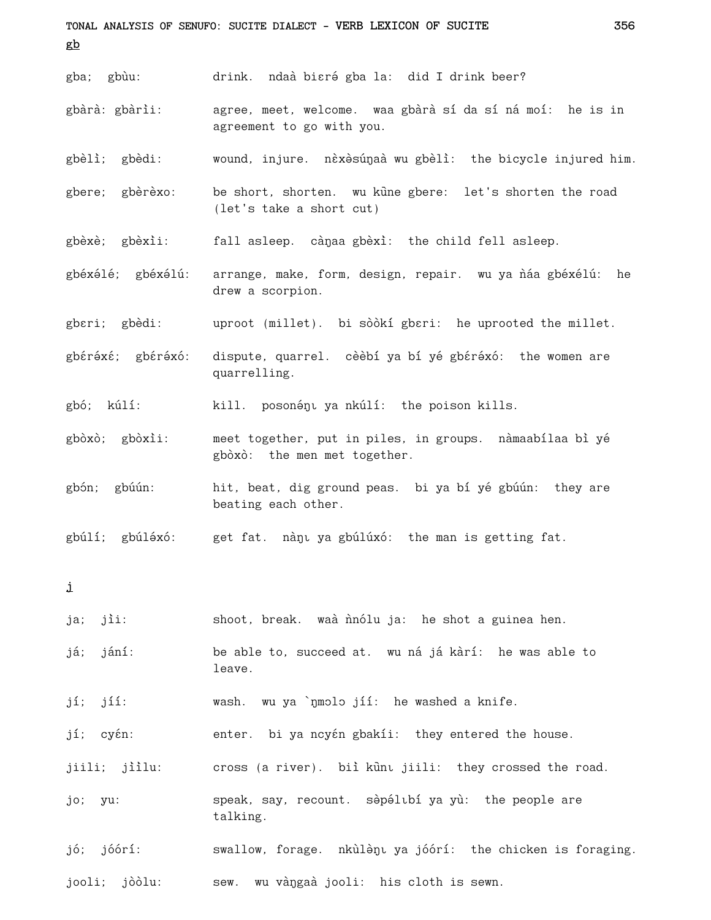**TONAL ANALYSIS OF SENUFO: SUCITE DIALECT - VERB LEXICON OF SUCITE 356 gb** gba; gbùu: drink. ndaà bi $\varepsilon$ rá gba la: did I drink beer? gbàrà: gbàrìi: agree, meet, welcome. waa gbàrà sí da sí ná moí: he is in agreement to go with you. gbèlì; gbèdi: wound, injure. nèxèsúŋaà wu gbèlì: the bicycle injured him. gbere; gbèrèxo: be short, shorten. wu kune gbere: let's shorten the road (let's take a short cut) gbèxè; gbèxìi: fall asleep. cànaa gbèxì: the child fell asleep. gbéxélé; gbéxélú: arrange, make, form, design, repair. wu ya náa gbéxélú: he drew a scorpion. gberi; gbèdi: uproot (millet). bi sòòkí gberi: he uprooted the millet. gbéréxé; gbéréxó: dispute, quarrel. cèèbí ya bí yé gbéréxó: the women are quarrelling. gbó; kúlí: kill. posonény ya nkúlí: the poison kills. gbòxò; gbòxìi: meet together, put in piles, in groups. nàmaabílaa bì yé gbòxò: the men met together. gbón; gbúún: hit, beat, dig ground peas. bi ya bí yé gbúún: they are beating each other. gbúlí; gbúléxó: get fat. nàny ya gbúlúxó: the man is getting fat. **j** ja; jìi: shoot, break. waà n`no ja: he shot a guinea hen. já; jání: be able to, succeed at. wu ná já kàrí: he was able to leave. jí; jíí: wash. wu ya `ŋmɔlɔ jíí: he washed a knife. jí; cyén: enter. bi ya ncyén gbakíi: they entered the house. jiili; jiilu: cross (a river). biì ku`n jiili: they crossed the road. jo; yu: speak, say, recount. sèpélibí ya yù: the people are talking. jó; jóórí: swallow, forage. nkùlèn, ya jóórí: the chicken is foraging. jooli; jòòlu: sew. wu vàŋgaà jooli: his cloth is sewn.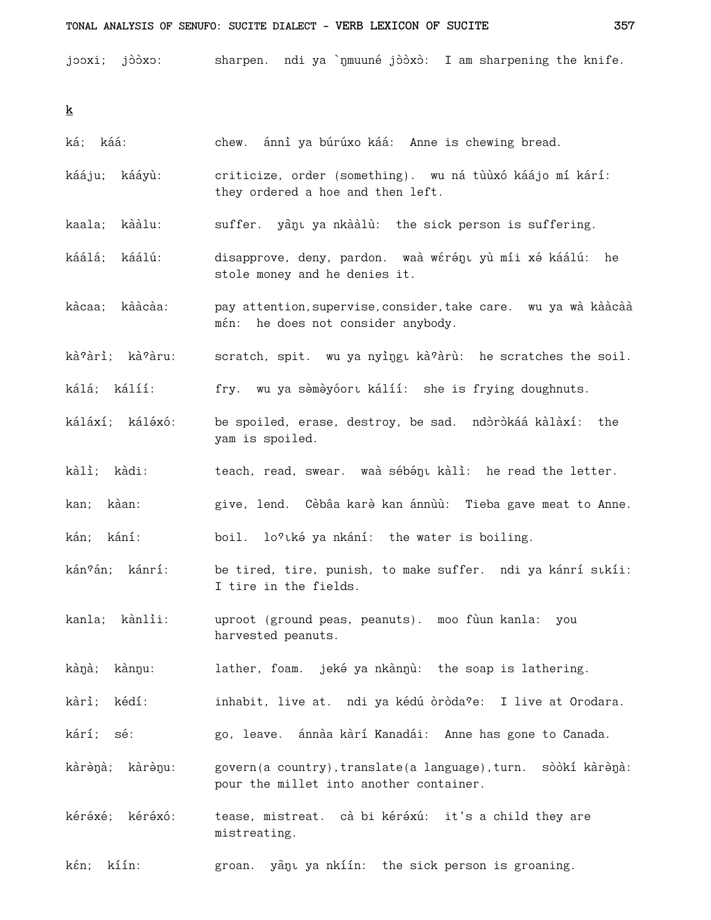jooxi; jòòxo: sharpen. ndi ya `nmuuné jòòxò: I am sharpening the knife.

 $\underline{\textbf{k}}$ 

| ká; káá:           | chew. ánni ya búrúxo káá: Anne is chewing bread.                                                         |
|--------------------|----------------------------------------------------------------------------------------------------------|
| kááju; kááyù:      | criticize, order (something). wu ná tùùxó káájo mí kárí:<br>they ordered a hoe and then left.            |
| kaala; kààlu:      | suffer. yanu ya nkaalu: the sick person is suffering.                                                    |
| káálá; káálú:      | disapprove, deny, pardon. waà wérény yù míi xé káálú: he<br>stole money and he denies it.                |
| kàcaa; kààcàa:     | pay attention, supervise, consider, take care. wu ya wà kààcàà<br>mén: he does not consider anybody.     |
| kà?àrì; kà?àru:    | scratch, spit. wu ya nyingu kà?àrù: he scratches the soil.                                               |
| kálá; kálíí:       | fry. wu ya sèmèyóort kálíí: she is frying doughnuts.                                                     |
| káláxí; káléxó:    | be spoiled, erase, destroy, be sad. ndòròkáá kàlàxí:<br>the<br>yam is spoiled.                           |
| kàlì; kàdi:        | teach, read, swear. waà sébény kàlì: he read the letter.                                                 |
| kan; kàan:         | give, lend. Cèbâa karè kan ánnùù: Tieba gave meat to Anne.                                               |
| kán; kání:         | boil. lo?tké ya nkání: the water is boiling.                                                             |
| kán?án; kánrí:     | be tired, tire, punish, to make suffer. ndi ya kánrí sıkíi:<br>I tire in the fields.                     |
| kanla; kànlìi:     | uproot (ground peas, peanuts). moo fùun kanla:<br>you<br>harvested peanuts.                              |
| kàŋà;<br>kànŋu:    | lather, foam. jeké ya nkànnù: the soap is lathering.                                                     |
| kàrì;<br>kédí:     | inhabit, live at. ndi ya kédú òròda?e: I live at Orodara.                                                |
| kárí; sé:          | go, leave. ánnàa kàrí Kanadái: Anne has gone to Canada.                                                  |
| kàrènà; kàrènu:    | govern(a country), translate(a language), turn. sòòkí kàrènà:<br>pour the millet into another container. |
| kéréxé;<br>kéréxó: | tease, mistreat. cà bi kéréxú: it's a child they are<br>mistreating.                                     |
| kíín:<br>kέn;      | yànı ya nkíín:<br>the sick person is groaning.<br>groan.                                                 |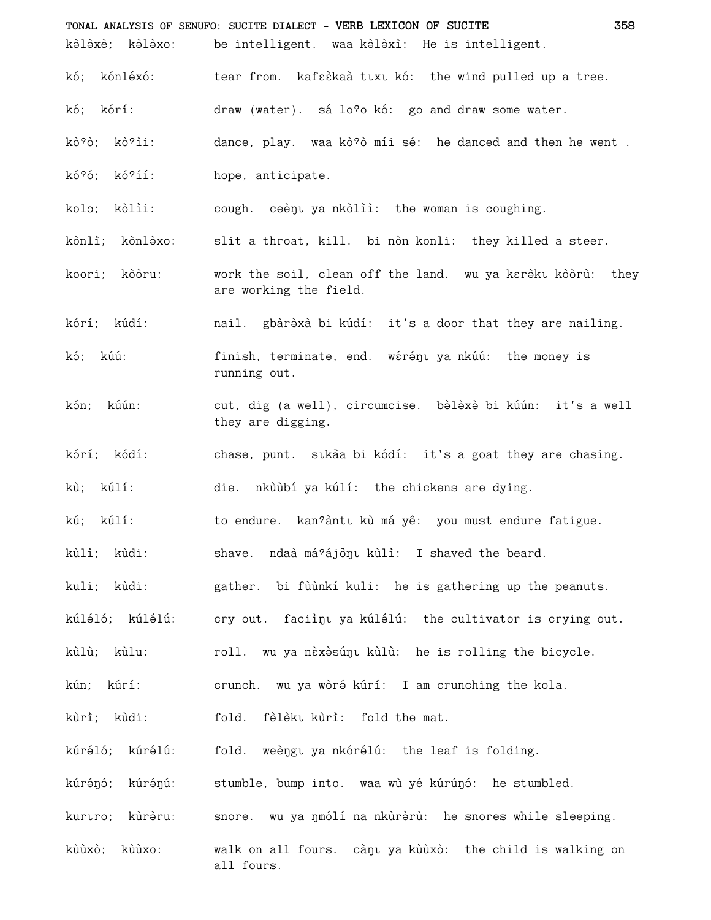|                 | TONAL ANALYSIS OF SENUFO: SUCITE DIALECT - VERB LEXICON OF SUCITE<br>358              |
|-----------------|---------------------------------------------------------------------------------------|
|                 | kèlèxè; kèlèxo: be intelligent. waa kèlèxì: He is intelligent.                        |
| kó; kónléxó:    | tear from. kafsèkaà tuxu kó: the wind pulled up a tree.                               |
| kó; kórí:       | draw (water). sá lo?o kó: go and draw some water.                                     |
| kò?ò; kò?ìi:    | dance, play. waa kò?ò míi sé: he danced and then he went.                             |
| kó?ó; kó?íí:    | hope, anticipate.                                                                     |
| kolo; kòlìi:    | cough. ceènt ya nkòliì: the woman is coughing.                                        |
| kònlì; kònlèxo: | slit a throat, kill. bi nòn konli: they killed a steer.                               |
| koori; kòòru:   | work the soil, clean off the land. wu ya kɛrèkī kòòrù: they<br>are working the field. |
| kórí; kúdí:     | nail. gbàrèxà bi kúdí: it's a door that they are nailing.                             |
| kó; kúú:        | finish, terminate, end. wérény ya nkúú: the money is<br>running out.                  |
| kón; kúún:      | cut, dig (a well), circumcise. bèlèxè bi kúún: it's a well<br>they are digging.       |
| kórí; kódí:     | chase, punt. stkaa bi kódí: it's a goat they are chasing.                             |
| kù; kúlí:       | die. nkùùbí ya kúlí: the chickens are dying.                                          |
| kú; kúlí:       | to endure. kan?àntı kù má yê: you must endure fatigue.                                |
| kùlì; kùdi:     | shave. ndaà má?ájon kull: I shaved the beard.                                         |
| kuli; kùdi:     | gather. bi fùùnkí kuli: he is gathering up the peanuts.                               |
| kúléló; kúlélú: | cry out. faciinu ya kúlélú: the cultivator is crying out.                             |
| kùlù; kùlu:     | roll. wu ya nèxèsún kùlù: he is rolling the bicycle.                                  |
| kún; kúrí:      | crunch. wu ya wòré kúrí: I am crunching the kola.                                     |
| kùrì; kùdi:     | fold. fèlèku kùrì: fold the mat.                                                      |
| kúréló; kúrélú: | fold. weèngu ya nkórélú: the leaf is folding.                                         |
| kúrénó; kúrénú: | stumble, bump into. waa wù yé kúrúnó: he stumbled.                                    |
| kurtro; kùrèru: | snore. wu ya nmólí na nkùrèrù: he snores while sleeping.                              |
| kùùxò; kùùxo:   | walk on all fours. cànu ya kùùxò: the child is walking on<br>all fours.               |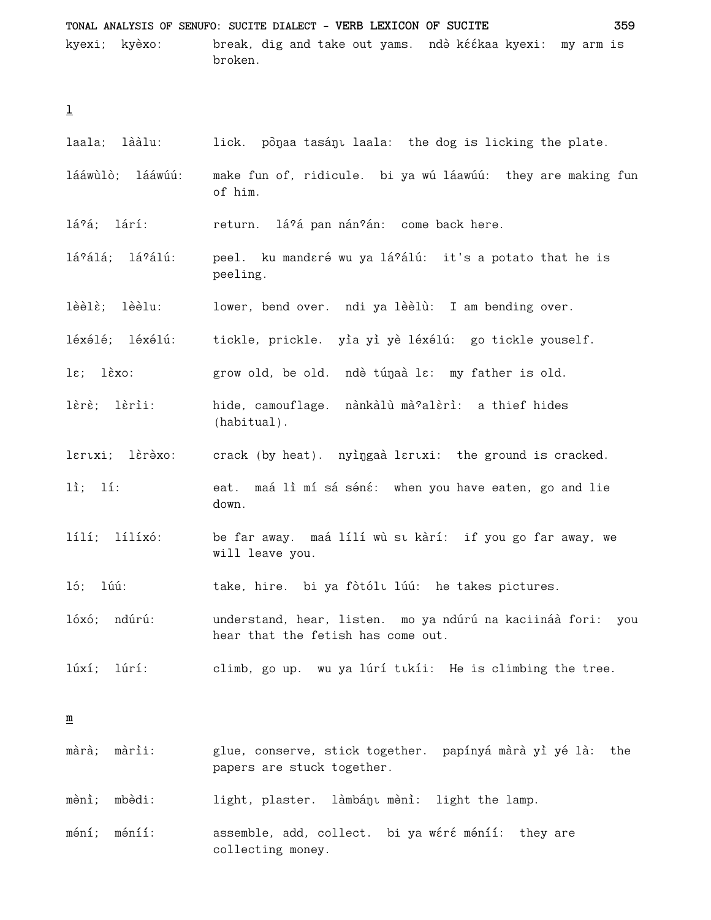TONAL ANALYSIS OF SENUFO: SUCITE DIALECT - VERB LEXICON OF SUCITE 359 break, dig and take out yams. ndè kéékaa kyexi: my arm is kyexi; kyèxo: broken.

 $\underline{1}$ 

| laala; lààlu:                             | lick. pônaa tasánı laala: the dog is licking the plate.                                              |
|-------------------------------------------|------------------------------------------------------------------------------------------------------|
| lááwùlò; lááwúú:                          | make fun of, ridicule. bi ya wú láawúú: they are making fun<br>of him.                               |
| lá?á; lárí:                               | return. lá?á pan nán?án: come back here.                                                             |
| lá?álá; lá?álú:                           | peel. ku manderé wu ya lá?álú: it's a potato that he is<br>peeling.                                  |
| lèèlè; lèèlu:                             | lower, bend over. ndi ya lèèlù: I am bending over.                                                   |
| léxélé; léxélú:                           | tickle, prickle. yìa yì yè léxélú: go tickle youself.                                                |
| $l\varepsilon$ ; $l \grave{\epsilon}$ xo: | grow old, be old. ndè túnaà la: my father is old.                                                    |
| lèrè; lèrìi:                              | hide, camouflage. nànkàlù mà?alèrì: a thief hides<br>$(habitual)$ .                                  |
| laruxi; làrèxo:                           | crack (by heat). nyingaà laruxi: the ground is cracked.                                              |
| $li;$ $li:$                               | eat. maá lì mí sá séné: when you have eaten, go and lie<br>down.                                     |
| lílí; lílíxó:                             | be far away. maá lílí wù sı kàrí: if you go far away, we<br>will leave you.                          |
| 15; 1úú:                                  | take, hire. bi ya fòtóli lúú: he takes pictures.                                                     |
| lóxó; ndúrú:                              | understand, hear, listen. mo ya ndúrú na kaciináà fori:<br>you<br>hear that the fetish has come out. |
| lúxí;<br>lúrí:                            | climb, go up. wu ya lúrí tikíi: He is climbing the tree.                                             |
| ≞                                         |                                                                                                      |
| màrìi:<br>màrà;                           | glue, conserve, stick together. papínyá màrà yì yé là:<br>the<br>papers are stuck together.          |
| mbèdi:<br>mènì;                           | làmbáŋı mə̀ni:<br>light, plaster.<br>light the lamp.                                                 |

assemble, add, collect. bi ya wéré méníí: they are  $m\acute{o}n\acute{1}$ ;  $m\acute{o}n\acute{1}\acute{1}$ : collecting money.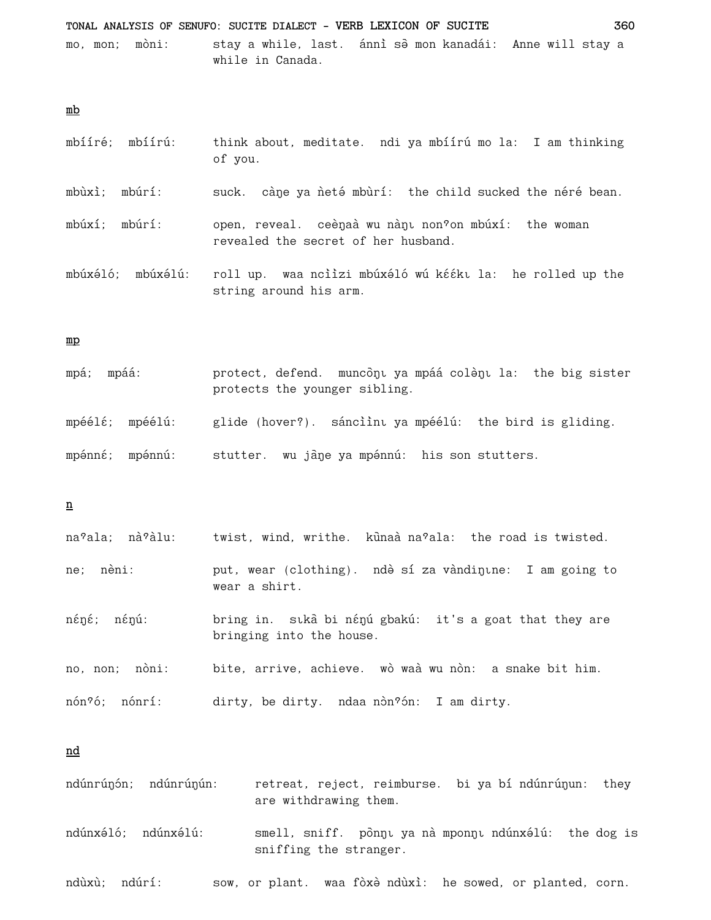TONAL ANALYSIS OF SENUFO: SUCITE DIALECT - VERB LEXICON OF SUCITE 360 mo, mon; mòni: stay a while, last. ánni se mon kanadái: Anne will stay a while in Canada.

 $mb$ 

- mbííré; mbíírú: think about, meditate. ndi ya mbíírú mo la: I am thinking of you.
- mbùxì; mbúrí: suck. càne ya neté mbùrí: the child sucked the néré bean.

mbúxí; mbúrí: open, reveal. ceènaà wu nànu non?on mbúxí: the woman revealed the secret of her husband.

mbúxéló; mbúxélú: roll up. waa nciizi mbúxéló wú kééku la: he rolled up the string around his arm.

#### $\underline{mp}$

| mpá; mpáá:      | protect, defend. muncôni ya mpáá colèni la: the big sister<br>protects the younger sibling. |  |  |
|-----------------|---------------------------------------------------------------------------------------------|--|--|
| mpéélé; mpéélú: | glide (hover?). sánciìnı ya mpéélú: the bird is gliding.                                    |  |  |
| mpénné; mpénnú: | stutter. wu jane ya mpénnú: his son stutters.                                               |  |  |

 $\underline{\mathbf{n}}$ 

| na?ala; nà?àlu: | twist, wind, writhe. kūnaà na?ala: the road is twisted.                             |
|-----------------|-------------------------------------------------------------------------------------|
| ne; nèni:       | put, wear (clothing). ndè sí za vàndintne: I am going to<br>wear a shirt.           |
| néné; nénú:     | bring in. sıka bi nénú gbakú: it's a goat that they are<br>bringing into the house. |
| no, non; nòni:  | bite, arrive, achieve. wò waà wu nòn: a snake bit him.                              |
| nón?ó; nónrí:   | dirty, be dirty. ndaa non?on: I am dirty.                                           |

nd

- ndúnrúnón; ndúnrúnún: retreat, reject, reimburse. bi ya bí ndúnrúnun: they are withdrawing them.
- ndúnxéló; ndúnxélú: smell, sniff. pònnu ya nà mponnu ndúnxélú: the dog is sniffing the stranger.

ndùxù; ndúrí: sow, or plant. waa fòxè ndùxì: he sowed, or planted, corn.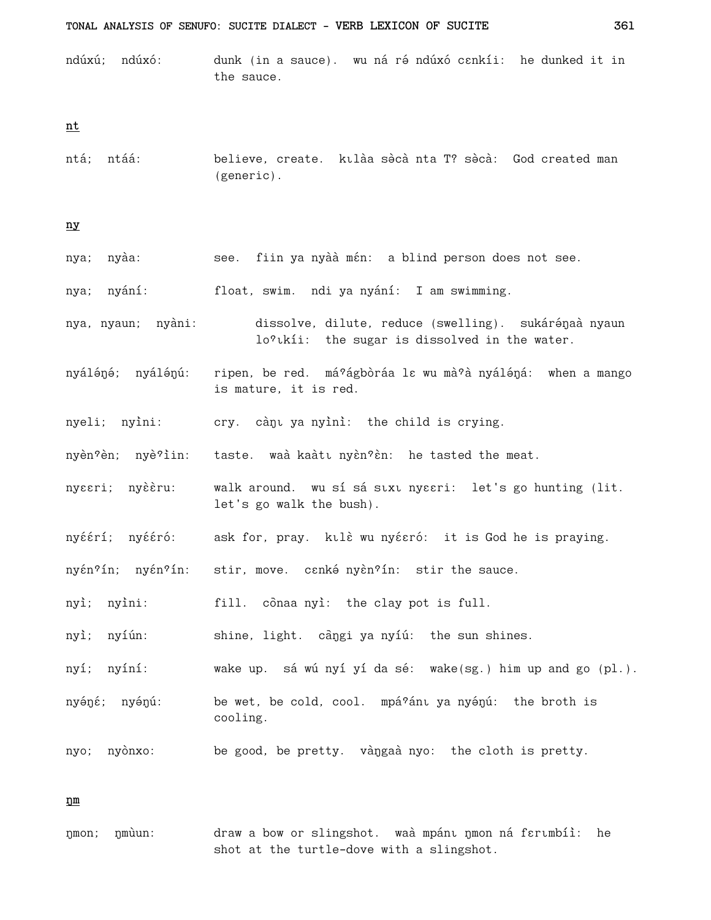ndúxú; ndúxó: dunk (in a sauce). wu ná ré ndúxó c $\epsilon$ nkíi: he dunked it in the sauce.

 $nt$ </u>

ntá; ntáá: believe, create. kulàa sòcà nta T? sòcà: God created man  $(generic)$ .

 $\underline{\mathtt{n}\mathtt{y}}$ 

| nya; nyàa:         | see. fiin ya nyàà mén: a blind person does not see.                                                   |
|--------------------|-------------------------------------------------------------------------------------------------------|
| nya; nyání:        | float, swim. ndi ya nyání: I am swimming.                                                             |
| nya, nyaun; nyàni: | dissolve, dilute, reduce (swelling). sukárénaà nyaun<br>lo?tkii: the sugar is dissolved in the water. |
| nyáléné; nyálénú:  | ripen, be red. má?ágbòráa la wu mà?à nyáléná: when a mango<br>is mature, it is red.                   |
| nyeli; nyìni:      | cry. cànu ya nyìnì: the child is crying.                                                              |
|                    | nyèn?èn; nyè?iin: taste. waà kaàtı nyèn?èn: he tasted the meat.                                       |
| nyssri; nyèèru:    | walk around. wu sí sá stxt nyeeri: let's go hunting (lit.<br>let's go walk the bush).                 |
| nyéérí; nyééró:    | ask for, pray. kulè wu nyésró: it is God he is praying.                                               |
| nyén?ín; nyén?ín:  | stir, move. canké nyàn?ín: stir the sauce.                                                            |
| nyì; nyìni:        | fill. conaa nyì: the clay pot is full.                                                                |
| nyì; nyíún:        | shine, light. càngi ya nyíú: the sun shines.                                                          |
| nyí; nyíní:        | wake up. sá wú nyí yí da sé: wake(sg.) him up and go (pl.)                                            |
| nyéné; nyénú:      | be wet, be cold, cool. mpá?ánt ya nyénú: the broth is<br>cooling.                                     |
| nyo; nyònxo:       | be good, be pretty. vàngaà nyo: the cloth is pretty.                                                  |

 $\underline{\mathfrak{v}}$ 

draw a bow or slingshot. waà mpánt nmon ná fertmbíì: he nmon; nmùun: shot at the turtle-dove with a slingshot.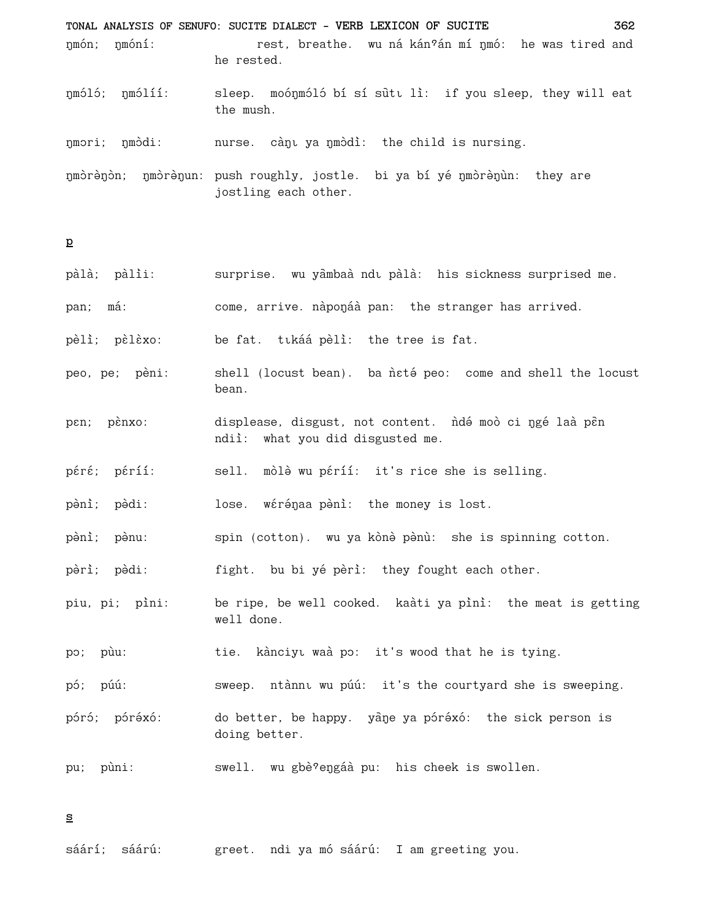TONAL ANALYSIS OF SENUFO: SUCITE DIALECT - VERB LEXICON OF SUCITE 362 nmón; nmóní: rest, breathe. wu ná kán?án mí nmó: he was tired and he rested. nmóló; nmólíí: sleep. moónmóló bí sí sutu lì: if you sleep, they will eat the mush. nmori; nmòdi: nurse. cànu ya nmòdì: the child is nursing. nmòrènòn; nmòrènun: push roughly, jostle. bi ya bí yé nmòrènun: they are jostling each other.

 $\mathbf{p}$ 

| pàlà; pàlìi:   | surprise. wu yàmbaà ndu pàlà: his sickness surprised me.                                    |
|----------------|---------------------------------------------------------------------------------------------|
| pan; má:       | come, arrive. nàponáà pan: the stranger has arrived.                                        |
| pèlì; pèlèxo:  | be fat. tukáá pèli: the tree is fat.                                                        |
| peo, pe; pèni: | shell (locust bean). ba neté peo: come and shell the locust<br>bean.                        |
| pen; pènxo:    | displease, disgust, not content. ndé moò ci ngé laà pèn<br>ndii: what you did disgusted me. |
| péré; péríí:   | sell. mòlè wu péríí: it's rice she is selling.                                              |
| pènì; pèdi:    | lose. wérénaa pèni: the money is lost.                                                      |
| pèni; pènu:    | spin (cotton). wu ya kònè pènù: she is spinning cotton.                                     |
| pèrì; pèdi:    | fight. bu bi yé pèri: they fought each other.                                               |
| piu, pi; pìni: | be ripe, be well cooked. kaàti ya pìnì: the meat is getting<br>well done.                   |
| po; pùu:       | tie. kànciyu waà po: it's wood that he is tying.                                            |
| pó; púú:       | sweep. ntànnı wu púú: it's the courtyard she is sweeping.                                   |
| póró; póréxó:  | do better, be happy. yane ya póréxó: the sick person is<br>doing better.                    |
| pùni:<br>pu;   | swell. wu gbè?engáà pu: his cheek is swollen.                                               |
|                |                                                                                             |

 $\underline{\mathbf{s}}$ 

sáárí; sáárú: greet. ndi ya mó sáárú: I am greeting you.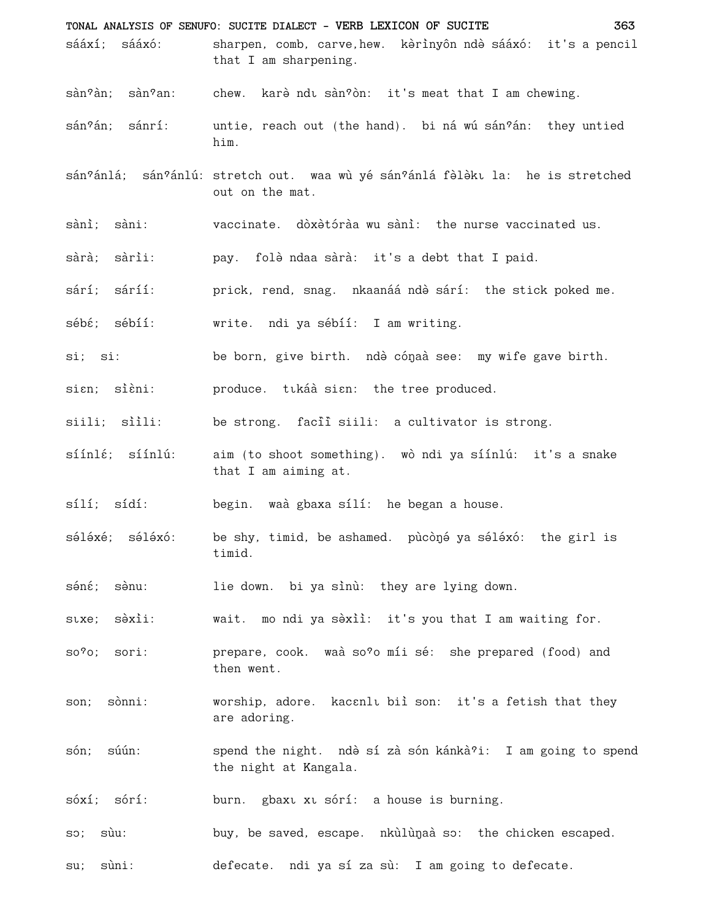- TONAL ANALYSIS OF SENUFO: SUCITE DIALECT VERB LEXICON OF SUCITE 363 sááxí: sááxó: sharpen, comb, carve, hew. kérinyôn ndè sááxó: it's a pencil that I am sharpening.
- $\sin^2$ àn:  $\sin^2$ an: chew. kare ndu san?on: it's meat that I am chewing.
- $sán?án: sánrí:$ untie, reach out (the hand). bi ná wú sán?án: they untied him.
- sán?ánlá; sán?ánlú: stretch out. waa wù yé sán?ánlá fèlèku la: he is stretched out on the mat.
- sànì; sàni: vaccinate. dòxètóràa wu sànì: the nurse vaccinated us.
- sàrà: sàrìi: pay. folè ndaa sàrà: it's a debt that I paid.
- prick, rend, snag. nkaanáá ndè sárí: the stick poked me. sárí: sáríí:
- sébé; sébíí: write. ndi ya sébíí: I am writing.
- si: si: be born, give birth. ndè cónaà see: my wife gave birth.
- sian; sièni: produce. tikáà sian: the tree produced.
- siili; siili: be strong. facii siili: a cultivator is strong.
- $s$ ínl $\epsilon$ ;  $s$ ínlú: aim (to shoot something). wò ndi ya síínlú: it's a snake that I am aiming at.
- $sílí; sídí:$ begin. waà gbaxa sílí: he began a house.
- séléxé: séléxó: be shy, timid, be ashamed. pùcòné ya séléxó: the girl is timid.
- séné: sènu: lie down. bi ya sinù: they are lying down.
- wait. mo ndi ya sèxiì: it's you that I am waiting for. stxe; sèxii:
- prepare, cook. waà so?o míi sé: she prepared (food) and  $so?o$ ; sori: then went.
- worship, adore. kacanlı biì son: it's a fetish that they son; sònni: are adoring.
- són: súún: spend the night. ndè sí zà són kánkà?i: I am going to spend the night at Kangala.
- burn. gbaxt xt sórí: a house is burning. sóxí; sórí:
- buy, be saved, escape. nkùlùnaà so: the chicken escaped. SO; sùu:
- defecate. ndi ya sí za sù: I am going to defecate.  $su:$  $s$ uni: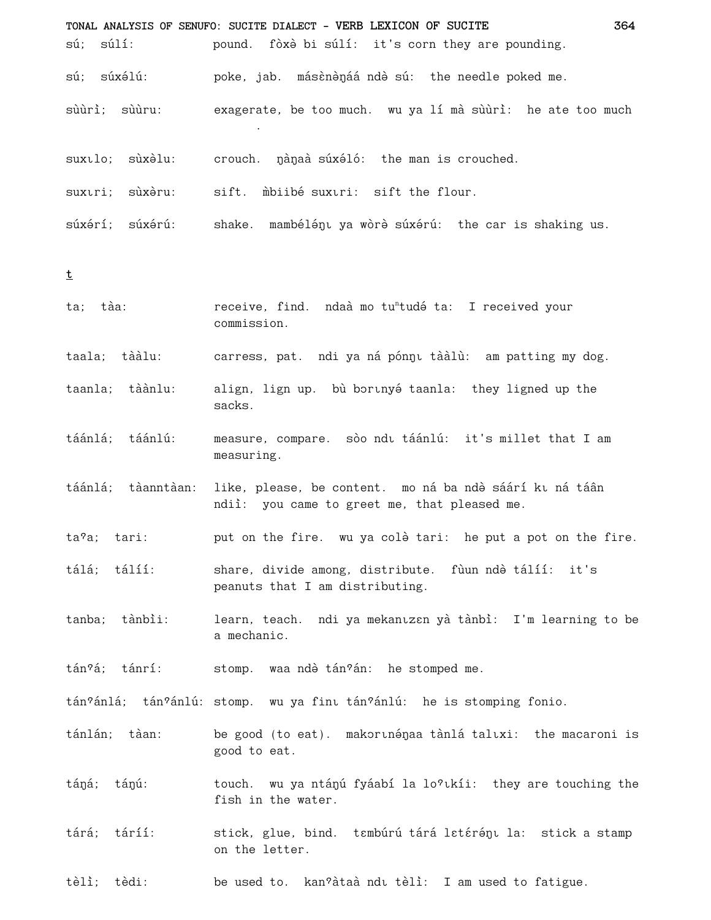| sú; súlí:          | TONAL ANALYSIS OF SENUFO: SUCITE DIALECT - VERB LEXICON OF SUCITE<br>364<br>pound. fòxè bi súlí: it's corn they are pounding. |
|--------------------|-------------------------------------------------------------------------------------------------------------------------------|
| sú; súxélú:        | poke, jab. máscnénáá ndé sú: the needle poked me.                                                                             |
| sùùrì; sùùru:      | exagerate, be too much. wu ya lí mà sùùrì: he ate too much                                                                    |
| suxılo; sùxəlu:    | crouch. nàng súxéló: the man is crouched.                                                                                     |
| suxıri; sùxèru:    | sift. mbiibé suxuri: sift the flour.                                                                                          |
| súxérí; súxérú:    | shake. mambélény ya wòrè súxérú: the car is shaking us.                                                                       |
| t                  |                                                                                                                               |
| ta; tàa:           | receive, find. ndaà mo tu <sup>n</sup> tudé ta: I received your<br>commission.                                                |
| taala; tààlu:      | carress, pat. ndi ya ná pónnu tààlù: am patting my dog.                                                                       |
| taanla; tàànlu:    | align, lign up. bù bortnyé taanla: they ligned up the<br>sacks.                                                               |
| táánlá; táánlú:    | measure, compare. sòo ndu táánlú: it's millet that I am<br>measuring.                                                         |
| táánlá; tàanntàan: | like, please, be content. mo ná ba ndè sáárí ku ná táân<br>ndii: you came to greet me, that pleased me.                       |
| ta?a; tari:        | put on the fire. wu ya colè tari: he put a pot on the fire.                                                                   |
| tálá; tálíí:       | share, divide among, distribute. fùun ndò tálíí: it's<br>peanuts that I am distributing.                                      |
| tanba; tànbìi:     | learn, teach. ndi ya mekanızan yà tànbì: I'm learning to be<br>a mechanic.                                                    |
| tán?á; tánrí:      | stomp. waa ndè tán?án: he stomped me.                                                                                         |
|                    | tán?ánlá; tán?ánlú: stomp. wu ya fint tán?ánlú: he is stomping fonio.                                                         |
| tánlán; tàan:      | be good (to eat). makorunénaa tànlá taluxi: the macaroni is<br>good to eat.                                                   |
| táná; tánú:        | touch. wu ya ntánú fyáabí la lo?kkíi: they are touching the<br>fish in the water.                                             |
| tárá; táríí:       | stick, glue, bind. tambúrú tárá latáránu la: stick a stamp<br>on the letter.                                                  |

tèlì; tèdi: be used to. kan?àtaà ndu tèlì: I am used to fatigue.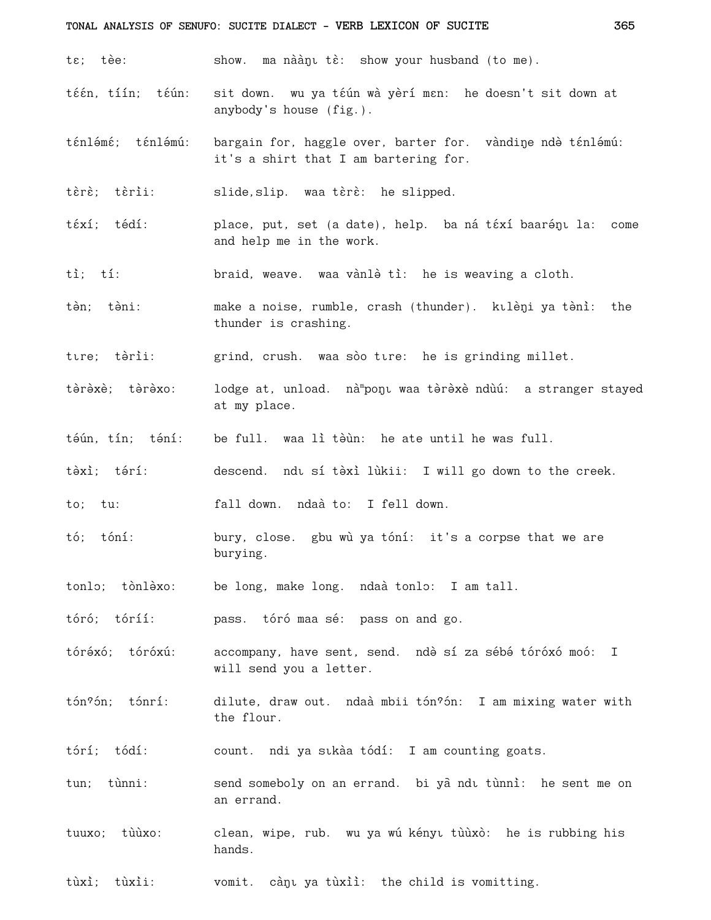## TONAL ANALYSIS OF SENUFO: SUCITE DIALECT - VERB LEXICON OF SUCITE

tε; tèe: show. ma nàànı tè: show your husband (to me).

- sit down. wu ya téún wà yèrí men: he doesn't sit down at téén tíín: téún: anybody's house (fig.).
- ténlémé: ténlémú: bargain for, haggle over, barter for. vàndine ndò ténlémú: it's a shirt that I am bartering for.

tèrè; tèrìi: slide, slip. waa tèrè: he slipped.

- téxí: tédí: place, put, set (a date), help. ba ná téxí baarény la: come and help me in the work.
- $t\hat{i}$ :  $t\hat{i}$ : braid, weave. waa vànlè tì: he is weaving a cloth.
- tèn: tèni: make a noise, rumble, crash (thunder). kulèni ya tèni: the thunder is crashing.

ture; tèrii: grind, crush. waa sòo tire: he is grinding millet.

- tàràxè; tàràxo: lodge at, unload. nà ponu waa tèrèxè ndùú: a stranger stayed at my place.
- tếún, tín; téní: be full. waa lì tèùn: he ate until he was full.
- tàxì: tárí: descend. ndu sí tèxì lùkii: I will go down to the creek.

to; tu: fall down. ndaà to: I fell down.

- tó: tóní: bury, close. gbu wù ya tóní: it's a corpse that we are burying.
- tonlo; tònlàxo: be long, make long. ndaà tonlo: I am tall.

tóró; tóríí: pass. tóró maa sé: pass on and go.

- tóréxó; tóróxú: accompany, have sent, send. ndè sí za sébé tóróxó moó: I will send you a letter.
- tón?ón; tónrí: dilute, draw out. ndaà mbii tón?ón: I am mixing water with the flour.
- tórí; tódí: count. ndi ya sıkàa tódí: I am counting goats.
- tun; tùnni: send someboly on an errand. bi yà ndu tùnnì: he sent me on an errand.
- tuuxo; tùùxo: clean, wipe, rub. wu ya wú kényı tùùxò: he is rubbing his hands.
- tùxì; tùxìi: vomit. cànu ya tùxiì: the child is vomitting.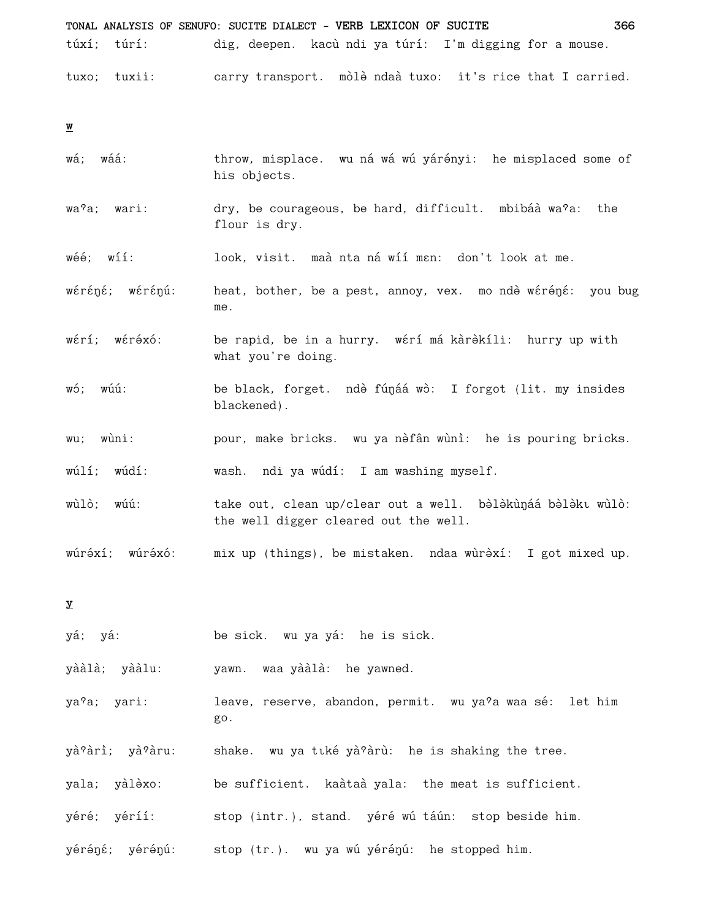TONAL ANALYSIS OF SENUFO: SUCITE DIALECT - VERB LEXICON OF SUCITE 366 túxí: túrí: dig, deepen. kacù ndi ya túrí: I'm digging for a mouse. tuxo; tuxii: carry transport. mòlè ndaà tuxo: it's rice that I carried.

 $\underline{\textbf{w}}$ 

- wá; wáá: throw, misplace. wu ná wá wú yárényi: he misplaced some of his objects.
- wa?a; wari: dry, be courageous, be hard, difficult. mbibáà wa?a: the flour is dry.
- $w \acute{\textbf{e}} \acute{\textbf{e}}$ :  $w 11$ : look, visit, maà nta ná wíí man: don't look at me.
- wéréné; wérénú: heat, bother, be a pest, annoy, vex. mo ndè wéréné: you bug me.
- wérí; wéréxó: be rapid, be in a hurry. wérí má kàrèkíli: hurry up with what you're doing.
- wó; wúú: be black, forget. ndè fúnáá wò: I forgot (lit. my insides blackened).
- wu: wùni: pour, make bricks. wu ya nèfân wùnì: he is pouring bricks.

wúlí; wúdí: wash. ndi ya wúdí: I am washing myself.

wùlò; wúú: take out, clean up/clear out a well. belekunáa belekt wulo: the well digger cleared out the well.

wúréxí: wúréxó: mix up (things), be mistaken. ndaa wùrèxí: I got mixed up.

 $\mathbf{x}$ 

yá; yá: be sick. wu ya yá: he is sick.

yààlà; yààlu: yawn. waa yààlà: he yawned.

leave, reserve, abandon, permit. wu ya<sup>9</sup>a waa sé: let him ya?a; yari: go.

- yà?àrì; yà?àru: shake. wu ya tiké yà?àrù: he is shaking the tree.
- yala; yàlèxo: be sufficient. kaàtaà yala: the meat is sufficient.
- yéré; yéríí: stop (intr.), stand. yéré wú táún: stop beside him.
- yéréné; yérénú: stop (tr.). wu ya wú yérénú: he stopped him.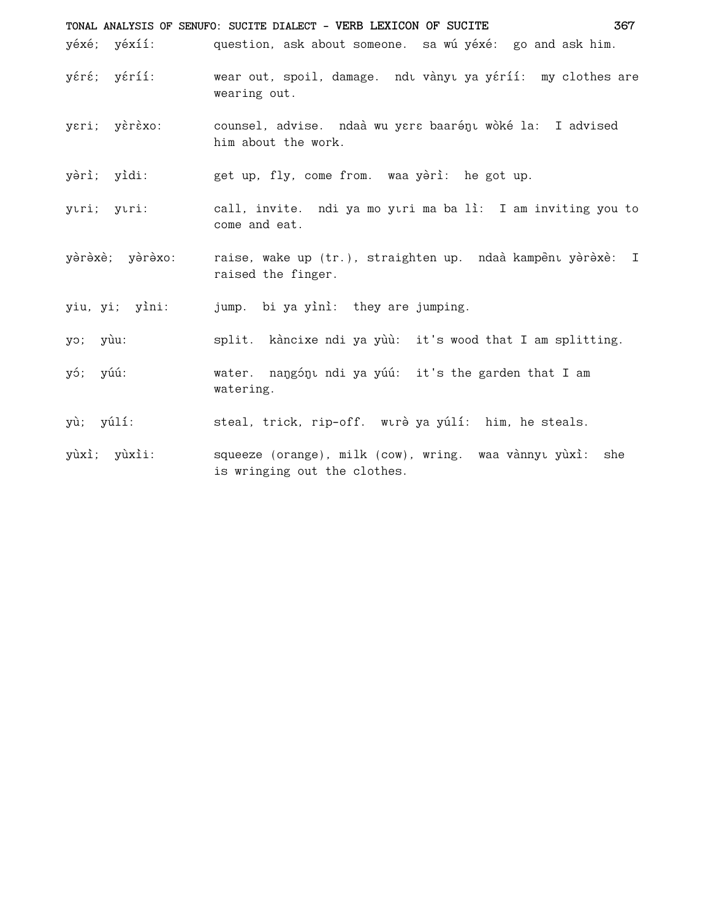**TONAL ANALYSIS OF SENUFO: SUCITE DIALECT - VERB LEXICON OF SUCITE 367** yéxé; yéxíí: question, ask about someone. sa wú yéxé: go and ask him. yéré; yéríí: wear out, spoil, damage. ndi vànyi ya yéríí: my clothes are wearing out. yeri; yèrèxo: counsel, advise. ndaà wu yere baarénu wòké la: I advised him about the work. yèrì; yìdi: get up, fly, come from. waa yèrì: he got up. ytri; ytri: call, invite. ndi ya mo ytri ma ba lì: I am inviting you to come and eat. yèrèxè; yèrèxo: raise, wake up (tr.), straighten up. ndaà kampèni yèrèxè: I raised the finger. yiu, yi; yìni: jump. bi ya yìnì: they are jumping. yo; yùu: split. kàncixe ndi ya yùù: it's wood that I am splitting. yó; yúú: water. naŋgón̥ ndi ya yúú: it's the garden that I am watering. yù; yúlí: steal, trick, rip-off. wurè ya yúlí: him, he steals. yùxì; yùxìi: squeeze (orange), milk (cow), wring. waa vànnyt yùxì: she is wringing out the clothes.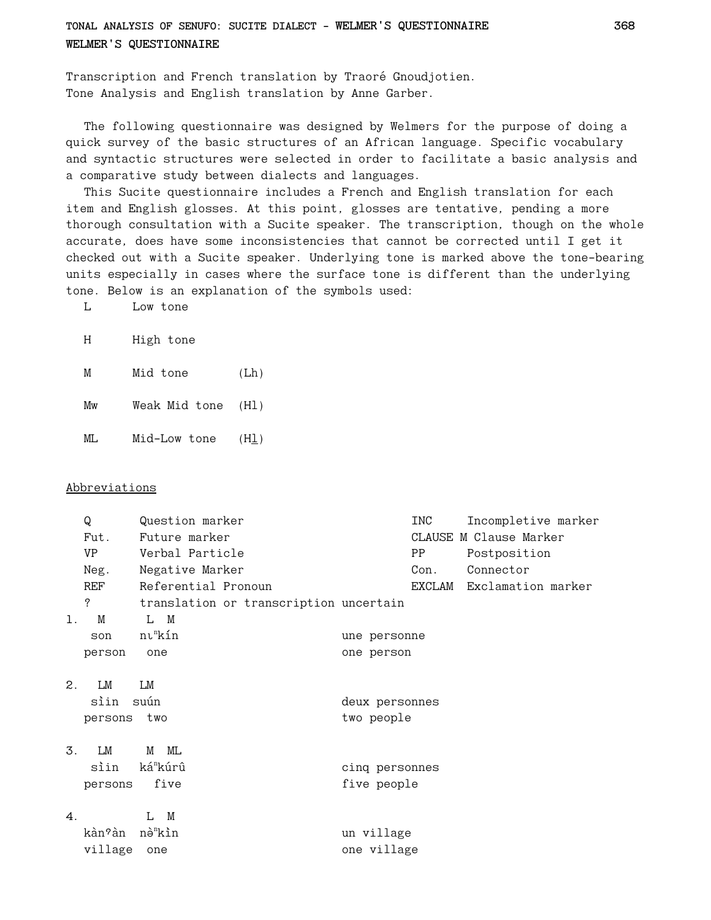**TONAL ANALYSIS OF SENUFO: SUCITE DIALECT - WELMER'S QUESTIONNAIRE 368 WELMER'S QUESTIONNAIRE**

Transcription and French translation by Traoré Gnoudjotien. Tone Analysis and English translation by Anne Garber.

The following questionnaire was designed by Welmers for the purpose of doing a quick survey of the basic structures of an African language. Specific vocabulary and syntactic structures were selected in order to facilitate a basic analysis and a comparative study between dialects and languages.

This Sucite questionnaire includes a French and English translation for each item and English glosses. At this point, glosses are tentative, pending a more thorough consultation with a Sucite speaker. The transcription, though on the whole accurate, does have some inconsistencies that cannot be corrected until I get it checked out with a Sucite speaker. Underlying tone is marked above the tone-bearing units especially in cases where the surface tone is different than the underlying tone. Below is an explanation of the symbols used:

| Low tone |
|----------|
|          |

H High tone

M Mid tone (Lh)

Mw Weak Mid tone (Hl)

 $ML$  Mid-Low tone  $(Hl)$ 

#### Abbreviations

|                | Q         | Question marker                        |                | INC    | Incompletive marker    |
|----------------|-----------|----------------------------------------|----------------|--------|------------------------|
|                | Fut.      | Future marker                          |                |        | CLAUSE M Clause Marker |
|                | <b>VP</b> | Verbal Particle                        | PP             |        | Postposition           |
|                | Neg.      | Negative Marker                        |                | Con.   | Connector              |
|                | REF       | Referential Pronoun                    |                | EXCLAM | Exclamation marker     |
|                | ?         | translation or transcription uncertain |                |        |                        |
| 1.             | M         | L M                                    |                |        |                        |
|                | son       | nu <sup>n</sup> kín                    | une personne   |        |                        |
|                | person    | one                                    | one person     |        |                        |
|                |           |                                        |                |        |                        |
| 2.             | LM        | LM                                     |                |        |                        |
|                | sìin      | suún                                   | deux personnes |        |                        |
|                | persons   | two                                    | two people     |        |                        |
|                |           |                                        |                |        |                        |
| $\mathbf{3}$ . | LM        | ML<br>M                                |                |        |                        |
|                | sìin      | ká <sup>n</sup> kúrû                   | cinq personnes |        |                        |
|                | persons   | five                                   | five people    |        |                        |
|                |           |                                        |                |        |                        |
| $\mathbf 4$ .  |           | L M                                    |                |        |                        |
|                | kàn?àn    | nè <sup>n</sup> kìn                    | un village     |        |                        |
|                | village   | one                                    | one village    |        |                        |
|                |           |                                        |                |        |                        |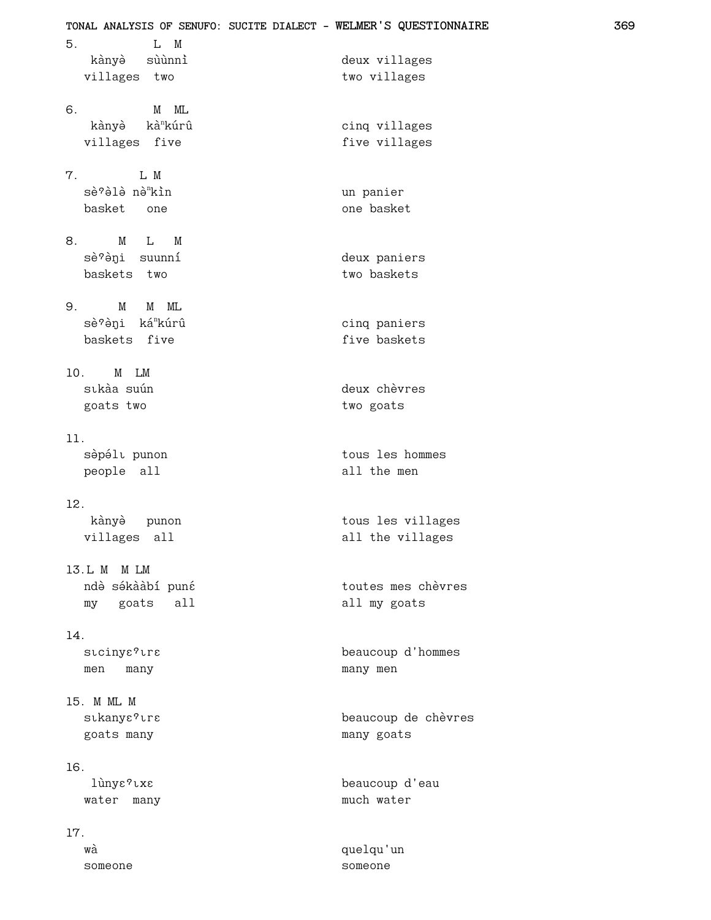| TONAL ANALYSIS OF SENUFO: SUCITE DIALECT - WELMER'S QUESTIONNAIRE<br>5.<br>L M |                                       |  |  |  |  |
|--------------------------------------------------------------------------------|---------------------------------------|--|--|--|--|
| kànyè sùùnni                                                                   | deux villages                         |  |  |  |  |
| villages two                                                                   | two villages                          |  |  |  |  |
|                                                                                |                                       |  |  |  |  |
| $M$ $ML$<br>6.                                                                 |                                       |  |  |  |  |
| kànyè kà <sup>n</sup> kúrû                                                     | cinq villages                         |  |  |  |  |
| villages<br>five                                                               | five villages                         |  |  |  |  |
| 7.<br>L M                                                                      |                                       |  |  |  |  |
| sè?èlè nè <sup>n</sup> kìn                                                     | un panier                             |  |  |  |  |
| basket one                                                                     | one basket                            |  |  |  |  |
|                                                                                |                                       |  |  |  |  |
| 8.<br>M<br>$\mathbf{L}$<br>M                                                   |                                       |  |  |  |  |
| sè?èni suunní                                                                  | deux paniers                          |  |  |  |  |
| baskets two                                                                    | two baskets                           |  |  |  |  |
| M<br>9.<br>M ML                                                                |                                       |  |  |  |  |
| sè?èni ká <sup>n</sup> kúrû                                                    | cinq paniers                          |  |  |  |  |
| baskets five                                                                   | five baskets                          |  |  |  |  |
|                                                                                |                                       |  |  |  |  |
| 10. M LM                                                                       |                                       |  |  |  |  |
| sıkàa suún                                                                     | deux chèvres                          |  |  |  |  |
| goats two                                                                      | two goats                             |  |  |  |  |
| 11.                                                                            |                                       |  |  |  |  |
| sèpélu punon                                                                   | tous les hommes                       |  |  |  |  |
| people all                                                                     | all the men                           |  |  |  |  |
|                                                                                |                                       |  |  |  |  |
| 12.                                                                            |                                       |  |  |  |  |
| kànyè<br>punon<br>villages all                                                 | tous les villages<br>all the villages |  |  |  |  |
|                                                                                |                                       |  |  |  |  |
| 13.L M M LM                                                                    |                                       |  |  |  |  |
| ndè sékààbí puné                                                               | toutes mes chèvres                    |  |  |  |  |
| goats<br>all<br>my                                                             | all my goats                          |  |  |  |  |
| 14.                                                                            |                                       |  |  |  |  |
| stcinye?tra                                                                    | beaucoup d'hommes                     |  |  |  |  |
| men<br>many                                                                    | many men                              |  |  |  |  |
|                                                                                |                                       |  |  |  |  |
| 15. M ML M                                                                     |                                       |  |  |  |  |
| stkanye?tre                                                                    | beaucoup de chèvres                   |  |  |  |  |
| goats many                                                                     | many goats                            |  |  |  |  |
| 16.                                                                            |                                       |  |  |  |  |
| lùnys?txs                                                                      | beaucoup d'eau                        |  |  |  |  |
| water many                                                                     | much water                            |  |  |  |  |
|                                                                                |                                       |  |  |  |  |
| 17.                                                                            |                                       |  |  |  |  |
| wà                                                                             | quelqu'un                             |  |  |  |  |
| someone                                                                        | someone                               |  |  |  |  |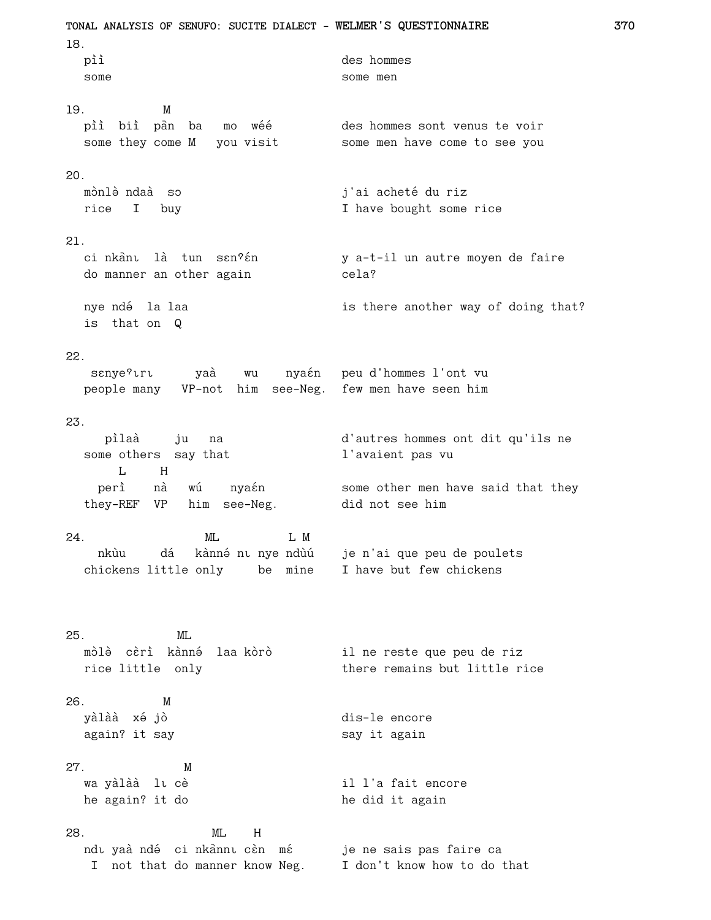TONAL ANALYSIS OF SENUFO: SUCITE DIALECT - WELMER'S QUESTIONNAIRE 18. pìì des hommes some some men 19. M pìì biì pàn ba mo wéé des hommes sont venus te voir some they come M you visit some men have come to see you  $20.$ mònlè ndaà so j'ai acheté du riz rice I buy I have bought some rice 21 ci nkânt là tun sen?én y a-t-il un autre moyen de faire do manner an other again cela? nye ndé la laa is there another way of doing that? is that on Q  $22.$ sanye?uru yaà wu nyaán peu d'hommes l'ont vu people many VP-not him see-Neg. few men have seen him 23. pìlaà ju na d'autres hommes ont dit qu'ils ne some others say that l'avaient pas vu  $L$  H nà wú nyaén some other men have said that they perì did not see him they-REF VP him see-Neg. L M  $24.$  $ML$ nkùu dá kànné nı nye ndùú je n'ai que peu de poulets chickens little only be mine I have but few chickens  $25.$ MT. mòlè cèrì kànné laa kòrò il ne reste que peu de riz there remains but little rice rice little only  $26.$ M yàlàà xé jò dis-le encore again? it say say it again  $27.$ M wa yàlàà lu cè il l'a fait encore he again? it do he did it again  $ML$ 28.  $H$ ndı yaà ndé ci nkannı cèn mé ndu yaà ndé ci nkànnu cèn mé je ne sais pas faire ca<br>I not that do manner know Neg. I don't know how to do that je ne sais pas faire ca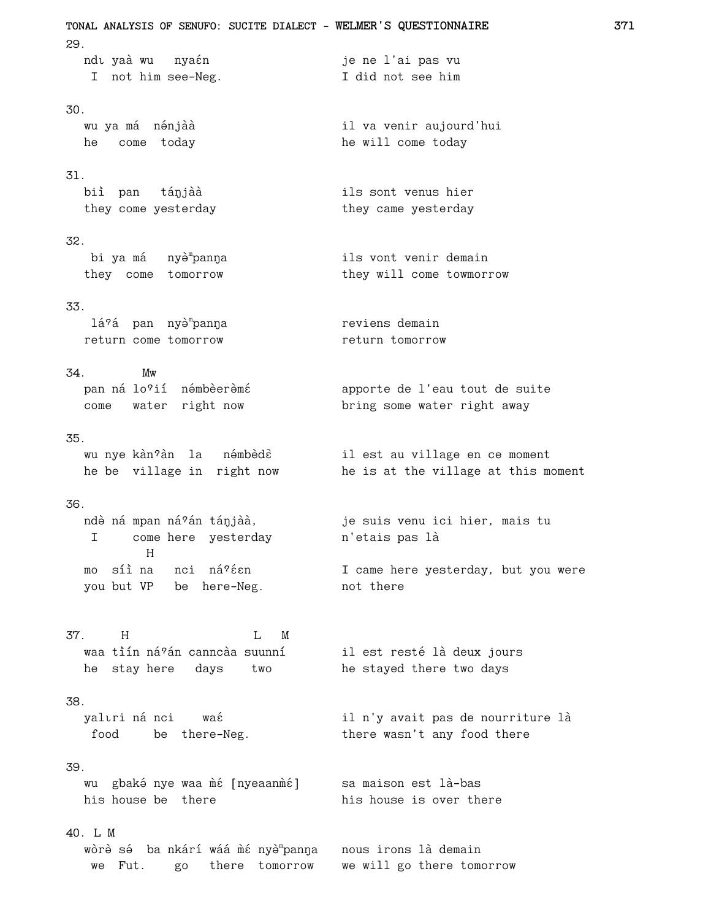**TONAL ANALYSIS OF SENUFO: SUCITE DIALECT - WELMER'S QUESTIONNAIRE 371** 29. ndı yaà wu nyaén je ne l'ai pas vu I not him see-Neg. I did not see him 30. wu ya má nénjàà il va venir aujourd'hui he come today he will come today 31. biì pan tánjàà ils sont venus hier they come yesterday they came yesterday 32. bi ya má nyè<sup>m</sup>panna ils vont venir demain they come tomorrow they will come towmorrow 33. lá?á pan nyè™panŋa reviens demain return come tomorrow **return** tomorrow 34. Mw pan ná lo<sup>9</sup>ií némbèerèmé en la apporte de l'eau tout de suite come water right now bring some water right away 35. wu nye kàn°àn la némbèdê il est au village en ce moment he be village in right now he is at the village at this moment 36. ndè ná mpan ná?án tánjàà, je suis venu ici hier, mais tu I come here yesterday n'etais pas là H mo síì na nci ná?éen is I came here yesterday, but you were you but VP be here-Neg. not there 37. H I. M waa tìín ná?án canncàa suunní il est resté là deux jours he stay here days two he stayed there two days 38. yalıri ná nci wa $\acute{\text{s}}$  wa $\acute{\text{s}}$  wa $\acute{\text{s}}$  il n'y avait pas de nourriture là food be there-Neg. there wasn't any food there 39. wu gbaké nye waa mé [nyeaanmé] sa maison est là-bas his house be there his house is over there 40. L M wòrè sé ba nkárí wáá m̀é nyè™panŋa nous irons là demain we Fut. go there tomorrow we will go there tomorrow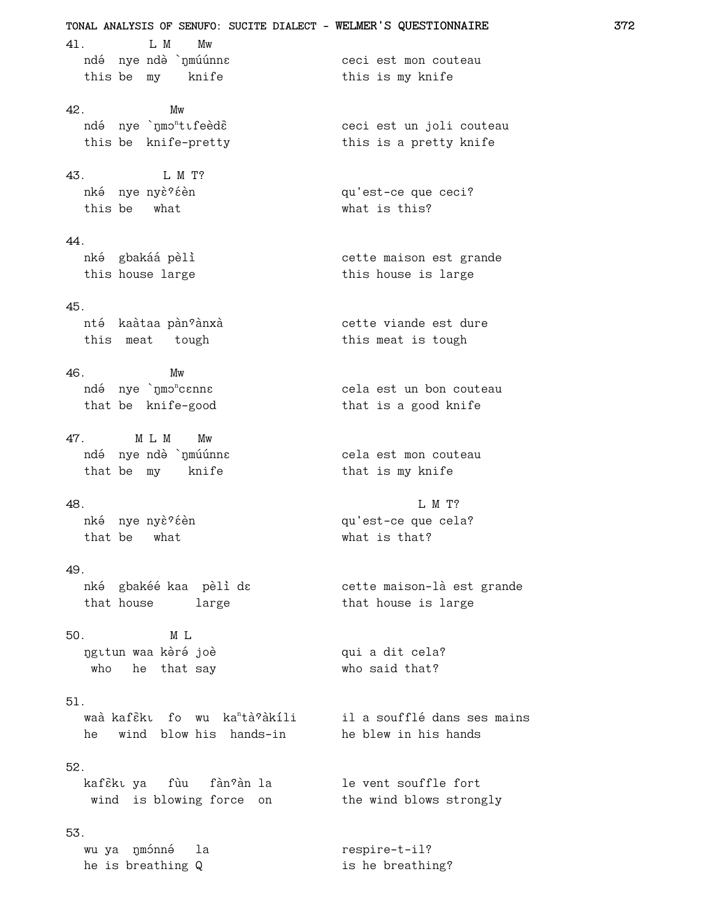**TONAL ANALYSIS OF SENUFO: SUCITE DIALECT - WELMER'S QUESTIONNAIRE 372** 41. L M Mw ndé nye ndè `nmúúnna isana isana ceci est mon couteau this be my knife this is my knife 42. Mw ndé nye `nmo<sup>n</sup>tıfeèdè ceci est un joli couteau<br>thic is this be knife-pretty this is a pretty knife 43. I. M T? nké nye nyè?éèn and nyember qu'est-ce que ceci? this be what what is this? 44. nké gbakáá pèli<br>
szereszte vette maison est grande this house large this house is large 45. nté kaàtaa pàn°ànxà de cette viande est dure this meat tough this meat is tough 46. Mw ndé nye `ŋmɔʰcɛnnɛ cela est un bon couteau that be knife-good that is a good knife 47. M L M Mw ndé nye ndè `nmúúnna isana mara di cela est mon couteau that be my knife that is my knife 48. L M T? nké nye nyè?éèn version du'est-ce que cela? that be what what what is that? 49. nké gbakéé kaa pèli dɛ bette maison-là est grande that house large that house is large 50. M L ngitun waa kèré joè di sangguna dit cela? who he that say who said that? 51. waà kafɛ̃kı fo wu ka<sup>n</sup>tà?àkíli il a soufflé dans ses mains he wind blow his hands-in he blew in his hands 52. kafèkı ya fùu fànºàn la le vent souffle fort wind is blowing force on the wind blows strongly 53. wu ya n mónné la contresse de la respire-t-il? he is breathing Q is he breathing?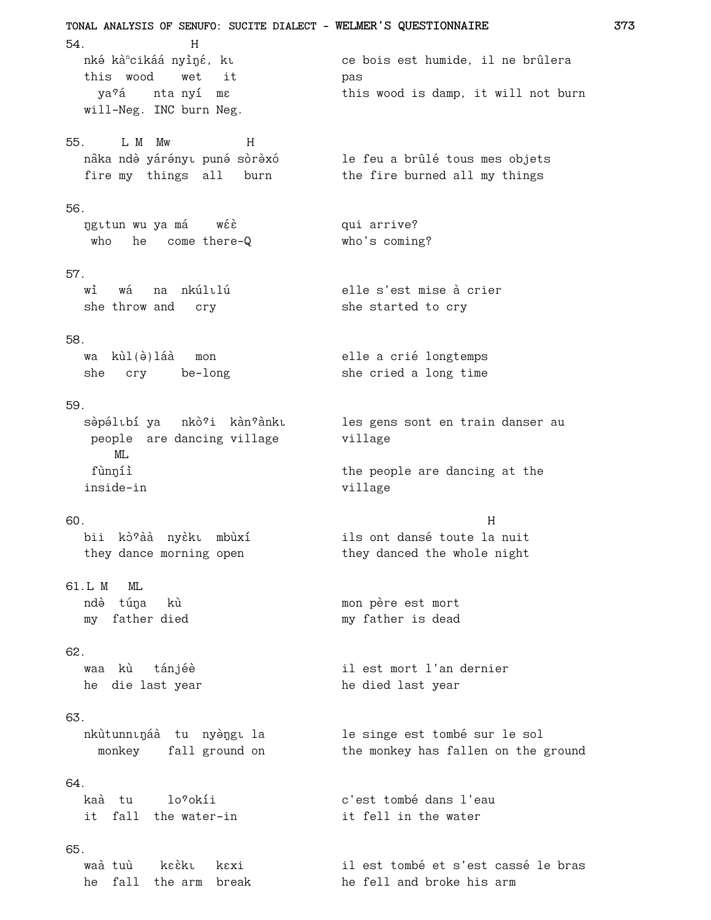TONAL ANALYSIS OF SENUFO: SUCITE DIALECT - WELMER'S QUESTIONNAIRE 54.  $H$ ce bois est humide, il ne brûlera nké kà<sup>n</sup>cikáá nyìné, ku this wood wet it pas ya?á ntanyí ma this wood is damp, it will not burn will-Neg. INC burn Neg. 55. L M Mw  $H$ nàka ndè yárényu puné sòrèxó le feu a brûlé tous mes objets fire my things all burn the fire burned all my things 56. ngitun wu ya má wéè qui arrive? who he come there-Q who's coming?  $57<sub>1</sub>$ elle s'est mise à crier wì wá na nkúlılú she throw and cry she started to cry 58. wa kùl(è)láà mon elle a crié longtemps she cry be-long she cried a long time 59. sèpélıbí ya nkò?i kàn?ànkı les gens sont en train danser au people are dancing village village  $ML$ fùnníì the people are dancing at the inside-in village 60.  $H$ bii kò?àà nyèkı mbùxí ils ont dansé toute la nuit they danced the whole night they dance morning open 61.L M ML ndè túna kù mon père est mort my father died my father is dead 62. waa kù tánjéè il est mort l'an dernier he die last year he died last year 63. nkùtunnináà tu nyèngila le singe est tombé sur le sol monkey fall ground on the monkey has fallen on the ground 64. kaà tu c'est tombé dans l'eau lo?okíi it fall the water-in it fell in the water 65. waà tuù kaàku kaxi il est tombé et s'est cassé le bras he fall the arm break he fell and broke his arm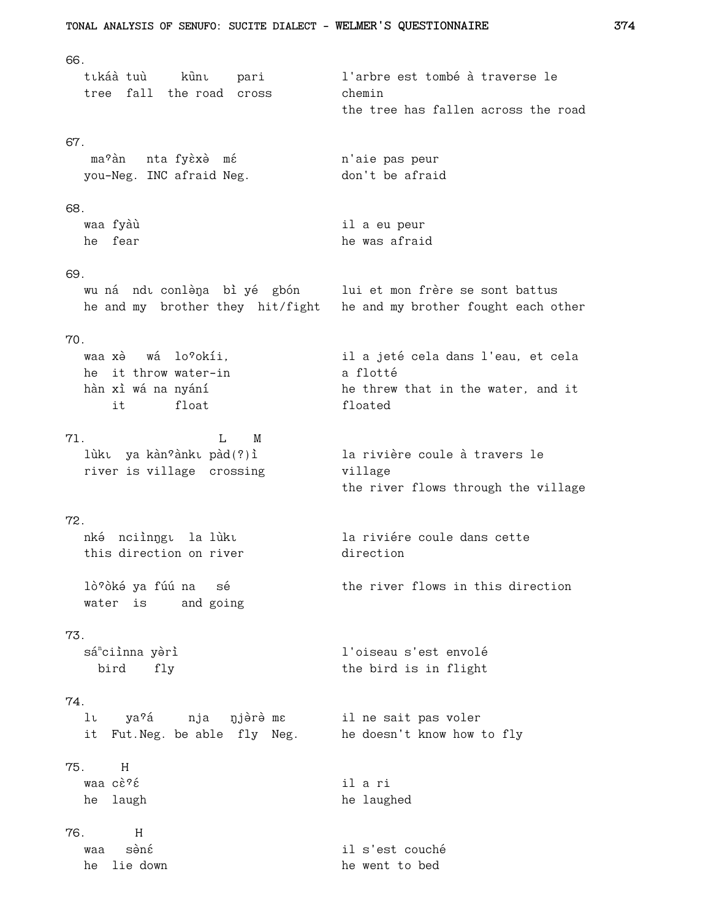66. tıkáà tuù kùnı pari l'arbre est tombé à traverse le tree fall the road cross chemin the tree has fallen across the road 67. ma<sup>9</sup>àn nta-fyèxè mé n'aie pas peur you-Neg. INC afraid Neg. don't be afraid 68. waa fyàù il a eu peur he fear he was afraid 69. wu ná ndu conlèna bì yé gbón lui et mon frère se sont battus he and my brother they hit/fight he and my brother fought each other 70. waa xè wá lo?okíi. il a jeté cela dans l'eau, et cela he it throw water-in a flotté hàn xì wá na nyání he threw that in the water, and it it float floated 71.  $L$  M lùku ya kàn?ànku pàd(?) ì la rivière coule à travers le river is village crossing village the river flows through the village  $72.$ nké nciìnngu la lùku la riviére coule dans cette this direction on river direction lò?òké ya fúú na sé the river flows in this direction water is and going 73. l'oiseau s'est envolé sá<sup>n</sup>ciìnna yèrì the bird is in flight bird fly 74. lı ya?á nja njèrè ma il ne sait pas voler it Fut. Neg. be able fly Neg. he doesn't know how to fly 75. H waa cè?é il a ri he laugh he laughed 76.  $H$ waa sèné il s'est couché he lie down he went to bed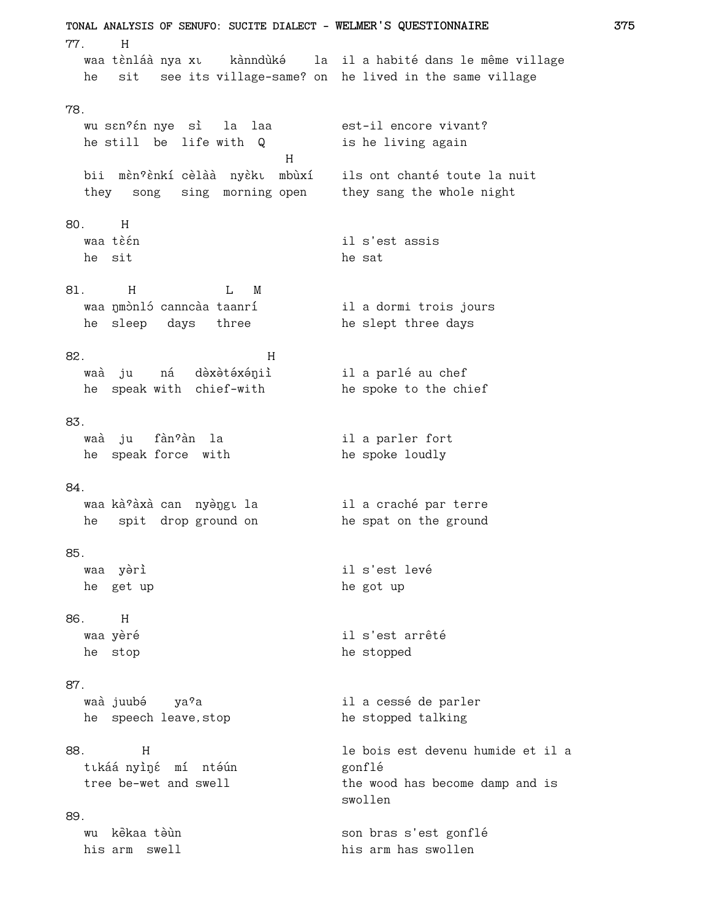TONAL ANALYSIS OF SENUFO: SUCITE DIALECT - WELMER'S QUESTIONNAIRE 77.  $H$ waa tènláà nya xu kànndùké la il a habité dans le même village he sit see its village-same? on he lived in the same village 78. est-il encore vivant? wu san?an nye sì la laa he still be life with Q is he living again  $H$ bii mèn?ènkí cèlàà nyèku mbùxí ils ont chanté toute la nuit<br>they song sing morning open they sang the whole night 80. H waa tèén il s'est assis he sit he sat 81. H L M waa nmònló canncàa taanrí il a dormi trois jours he sleep days three he slept three days 82.  $H$ il a parlé au chef waà ju ná dèxètéxéniì he speak with chief-with he spoke to the chief 83. waà ju fàn?àn la il a parler fort he speak force with he spoke loudly 84. waa kà?àxà can nyèŋgɪ la il a craché par terre he spat on the ground he spit drop ground on 85. il s'est levé waa yèrì he get up he got up 86. H waa yèré il s'est arrêté he stop he stopped 87. waà juubé ya<sup>9</sup>a il a cessé de parler he speech leave.stop he stopped talking le bois est devenu humide et il a 88.  $H$ tıkáá nyìné mí ntéún gonflé tree be-wet and swell the wood has become damp and is swollen 89. wu kèkaa tèùn son bras s'est gonflé his arm swell his arm has swollen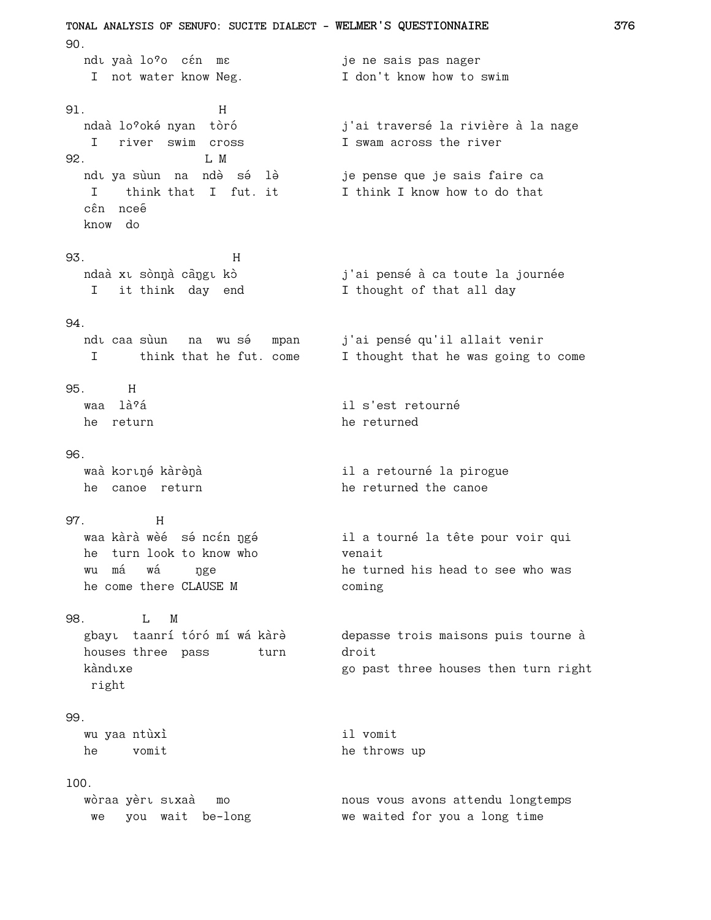**TONAL ANALYSIS OF SENUFO: SUCITE DIALECT - WELMER'S QUESTIONNAIRE 376** 90. ndu yaà lo?o cén mas man me sais pas nager I not water know Neg.  $\qquad \qquad$  I don't know how to swim 91. H ndaà lo?oké nyan tòró in j'ai traversé la rivière à la nage I river swim cross I swam across the river 92.<br>
ndu ya sùun na ndèsé lè ndš ya sùun na nd˜Ø s˜× l˜Ø je pense que je sais faire ca I think that I fut. it I think I know how to do that cên nceê know do 93. H ndaà xī sònŋà cāŋgī kò j'ai pensé à ca toute la journée I it think day end I thought of that all day 94. ndı caa sùun na wu sé mpan j'ai pensé qu'il allait venir I think that he fut. come I thought that he was going to come 95. H waa làˆa× il s'est retourné he return he returned 96. waà kortné kàrènà il a retourné la pirogue he canoe return he returned the canoe 97. H waa kàrà wèé sé ncén ngé<br>il a tourné la tête pour voir qui he turn look to know who venait wu má wá nge he turned his head to see who was he come there CLAUSE M coming 98. L M gbayš taanri to×ro× mi wa× kàr˜Ø depasse trois maisons puis tourne à houses three pass turn droit kàndixe entry in the go past three houses then turn right right 99. wu yaa ntùxì il vomit he vomit he throws up 100. wòraa yèri sixaà mo nous vous avons attendu longtemps<br>we you wait be-long how we waited for you a long time we waited for you a long time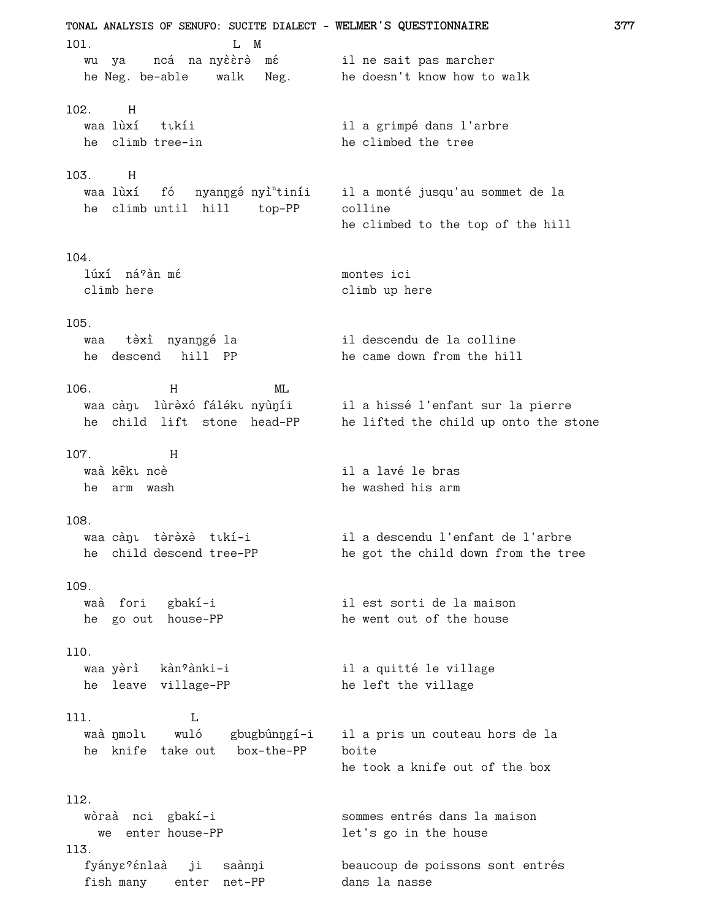TONAL ANALYSIS OF SENUFO: SUCITE DIALECT - WELMER'S QUESTIONNAIRE  $101.$  $L$  M wu ya mcá na ny ère mé sil ne sait pas marcher he Neg. be-able walk Neg. he doesn't know how to walk 102. H waa lùxí tıkíi il a grimpé dans l'arbre he climb tree-in he climbed the tree  $103. H$ waa lùxí fó nyanŋgé nyì<sup>n</sup>tiníi il a monté jusqu'au sommet de la he climb until hill top-PP colline he climbed to the top of the hill 104. lúxí ná?àn mé montes ici climb here climb up here 105. waa tèxi nyanngé la il descendu de la colline he descend hill PP he came down from the hill 106.  $H$  $ML$ waa cànı lùrèxó fáléki nyùníi il a hissé l'enfant sur la pierre he child lift stone head-PP he lifted the child up onto the stone 107.  $H$ waà kèku ncè il a lavé le bras he arm wash he washed his arm 108. il a descendu l'enfant de l'arbre waa cànı tərəxə tıkí-i he child descend tree-PP he got the child down from the tree 109 waà fori gbakí-i il est sorti de la maison he go out house-PP he went out of the house 110. waa yèrì kàn°ànki-i il a quitté le village he leave village-PP he left the village  $111.$  $\mathbf{L}$ waà nmolu wuló gbugbûnngí-i il a pris un couteau hors de la he knife take out box-the-PP boite he took a knife out of the box 112. wòraà nci gbakí-i sommes entrés dans la maison we enter house-PP let's go in the house 113. fyány $\varepsilon$ ?énlaà ji saànŋi beaucoup de poissons sont entrés fish many enter net-PP dans la nasse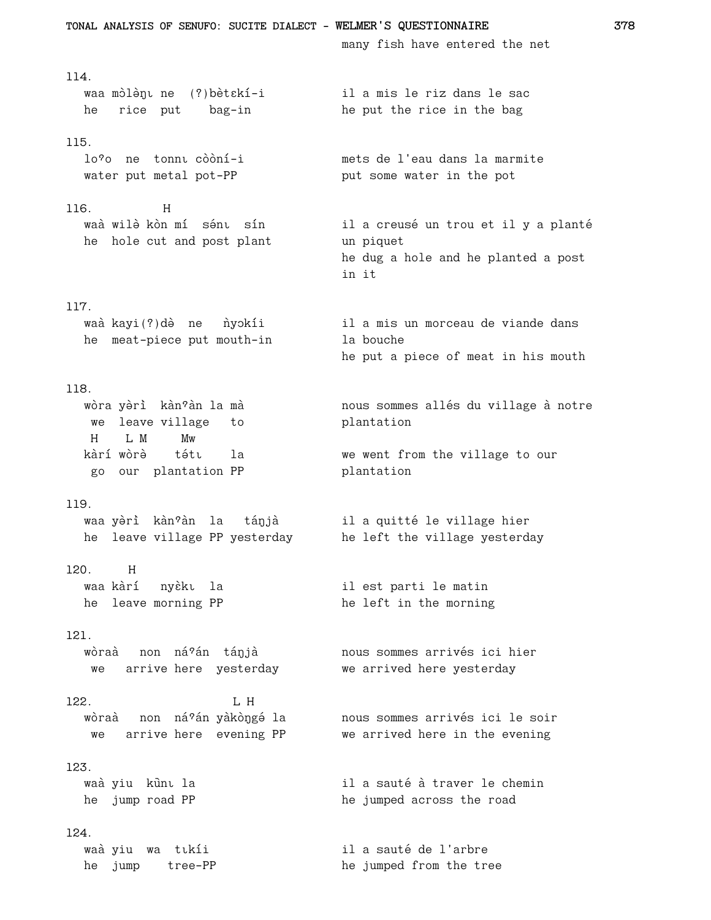TONAL ANALYSIS OF SENUFO: SUCITE DIALECT - WELMER'S QUESTIONNAIRE many fish have entered the net 114. il a mis le riz dans le sac waa mòlènu ne (?) bèt skí-i he rice put bag-in he put the rice in the bag 115. lo?o ne tonnu còòní-i mets de l'eau dans la marmite water put metal pot-PP put some water in the pot 116.  $H$ waà wilè kòn mí sénu sín il a creusé un trou et il y a planté he hole cut and post plant un piquet he dug a hole and he planted a post in it 117. waà kayi(?)dè ne nyokíi il a mis un morceau de viande dans he meat-piece put mouth-in la bouche he put a piece of meat in his mouth 118. wòra yèrì kàn'àn la mà nous sommes allés du village à notre we leave village to plantation L M  $H$ Mw kàrí wòrè la tétı we went from the village to our go our plantation PP plantation 119. waa yèrì kàn<sup>9</sup>àn la tánjà il a quitté le village hier he leave village PP yesterday he left the village yesterday 120.  $H$ waa kàrí nyèku la il est parti le matin he leave morning PP he left in the morning  $121.$ wòraà non ná?án tánjà nous sommes arrivés ici hier we arrive here yesterday we arrived here yesterday 122. L H nous sommes arrivés ici le soir wòraà non ná?án yàkòngé la we arrive here evening PP we arrived here in the evening 123. waà yiu kùnt la il a sauté à traver le chemin he jump road PP he jumped across the road 124. waà yiu wa tıkíi il a sauté de l'arbre he jumped from the tree he jump tree-PP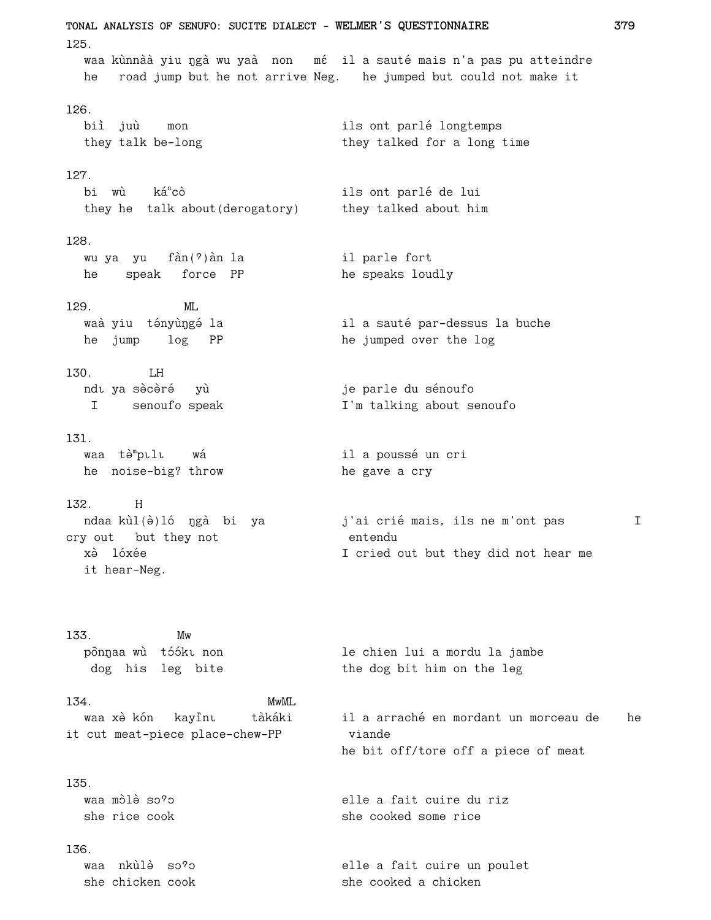**TONAL ANALYSIS OF SENUFO: SUCITE DIALECT - WELMER'S QUESTIONNAIRE 379** 125. waa kùnnàà yiu ngà wu yaà non mé il a sauté mais n'a pas pu atteindre he road jump but he not arrive Neg. he jumped but could not make it 126. biì juù mon ils ont parlé longtemps they talk be-long they talked for a long time 127. bi wù ká<sup>n</sup>cò ils ont parlé de lui they he talk about(derogatory) they talked about him 128. wu ya yu fàn(?) àn la il parle fort he speak force PP he speaks loudly 129. ML waà yiu tényùŋgé la **industen il a sauté par-dessus la buche** he jump log PP he jumped over the log 130. LH ndı ya sə̀cə̀rə́ yù version variable yer qui ya senoufo I senoufo speak I'm talking about senoufo 131. waa tà<sup>m</sup>pulu wá il a poussé un cri he noise-big? throw he gave a cry 132. H ndaa kùl(è)ló ngà bi ya *j'ai crié mais, ils ne m'ont pas* I cry out but they not entendu xè lóxée  $\qquad \qquad$  I cried out but they did not hear me it hear-Neg. 133. Mw pònŋaa wù tóókī non le chien lui a mordu la jambe dog his leg bite the dog bit him on the leg 134. MwML waa xè kón kayîn, tàkáki il a arraché en mordant un morceau de he it cut meat-piece place-chew-PP viande he bit off/tore off a piece of meat 135. waa mÛØl˜Ø sÛˆÛ elle a fait cuire du riz she rice cook she cooked some rice 136. waa nkùlè so?o elle a fait cuire un poulet she chicken cook she cooked a chicken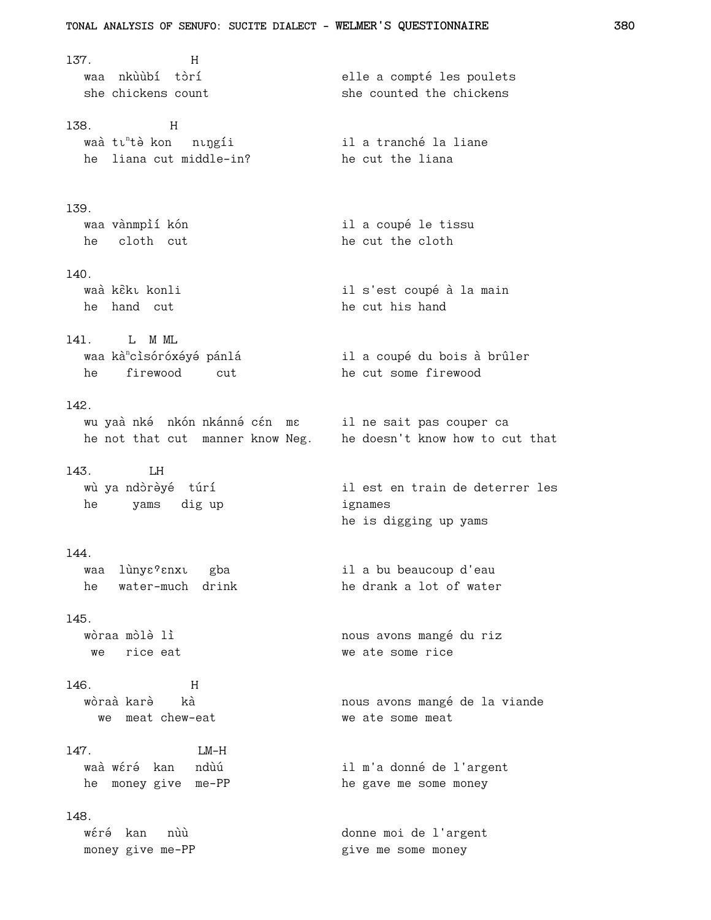137.  $H$ waa nkùùbí tòrí elle a compté les poulets she chickens count she counted the chickens 138.  $H$ waà tu<sup>n</sup>tà kon nungii il a tranché la liane he liana cut middle-in? he cut the liana 139. waa vànmpìí kón il a coupé le tissu he cloth cut he cut the cloth  $140.$ waà kèki konli il s'est coupé à la main he hand cut he cut his hand 141. L M ML waa kà<sup>n</sup>cìsóróxéyé pánlá il a coupé du bois à brûler he firewood cut he cut some firewood  $142.$ wu yaà nká nkón nkánné cén me il ne sait pas couper ca he not that cut manner know Neg. he doesn't know how to cut that 143. LH wù ya ndòrèyé túrí il est en train de deterrer les he yams dig up ignames he is digging up yams 144. waa lùny $\varepsilon$ ? anxu gba il a bu beaucoup d'eau he drank a lot of water he water-much drink 145. wòraa mòlè lì nous avons mangé du riz we rice eat we ate some rice 146.  $H$ wòraà karè kà nous avons mangé de la viande we meat chew-eat we ate some meat  $LM-H$  $147.$ waà wéré kan ndùú il m'a donné de l'argent he money give me-PP he gave me some money 148. wéré kan nùù donne moi de l'argent money give me-PP give me some money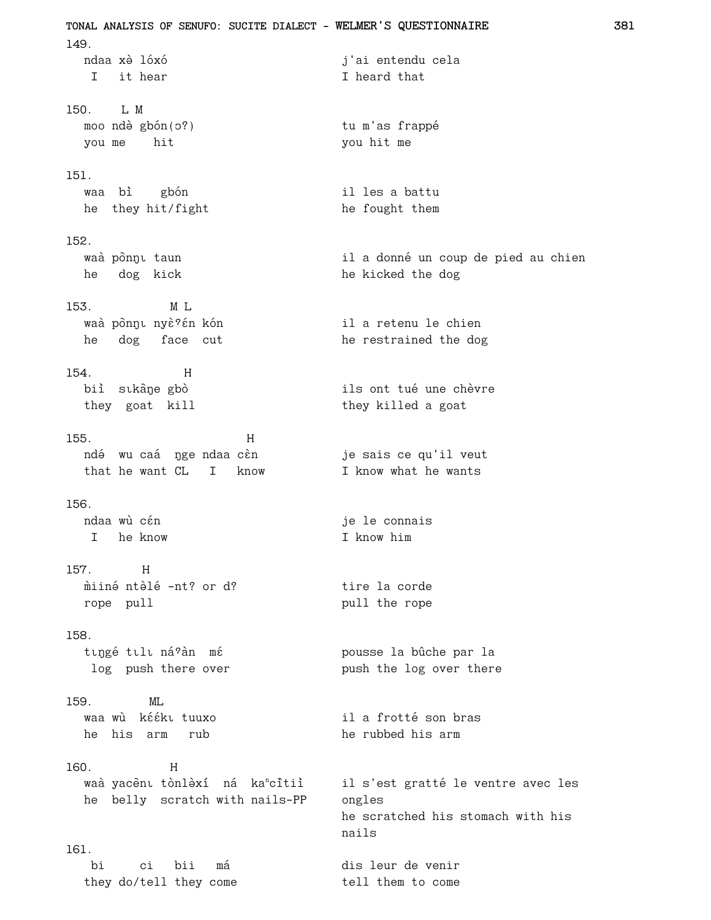TONAL ANALYSIS OF SENUFO: SUCITE DIALECT - WELMER'S QUESTIONNAIRE  $149.$ ndaa xò lóxó j'ai entendu cela I it hear I heard that 150. L M moo ndè gbón(0?) tu m'as frappé you me hit you hit me  $151.$ waa bì gbón il les a battu he they hit/fight he fought them 152. waà pònnu taun il a donné un coup de pied au chien he dog kick he kicked the dog 153. M L waà pònnu nyè?én kón il a retenu le chien he dog face cut he restrained the dog 154  $H$ biì sıkane gbò ils ont tué une chèvre they goat kill they killed a goat 155.  $H$ ndé wu caá nge ndaa cèn je sais ce qu'il veut that he want CL I know I know what he wants 156. ndaa wù cén je le connais I he know I know him 157.  $H$ miiné ntèlé -nt? or d? tire la corde rope pull pull the rope 158. tıngé tili ná?àn mé pousse la bûche par la log push there over push the log over there 159.  $ML$ waa wù kééki tuuxo il a frotté son bras he his arm rub he rubbed his arm 160.  $H$ waà yacènt tònlèxí ná ka<sup>n</sup>citiì il s'est gratté le ventre avec les he belly scratch with nails-PP ongles he scratched his stomach with his nails 161. hi ci bii má dis leur de venir tell them to come they do/tell they come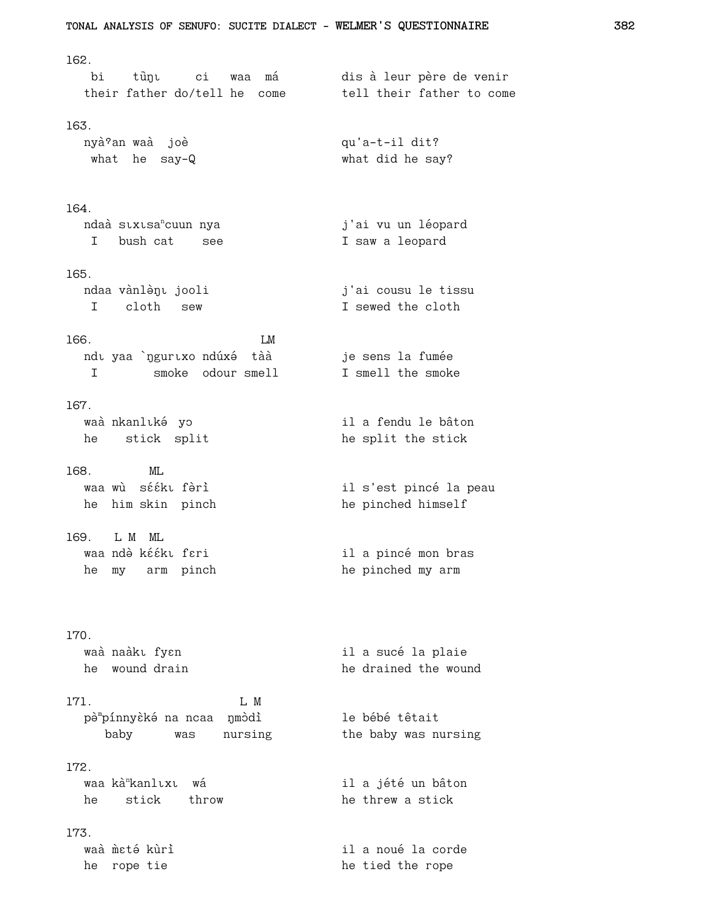```
TONAL ANALYSIS OF SENUFO: SUCITE DIALECT - WELMER'S QUESTIONNAIRE
162.
                                    dis à leur père de venir
  bi
        tùŋı
              ci waa má
  their father do/tell he come
                                     tell their father to come
163.
  nyà ?an waà joè
                                      qu'a-t-il dit?
  what he say-Q
                                       what did he say?
164.
  ndaà suxusa<sup>n</sup>cuun nya
                                      j'ai vu un léopard
  I bush cat see
                                      I saw a leopard
165.
  ndaa vànlènt jooli
                                       j'ai cousu le tissu
   I cloth sew
                                       I sewed the cloth
```

```
166.
                     LMndı yaa `nguruxo ndúxé tàà
  I smoke odour smell
```
167. waà nkanlıké yo he stick split

- $168.$  $MT$ . waa wù sééki fèrì he him skin pinch
- 169. L M ML waa ndè kééku feri he my arm pinch

# $170.$

waà naàkı fy $\varepsilon$ n he wound drain

171. L M pèmpínnyèké na ncaa nmòdì baby was nursing

## 172.

waa kà<sup>n</sup>kanlıxı wá he stick throw

## 173.

waà meté kuri he rope tie

je sens la fumée I smell the smoke il a fendu le bâton he split the stick

> il s'est pincé la peau he pinched himself

il a pincé mon bras he pinched my arm

il a sucé la plaie he drained the wound

le bébé têtait the baby was nursing

il a jété un bâton he threw a stick

il a noué la corde he tied the rope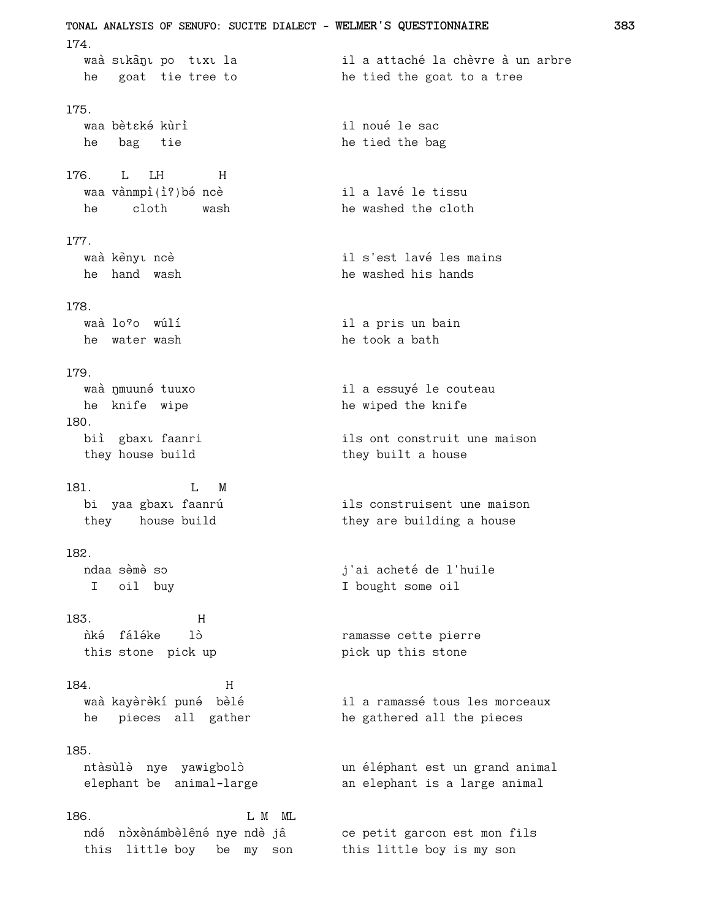TONAL ANALYSIS OF SENUFO: SUCITE DIALECT - WELMER'S QUESTIONNAIRE  $174.$ il a attaché la chèvre à un arbre waà sıkanı po tıxı la he goat tie tree to he tied the goat to a tree 175. waa bètské kùrì il noué le sac he bag tie he tied the bag  $176.$  $I.$   $I.H$  $H$ waa vànmpì(ì?) bé ncè il a lavé le tissu he washed the cloth he cloth wash 177. waà kènyu ncè il s'est lavé les mains he hand wash he washed his hands 178. waà lo?o wúlí il a pris un bain he water wash he took a bath 179 waà nmuuné tuuxo il a essuyé le couteau he knife wipe he wiped the knife 180. biì gbaxu faanri ils ont construit une maison they house build they built a house 181.  $L$  M ils construisent une maison bi yaa gbaxı faanrú they house build they are building a house 182. ndaa sèmè so j'ai acheté de l'huile I oil buy I bought some oil 183.  $H$ ñké fáléke 1ò ramasse cette pierre this stone pick up pick up this stone 184.  $H$ waà kayèrèkí puné bèlé il a ramassé tous les morceaux he pieces all gather he gathered all the pieces 185. ntàsùlè nye yawigbolò un éléphant est un grand animal elephant be animal-large an elephant is a large animal 186. L M ML ndé nòxènámbèlêné nye ndè jâ ce petit garcon est mon fils this little boy be my son this little boy is my son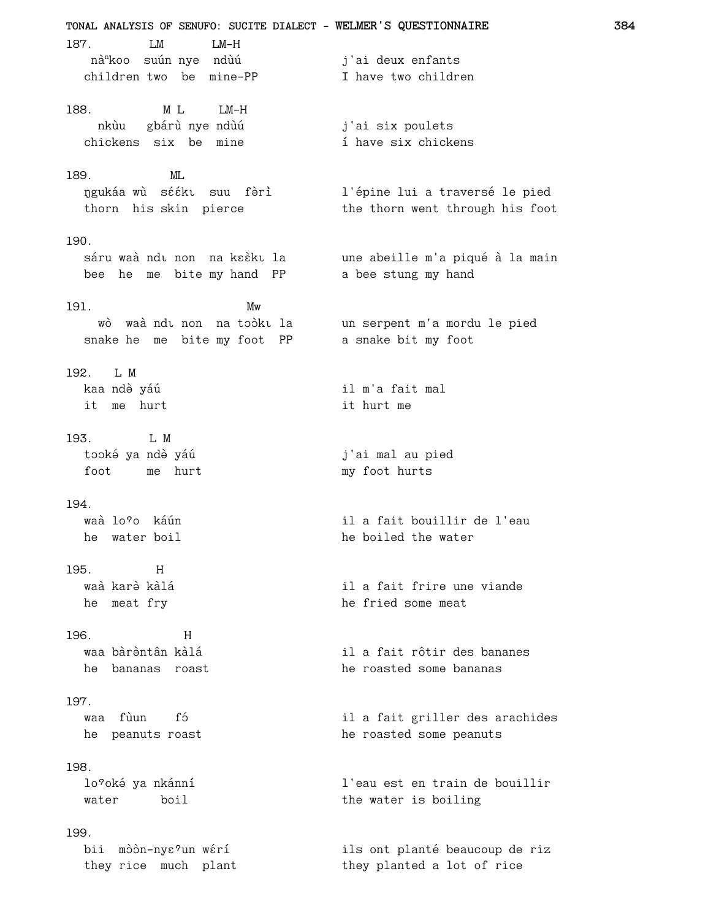**TONAL ANALYSIS OF SENUFO: SUCITE DIALECT - WELMER'S QUESTIONNAIRE 384** 187. LM LM-H nà<sup>n</sup>koo suún nye ndùú j'ai deux enfants children two be mine-PP I have two children 188. M L LM-H nkùu þ gbárù nye ndùú nkùu gbárù nye ndùú i j'ai six poulets<br>chickens six be mine i have six chickens 189. ML ŋgukáa wù sééku suu fèrì l'épine lui a traversé le pied thorn his skin pierce the thorn went through his foot 190. sáru waà ndı non na kɛɛ̀kı la vane abeille m'a piqué à la main bee he me bite my hand PP a bee stung my hand 191. Mw wò waà ndì non na toòki la un serpent m'a mordu le pied<br>nake he me bite my foot PPa a snake bit my foot snake he me bite my foot PP 192. L M kaa ndè yáú varus and varuvat heldu varuvat heldu varuvat heldu varuvat heldu varuvat heldu varuvat heldu varu it me hurt  $\qquad \qquad$  it hurt me 193. L M tooké ya ndè yáú vztalené v roj'ai mal au pied foot me hurt my foot hurts 194. waà lo?o káún il a fait bouillir de l'eau he water boil he boiled the water 195. H waà karè kàlá<br>11 a fait frire une viande he meat fry he fried some meat 196. H waa bàrèntân kàlá<br>
il a fait rôtir des bananes he bananas roast he roasted some bananas 197. waa fùun fó<br>
il a fait griller des arachides he peanuts roast he roasted some peanuts 198. lo<sup>o</sup>oké ya nkánní a vechování l'eau est en train de bouillir water boil the water is boiling 199. bii mòòn-nyɛºun wɛ́rí ils ont planté beaucoup de riz they rice much plant they planted a lot of rice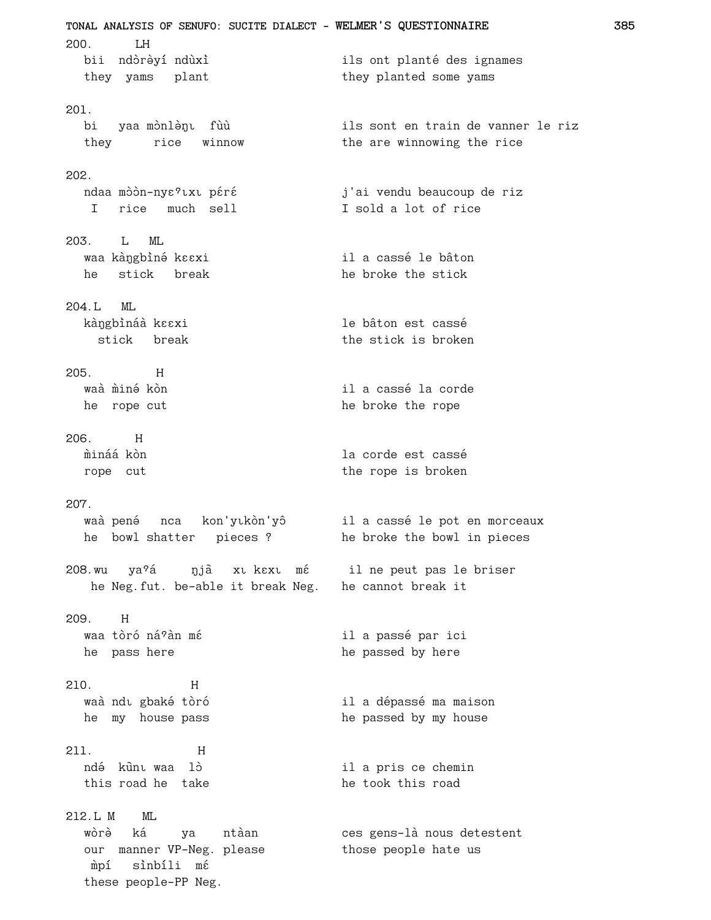**TONAL ANALYSIS OF SENUFO: SUCITE DIALECT - WELMER'S QUESTIONNAIRE 385** 200. LH bii ndòrèyí ndùxì ils ont planté des ignames they yams plant they planted some yams 201. bi yaa mònlènu fùù sils sont en train de vanner le riz they rice winnow the are winnowing the rice 202. ndaa mòòn-nyɛºlxl péré bol di j'ai vendu beaucoup de riz I rice much sell **I** sold a lot of rice 203. L ML waa kàngbìné kɛɛxi xwaa kàngbìné kɛɛxi xwaa kàngbìné kɛɛxi he stick break he broke the stick 204.L ML kàngbìnáà kɛɛxi bhahara kahara le bâton est cassé stick break the stick is broken 205. H waà mìné kòn il a cassé la corde he rope cut he broke the rope 206. H múiná a kòn de corde est cassé rope cut the rope is broken 207. waà pené nca kon'yīkòn'yô il a cassé le pot en morceaux he bowl shatter pieces ? he broke the bowl in pieces 208.wu ya?á yja xu k zu mé il ne peut pas le briser he Neg.fut. be-able it break Neg. he cannot break it 209. H waa tòró ná?àn mé<br>
a mar ici de la passé par ici he pass here he passed by here 210. H waà ndì gbaké tòró<br>
il a dépassé ma maison he my house pass he passed by my house 211. H ndé kūnu waa lò<br>
il a pris ce chemin this road he take he took this road 212.L M ML wòrè ká ya ntàan ces gens-là nous detestent our manner VP-Neg. please those people hate us mpí sìnbíli mé these people-PP Neg.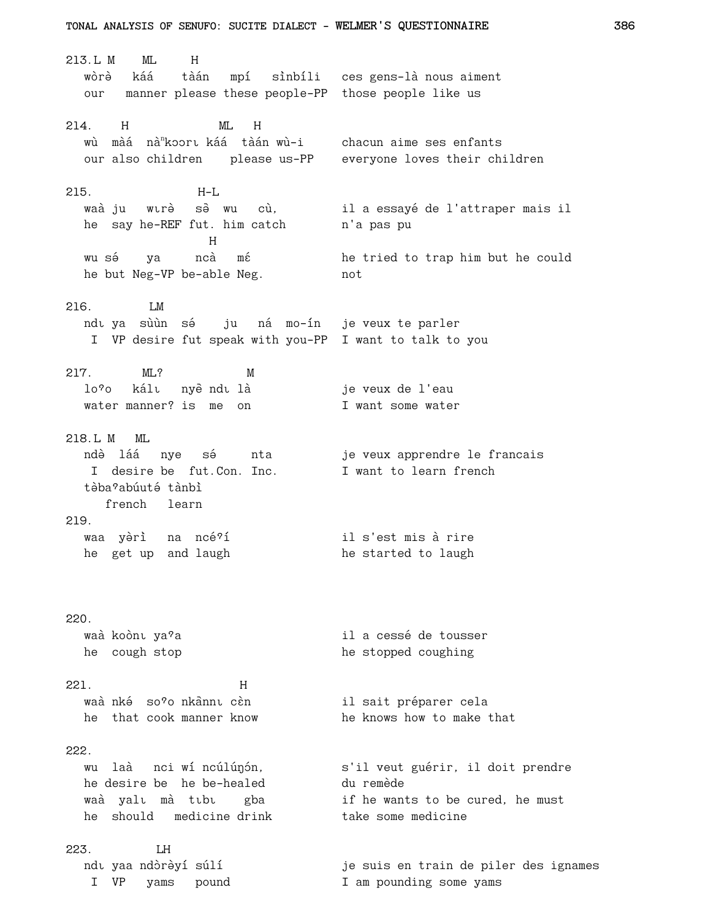213.L M ML H wòrè káá tàán mpí sìnbíli ces gens-là nous aiment our manner please these people-PP those people like us 214. H ML H wù màá nà<sup>n</sup>koort káá tàán wù-i chacun aime ses enfants our also children please us-PP everyone loves their children 215. H-L waà ju wurè sè wu cù, il a essayé de l'attraper mais il he say he-REF fut. him catch h'a pas pu Here we have a strong that the H wu sé ya ncà mé he tried to trap him but he could he but Neg-VP be-able Neg. hot 216. LM ndı ya sùùn sé ju ná mo-ín je veux te parler I VP desire fut speak with you-PP I want to talk to you 217. ML? M lo<sup>7</sup>o kálu nyeề ndu là same je veux de l'eau water manner? is me on T want some water 218.L M ML ndò láá nye sé nta je veux apprendre le francais I desire be fut. Con. Inc. I want to learn french tàba?abúuté tànbì french learn 219. waa yèrì na ncé<sup>9</sup>í il s'est mis à rire he get up and laugh he started to laugh 220. waà koònt ya<sup>?</sup>a il a cessé de tousser he cough stop he stopped coughing 221. H waà nké so<sup>o</sup>o nkannu cèn sail sait préparer cela he that cook manner know he knows how to make that 222. wu laà nci wí ncúlúnón, s'il veut guérir, il doit prendre he desire be he be-healed du remède waà yalı mà tibi gba if he wants to be cured, he must he should medicine drink take some medicine 223. LH ndı yaa ndòrèyí súlí ist varios je suis en train de piler des ignames I VP yams pound I am pounding some yams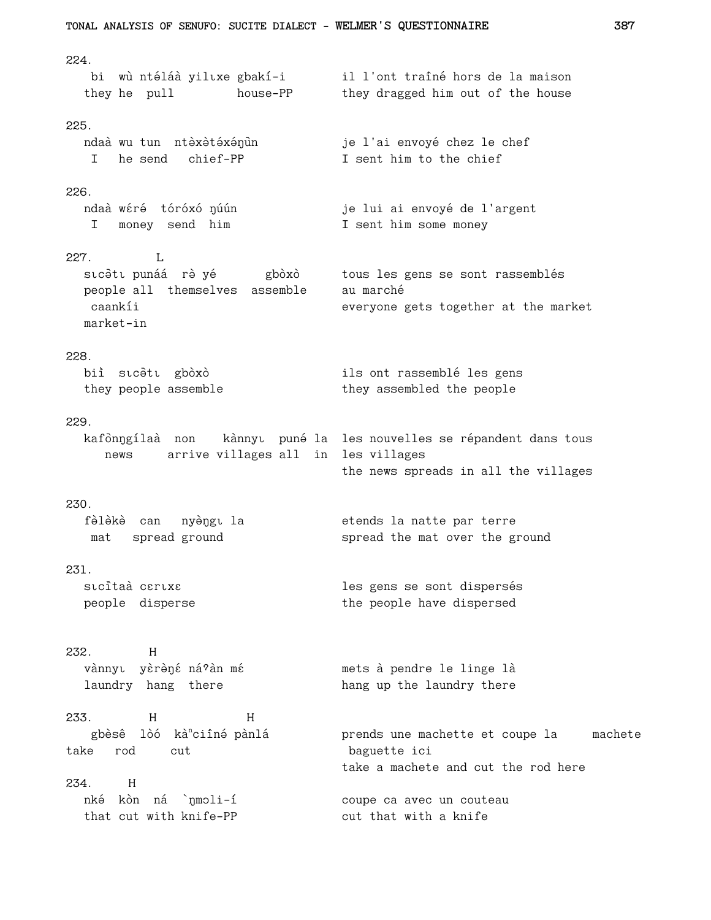```
TONAL ANALYSIS OF SENUFO: SUCITE DIALECT - WELMER'S QUESTIONNAIRE
                                                                           387
224.
                                     il l'ont traîné hors de la maison
   bi wù ntéláà yilıxe gbakí-i
                      house-PP
  they he pull
                                     they dragged him out of the house
225.ndaà wu tun ntèxètéxénun
                                      je l'ai envoyé chez le chef
   I he send chief-PP
                                     I sent him to the chief
226.
  ndaà wéré tóróxó ŋúún
                                     je lui ai envoyé de l'argent
  I money send him
                                   I sent him some money
227.\mathbf{L}tous les gens se sont rassemblés
  sıcəti punáá rə yé siles gboxo
  people all themselves assemble
                                     au marché
   caankíi
                                      everyone gets together at the market
  market-in
228.
  biì sıcətı gbòxò
                                    ils ont rassemblé les gens
  they people assemble
                                     they assembled the people
229.
  kafònngílaà non kànnyt puné la les nouvelles se répandent dans tous
     news arrive villages all in les villages
                                      the news spreads in all the villages
230.
  fèlèkè can nyèngu la
                                      etends la natte par terre
  mat spread ground
                                      spread the mat over the ground
231.
  stcitaà cartxa
                                      les gens se sont dispersés
  people disperse
                                      the people have dispersed
232.
         Hvànnyu yèrèné ná?àn mé
                                    mets à pendre le linge là
  laundry hang there
                                     hang up the laundry there
233.
          HHgbèsê lòó kà<sup>n</sup>ciîné pànlá
                                     prends une machette et coupe la machete
take rod cut
                                      baguette ici
                                      take a machete and cut the rod here
2.34.Hnké kòn ná `nmoli-í
                                     coupe ca avec un couteau
  that cut with knife-PP
                                      cut that with a knife
```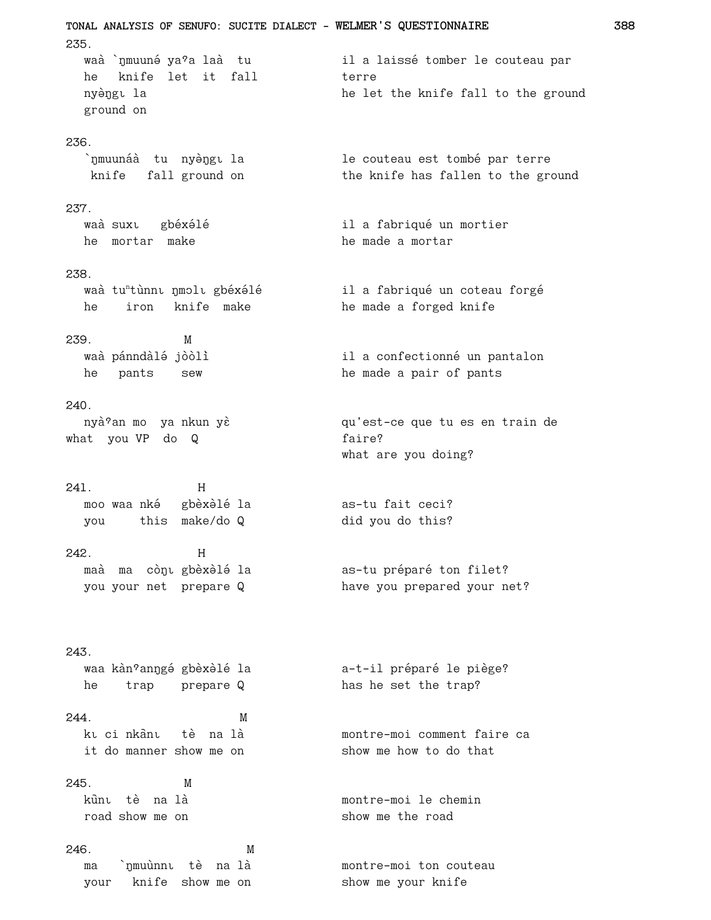TONAL ANALYSIS OF SENUFO: SUCITE DIALECT - WELMER'S QUESTIONNAIRE 235. waà `nmuuné ya?a laà tu il a laissé tomber le couteau par he knife let it fall terre nyèngu la he let the knife fall to the ground ground on 236. `nmuunáà tu nyèngı la le couteau est tombé par terre knife fall ground on the knife has fallen to the ground 237. waà suxu gbéxélé il a fabriqué un mortier he mortar make he made a mortar 238. waà tu<sup>n</sup>tùnnı nmolı gbéxélé il a fabriqué un coteau forgé he iron knife make he made a forged knife 239. M waà pánndàlé jòòlì il a confectionné un pantalon he pants sew he made a pair of pants  $240.$ nyà<sup>9</sup>an mo ya nkun yè qu'est-ce que tu es en train de what you VP do Q faire? what are you doing?  $241.$  $H$ moo waa nké gbèxèlé la as-tu fait ceci? you this make/do Q did you do this? 242.  $H$ as-tu préparé ton filet? maà ma còn gbèxèlé la you your net prepare Q have you prepared your net? 243. waa kàn<sup>9</sup>anŋgé gbèxèlé la a-t-il préparé le piège? he trap prepare Q has he set the trap? 244. M ku ci nkânu tè na là montre-moi comment faire ca it do manner show me on show me how to do that  $245.$  $M$ kùnt tè na là montre-moi le chemin road show me on show me the road 246. M montre-moi ton couteau ma `nmuùnni tè na là your knife show me on show me your knife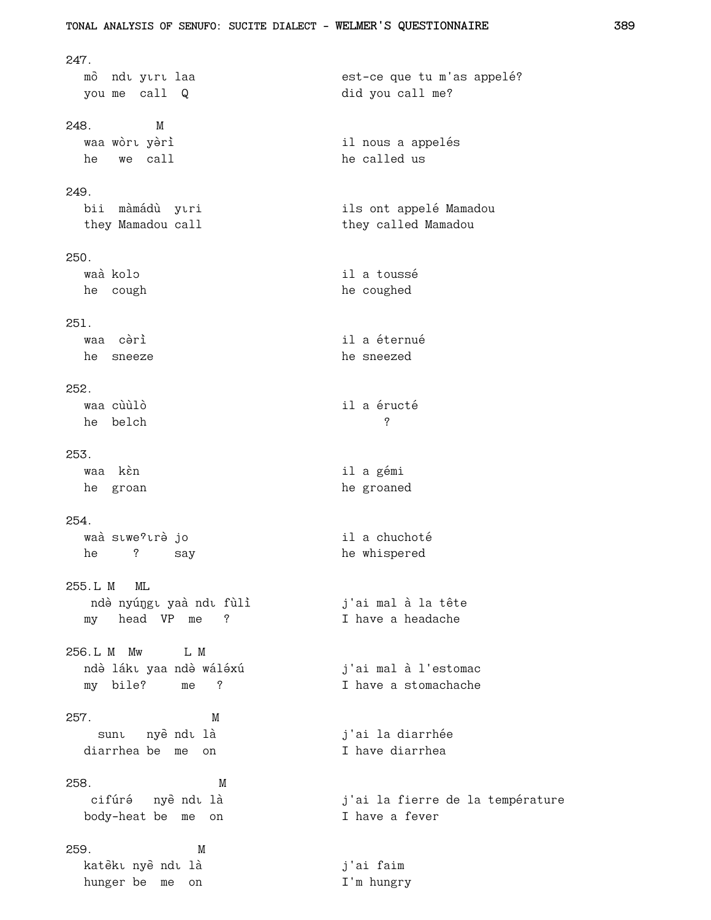```
247.
 mo๊ ndi yiri laa est-ce que tu m'as appelé?
 you me call Q did you call me?
248. M
 waa wòrt yèri<br>
sa voort vien van die voorteling van die voorteling van die van die voorteling van die van die v
 he we call he called us
249.
 bii màmádù yıri ils ont appelé Mamadou
 they Mamadou call they called Mamadou
250.
 waà kolo il a toussé
 he cough he coughed
251.
 waa cèrì il a éternué
 he sneeze he sneezed
252.
 waa cùùlò il a éructé
 he belch ?
253.
 waa kèn ila gémi
 he groan he groaned
254.
 waà siwe<sup>9</sup>irè jo il a chuchoté
 he ? say he whispered
255.L M ML
 ndà nyúngu yaà ndu fùlì j'ai mal à la tête
 my head VP me ? I have a headache
256.L M Mw L M
 ndò lákı yaa ndò wáléxú               j'ai mal à l'estomac
 my bile? me ? I have a stomachache
257. M
  sunt nyèndt là j'ai la diarrhée
 diarrhea be me on I have diarrhea
258. M
 cifúré nyèndu là dies de la fierre de la température
 body-heat be me on I have a fever
259. M
 katèku nyè ndu là j'ai faim
 hunger be me on T'm hungry
```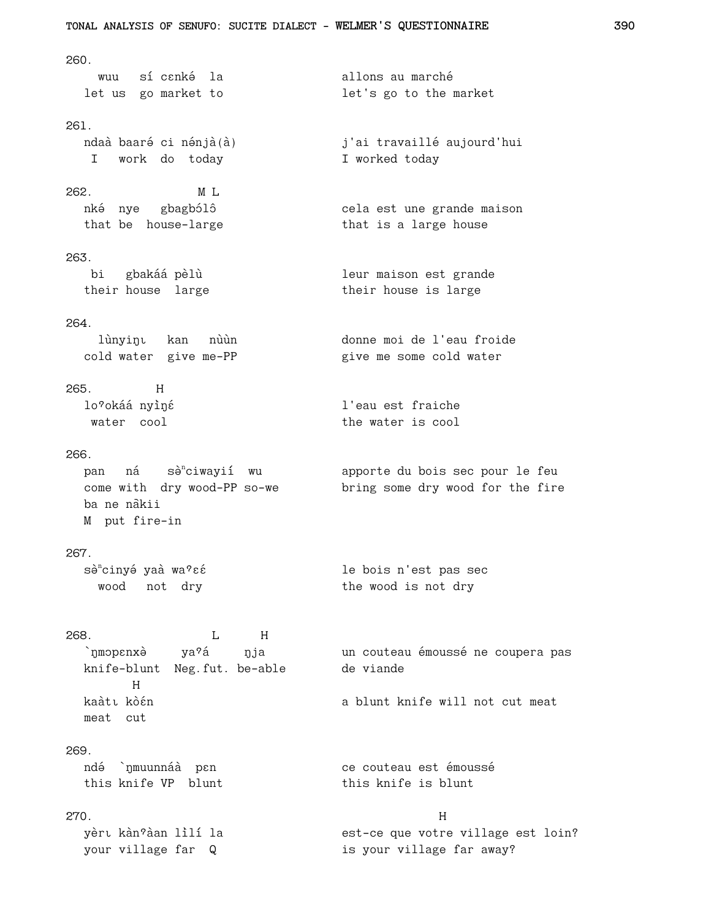```
TONAL ANALYSIS OF SENUFO: SUCITE DIALECT - WELMER'S QUESTIONNAIRE
260.
  wuu sícenké la<br>let us go market to
                                     allons au marché
                                     let's go to the market
261.ndaà baaré ci nénjà(à)
                                     j'ai travaillé aujourd'hui
  I work do today
                                     I worked today
262.M L
  nké nye gbagbólô
                                    cela est une grande maison
  that be house-large
                                     that is a large house
263.
  bi gbakáá pèlù
                                     leur maison est grande
  their house large
                                    their house is large
264.
    lùnyinı kan nùùn
                                     donne moi de l'eau froide
  cold water give me-PP
                                     give me some cold water
265. H
 lo?okáá nyìné
                                     l'eau est fraiche
  water cool
                                     the water is cool
266.
  pan ná sè<sup>n</sup>ciwayií wu apporte du bois sec pour le feu
  come with dry wood-PP so-we
                                    bring some dry wood for the fire
  ba ne nàkii
  M put fire-in
267.
  sè<sup>n</sup>cinyé yaà wa?εέ
                                    le bois n'est pas sec
   wood not dry
                                     the wood is not dry
268.L H
  `ŋmɔpɛnxə̀ ya<sup>9</sup>á
                                    un couteau émoussé ne coupera pas
                      ŋja
                                 de viande
  knife-blunt Neg.fut. be-able
       Hkaàtı kòén
                                     a blunt knife will not cut meat
  meat cut
269.ndé `nmuunnáà pen
                                 ce couteau est émoussé
  this knife VP blunt
                                    this knife is blunt
270.
                                                  Hyèrı kàn?àan lìlí la
                                    est-ce que votre village est loin?
  your village far Q
                                     is your village far away?
```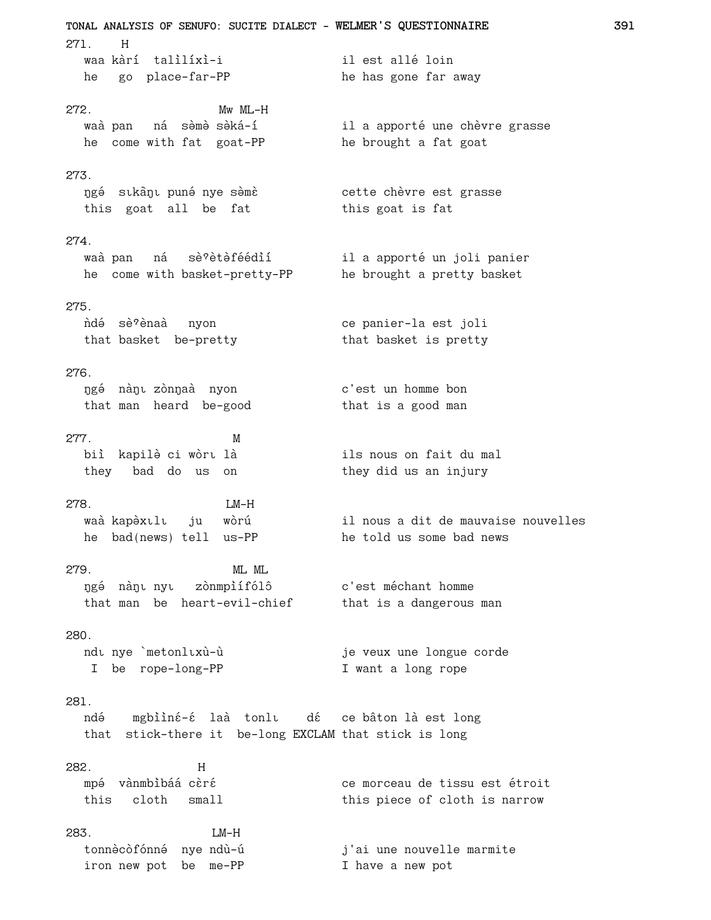TONAL ANALYSIS OF SENUFO: SUCITE DIALECT - WELMER'S QUESTIONNAIRE 271. H waa kàrí talìlíxì-i il est allé loin he go place-far-PP he has gone far away 272.  $Mw$   $ML-H$ waà pan ná sèmè sèká-í il a apporté une chèvre grasse<br>he come with fat goat-PP he brought a fat goat  $273.$ ngé sıkànı puné nye sèmè cette chèvre est grasse this goat all be fat this goat is fat 274. waà pan ná sè?ètèféédìí il a apporté un joli panier he come with basket-pretty-PP he brought a pretty basket 275. ce panier-la est joli ñdé sè?ènaà nyon that basket be-pretty that basket is pretty  $276$ ngé nànu zònnaà nyon c'est un homme bon that man heard be-good that is a good man 277. M ils nous on fait du mal 278.  $LM-H$ il nous a dit de mauvaise nouvelles waà kapèxulu ju wòrú he told us some bad news he bad(news) tell us-PP 279. ML ML ngé nànu nyu zònmpìífólô c'est méchant homme that man be heart-evil-chief that is a dangerous man  $280.$ ndı nye `metonlıxù-ù je veux une longue corde I be rope-long-PP I want a long rope 281. ndé mgbiìné-é laà tonlu dé ce bâton là est long that stick-there it be-long EXCLAM that stick is long 282.  $H$ ce morceau de tissu est étroit mpé vànmbìbáá cèré this cloth small this piece of cloth is narrow 283.  $LM-H$ tonnècòfónné nye ndù-ú j'ai une nouvelle marmite J -<br>I have a new pot iron new pot be me-PP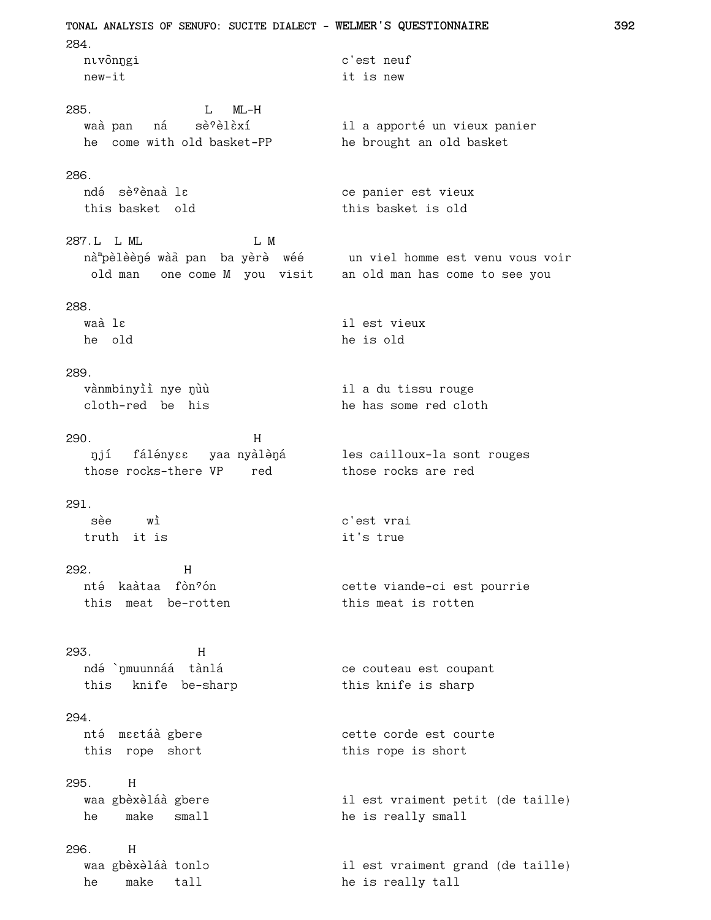TONAL ANALYSIS OF SENUFO: SUCITE DIALECT - WELMER'S QUESTIONNAIRE 284. c'est neuf nıvònngi new-it it is new  $L$   $ML-H$ 285. waà pan ná sè<sup>9</sup>èlèxí 286. ndé sè?ènaà lɛ ce panier est vieux this basket old this basket is old 287.L L ML L M nà "pèlèèné wàa pan ba yèrè wéé un viel homme est venu vous voir old man one come M you visit an old man has come to see you 288. waà lε il est vieux he old he is old 289. vànmbinyìì nye nùù il a du tissu rouge cloth-red be his he has some red cloth 290.  $H$ njí fálényes yaanyàlèná les cailloux-la sont rouges<br>those rocks-there VP red those rocks are red  $291.$ sèe wì c'est vrai truth it is it's true 292.  $H$ nté kaàtaa fòn?ón cette viande-ci est pourrie this meat be-rotten this meat is rotten 293.  $H$ ndé `nmuunnáá tànlá ce couteau est coupant this knife be-sharp this knife is sharp 294. cette corde est courte nté mestáà gbere this rope short this rope is short  $295.$  $H$ waa gbèxèláà gbere il est vraiment petit (de taille) he make small he is really small  $296.$  $H$ waa gbèxèláà tonlo il est vraiment grand (de taille) he make tall he is really tall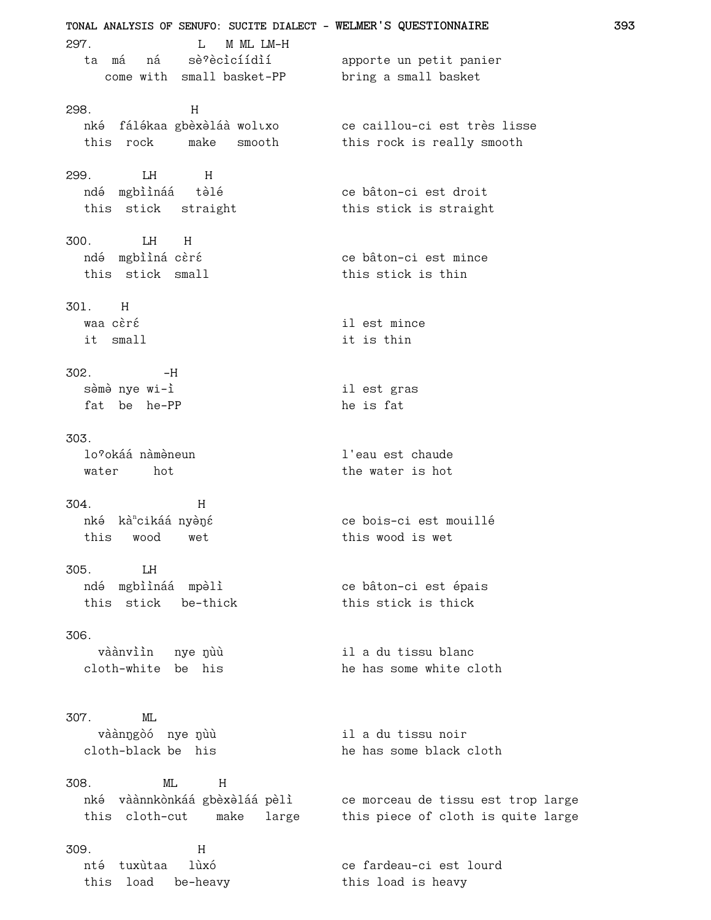**TONAL ANALYSIS OF SENUFO: SUCITE DIALECT - WELMER'S QUESTIONNAIRE 393** 297. L M ML LM-H ta má ná sè?ècicíídií apporte un petit panier come with small basket-PP bring a small basket 298. H nké fálékaa gbèxèláà woltxo ce caillou-ci est très lisse<br>this rock make smooth this rock is really smooth this rock is make smooth 299. LH H ndé mgbììnáá tèlé **chaoidh an taoit** ce bâton-ci est droit this stick straight this stick is straight 300. LH H ndé mgbììná cèré<br>
Ce bâton-ci est mince this stick small this stick is thin 301. H waa cèré die strong van die strong van die strong van die strong van die strong van die strong van die strong v it small it is thin  $302. -H$ sèmè nye wi-ì il est gras fat be he-PP he is fat 303. lo<sup>o</sup>okáá nàmèneun dia version l'eau est chaude water hot the water is hot 304. H nké kà<sup>n</sup>cikáá nyèné ce bois-ci est mouillé this wood wet this wood is wet 305. LH ndé mgbììnáá mpèlì<br>
ce bâton-ci est épais this stick be-thick this stick is thick 306. vàànvììn nye nùù shin a du tissu blanc cloth-white be his he has some white cloth 307. ML vàànngòó nye nùù il a du tissu noir cloth-black be his he has some black cloth 308. ML H nké vàànnkònkáá gbèxèláá pèlì ce morceau de tissu est trop large this cloth-cut make large this piece of cloth is quite large 309. H nté tuxùtaa lùxó<br>
ce fardeau-ci est lourd this load be-heavy this load is heavy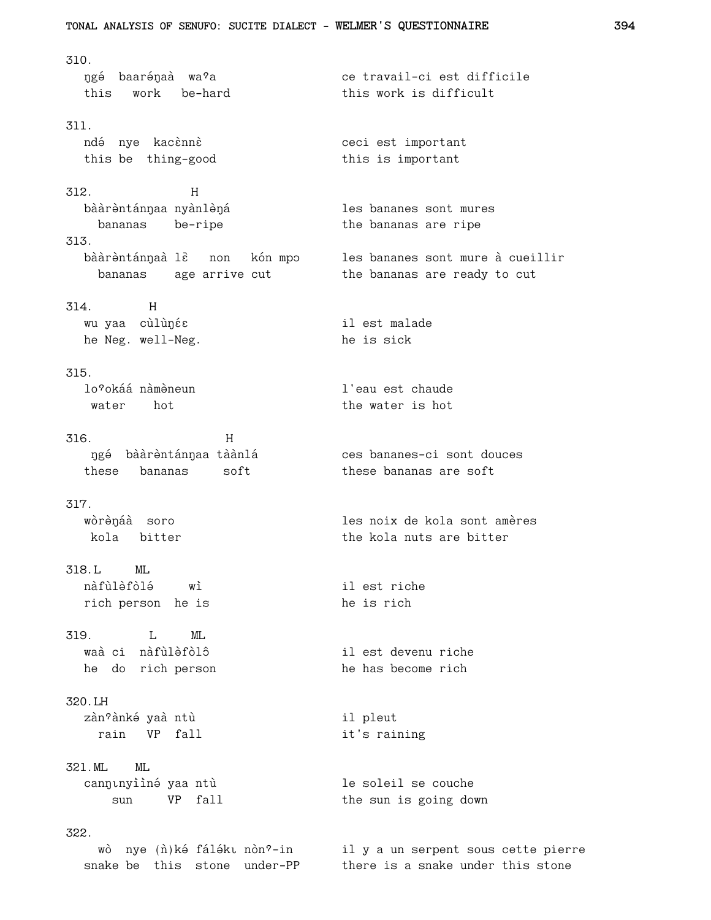310. ngé baarénaà wa<sup>9</sup>a<br>
ce travail-ci est difficile this work be-hard this work is difficult 311. ndé nye kacènnè<br>
O ceci est important this be thing-good this is important 312. H bààrèntánnaa nyànlèná<br>
san ann an les bananes sont mures bananas be-ripe the bananas are ripe 313. bààrèntánnaà lè non kón mpo les bananes sont mure à cueillir bananas age arrive cut the bananas are ready to cut 314. H wu yaa cùlùƒ™×™ il est malade he Neg. well-Neg.  $h$  he is sick 315. lo<sup>o</sup>okáá nàmèneun dia version l'eau est chaude water hot the water is hot 316. H ngé bààrèntánnaa tàànlá<br>
ces bananes-ci sont douces these bananas soft these bananas are soft 317. wòrènaa soro de les noix de kola sont amères kola bitter the kola nuts are bitter 318.L ML nàfùlàfòlá wì il est riche rich person he is the is rich 319. I. MI. waà ci nàfùlèfòlô il est devenu riche he do rich person he has become rich 320.LH zàn<sup>o</sup>ànké yaà ntù il pleut rain VP fall it's raining 321.ML ML cannunyiìné yaa ntù die soleil se couche sun VP fall the sun is going down 322. wò nye (n̂)ké fáléku nòn<sup>9</sup>-in il y a un serpent sous cette pierre snake be this stone under-PP there is a snake under this stone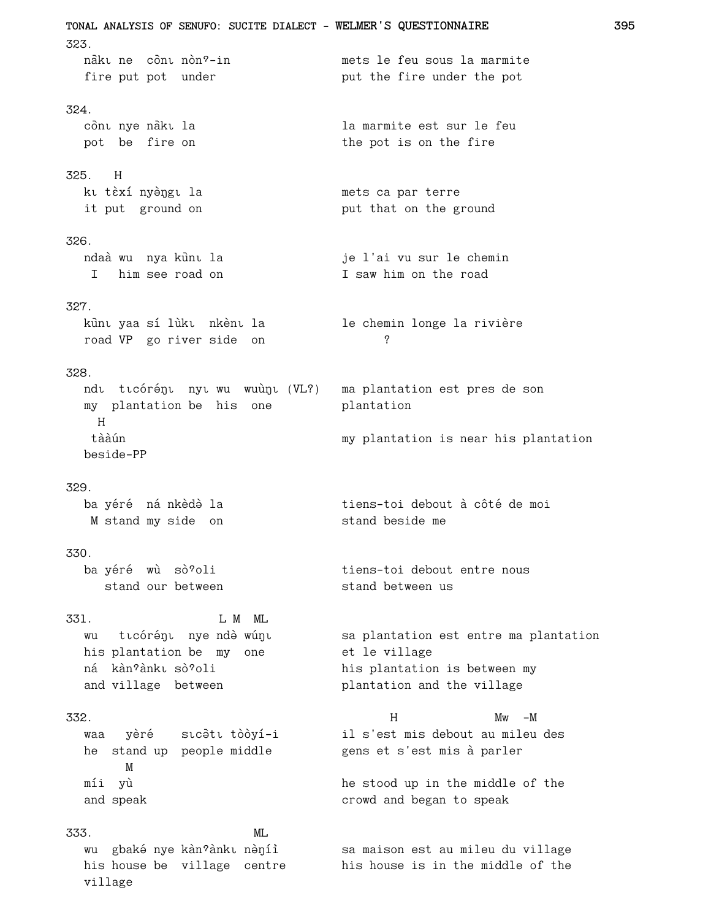TONAL ANALYSIS OF SENUFO: SUCITE DIALECT - WELMER'S QUESTIONNAIRE 323. nàku ne cònu nòn?-in mets le feu sous la marmite fire put pot under put the fire under the pot 324. cònt nye nàkt la la marmite est sur le feu pot be fire on the pot is on the fire 325. H kı tèxí nyèngı la mets ca par terre it put ground on put that on the ground 326. ndaà wu nya kunu la je l'ai vu sur le chemin I saw him on the road I him see road on 327. kùnı yaa sí lùkı nkènı la le chemin longe la rivière  $\gamma$ road VP go river side on 328. ndu tư có rénu nyu wu wuùn (VL?) ma plantation est pres de son my plantation be his one plantation  $H$ tààún my plantation is near his plantation beside-PP 329. ba yéré ná nkèdè la tiens-toi debout à côté de moi stand beside me M stand my side on 330. ba yéré wù sò?oli tiens-toi debout entre nous stand our between stand between us 331. L M ML wu tıcórénı nye ndè wúnı sa plantation est entre ma plantation his plantation be my one et le village ná kàn?ànkı sò?oli his plantation is between my and village between plantation and the village 332.  $Mw - M$  $H$ waa yèré sıcətitòoyí-i il s'est mis debout au mileu des he stand up people middle gens et s'est mis à parler M míi yù he stood up in the middle of the crowd and began to speak and speak 333. ML wu gbaké nye kàn°ànkı nèníì sa maison est au mileu du village his house be village centre his house is in the middle of the

village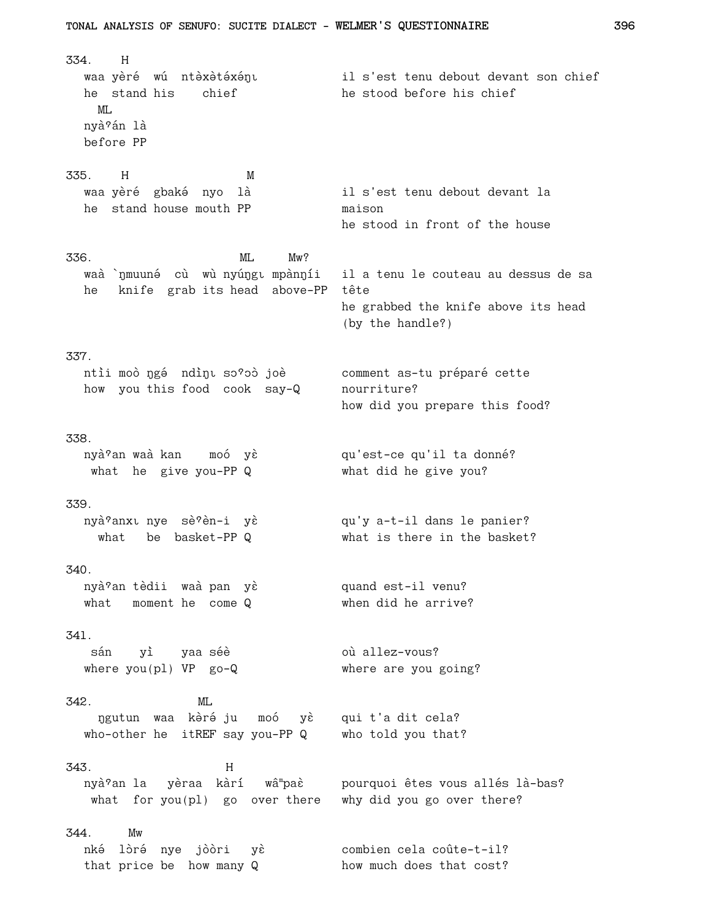$H$ 334. il s'est tenu debout devant son chief waa yèré wú ntèxètéxéŋı he stand his chief he stood before his chief  $MT$ . nyà <sup>2</sup>án là before PP 335. H  $M$ waa yèré gbaké nyo là il s'est tenu debout devant la he stand house mouth PP maison he stood in front of the house 336.  $ML$  $Mw$ ? waà `nmuuné cù wù nyúngu mpànníi il a tenu le couteau au dessus de sa he knife grab its head above-PP tête he grabbed the knife above its head (by the handle?) 337. ntìi moò ngé ndìn so'oò joè comment as-tu préparé cette how you this food cook say-Q nourriture? how did you prepare this food? 338. nyà<sup>9</sup>an waà kan moó yè qu'est-ce qu'il ta donné? what he give you-PP Q what did he give you? 339. nyà ?anxu nye sè ?èn-i yè <br/> qu'y a-t-il dans le panier? what is there in the basket? what be basket-PPQ 340. nyà<sup>9</sup>an tèdii waà pan yè quand est-il venu? what moment he come Q when did he arrive?  $341.$ sán yì yaa-séè où allez-vous? where  $you(p1)$  VP  $go-Q$ where are you going? 342. ML ngutun waa kèré ju moó yè qui t'a dit cela? who-other he itREF say you-PP Q who told you that? 343.  $H$ nyà?an la yèraa kàrí wâ paè pourquoi êtes vous allés là-bas? what for you (pl) go over there why did you go over there? 344. Mw nké lòré nye jòòri yè combien cela coûte-t-il? that price be how many Q how much does that cost?

TONAL ANALYSIS OF SENUFO: SUCITE DIALECT - WELMER'S QUESTIONNAIRE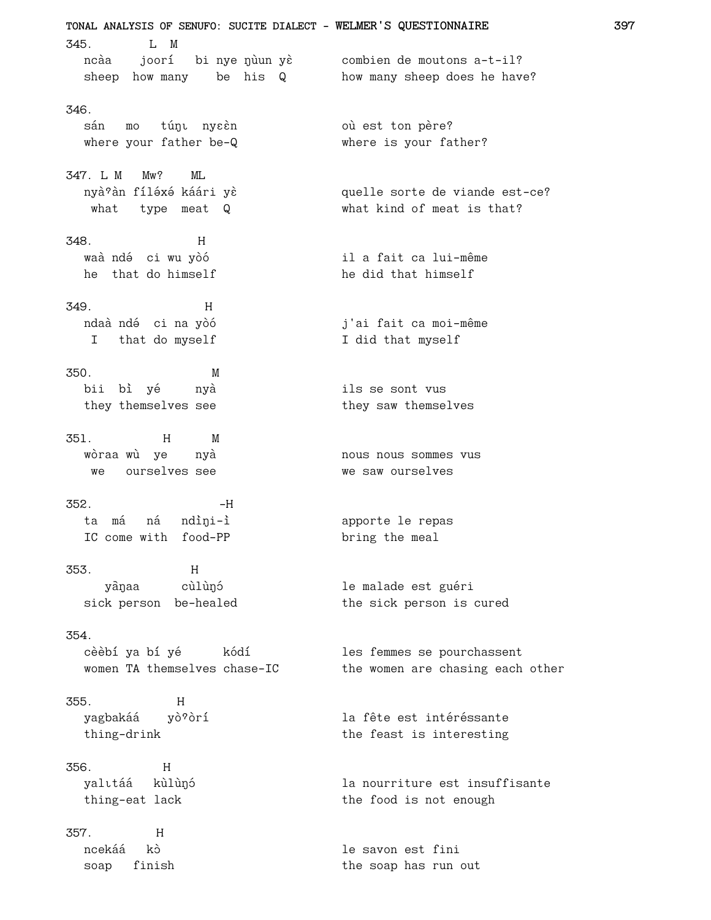TONAL ANALYSIS OF SENUFO: SUCITE DIALECT - WELMER'S QUESTIONNAIRE  $345.$  $L$  M ncàa joorí bi nye nùun yè combien de moutons a-t-il? sheep how many be his Q how many sheep does he have? 346. sán mo túnu nyeèn où est ton père? where your father be-Q where is your father? 347. I. M  $Mw$ ?  $MT$ . nyà an fíléxé káári yè quelle sorte de viande est-ce? what type meat Q what kind of meat is that? 348  $H$ waà ndé ci wu yòó il a fait ca lui-même he that do himself he did that himself 349.  $H$ ndaà ndé ci na yòó j'ai fait ca moi-même I that do myself I did that myself 350. M bii bì yé ils se sont vus nyà they themselves see they saw themselves 351.  $H$ M wòraa wù ye nyà nous nous sommes vus ourselves see we saw ourselves we  $352.$  $-H$ ta má ná ndìni-ì apporte le repas IC come with food-PP bring the meal 353.  $H$ yànaa cùlùnó le malade est guéri sick person be-healed the sick person is cured  $354.$ cèèbí ya bí yé kódí les femmes se pourchassent women TA themselves chase-IC the women are chasing each other 355.  $H$ la fête est intéréssante yagbakáá yò?òrí thing-drink the feast is interesting 356.  $H$ yalıtáá kùlùnó la nourriture est insuffisante thing-eat lack the food is not enough  $H$ 357. ncekáá kò le savon est fini soap finish the soap has run out